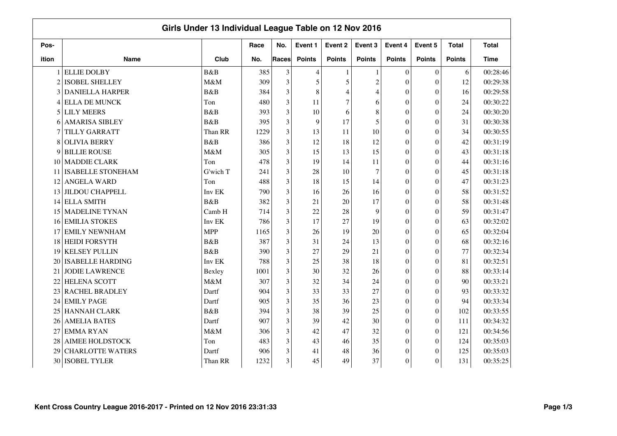|                |                          | Girls Under 13 Individual League Table on 12 Nov 2016 |      |                |                |                |                |                  |                  |               |              |
|----------------|--------------------------|-------------------------------------------------------|------|----------------|----------------|----------------|----------------|------------------|------------------|---------------|--------------|
| Pos-           |                          |                                                       | Race | No.            | Event 1        | Event 2        | Event 3        | Event 4          | Event 5          | <b>Total</b>  | <b>Total</b> |
| ition          | <b>Name</b>              | Club                                                  | No.  | <b>Races</b>   | <b>Points</b>  | <b>Points</b>  | <b>Points</b>  | <b>Points</b>    | <b>Points</b>    | <b>Points</b> | <b>Time</b>  |
|                | <b>ELLIE DOLBY</b>       | B&B                                                   | 385  | 3              | $\overline{4}$ | 1              |                | $\theta$         | $\mathbf{0}$     | 6             | 00:28:46     |
| $\overline{c}$ | <b>ISOBEL SHELLEY</b>    | M&M                                                   | 309  | 3              | 5              | 5              | $\overline{c}$ | $\theta$         | $\overline{0}$   | 12            | 00:29:38     |
| 3              | <b>DANIELLA HARPER</b>   | B&B                                                   | 384  | 3              | 8              | $\overline{4}$ | $\overline{4}$ | $\theta$         | $\overline{0}$   | 16            | 00:29:58     |
| 4              | <b>ELLA DE MUNCK</b>     | Ton                                                   | 480  | 3              | 11             | 7              | 6              | $\theta$         | $\theta$         | 24            | 00:30:22     |
| 5              | <b>LILY MEERS</b>        | B&B                                                   | 393  | 3              | 10             | 6              | 8              | $\theta$         | $\overline{0}$   | 24            | 00:30:20     |
| 6              | <b>AMARISA SIBLEY</b>    | B&B                                                   | 395  | 3              | 9              | 17             | 5              | $\theta$         | $\overline{0}$   | 31            | 00:30:38     |
|                | <b>TILLY GARRATT</b>     | Than RR                                               | 1229 | 3              | 13             | 11             | 10             | $\theta$         | $\theta$         | 34            | 00:30:55     |
| 8              | <b>OLIVIA BERRY</b>      | B&B                                                   | 386  | 3              | 12             | 18             | 12             | $\theta$         | $\overline{0}$   | 42            | 00:31:19     |
| 9              | <b>BILLIE ROUSE</b>      | M&M                                                   | 305  | 3              | 15             | 13             | 15             | $\theta$         | $\overline{0}$   | 43            | 00:31:18     |
| 10             | <b>MADDIE CLARK</b>      | Ton                                                   | 478  | 3              | 19             | 14             | 11             | $\theta$         | $\overline{0}$   | 44            | 00:31:16     |
| 11             | <b>ISABELLE STONEHAM</b> | G'wich T                                              | 241  | 3              | 28             | 10             | 7              | $\theta$         | $\theta$         | 45            | 00:31:18     |
| 12             | <b>ANGELA WARD</b>       | Ton                                                   | 488  | 3              | 18             | 15             | 14             | $\overline{0}$   | $\overline{0}$   | 47            | 00:31:23     |
| 13             | <b>JILDOU CHAPPELL</b>   | Inv EK                                                | 790  | 3              | 16             | 26             | 16             | $\theta$         | $\theta$         | 58            | 00:31:52     |
| 14             | <b>ELLA SMITH</b>        | B&B                                                   | 382  | 3              | 21             | 20             | 17             | $\theta$         | $\Omega$         | 58            | 00:31:48     |
| 15             | <b>MADELINE TYNAN</b>    | Camb H                                                | 714  | 3              | 22             | 28             | 9              | $\theta$         | $\overline{0}$   | 59            | 00:31:47     |
| 16             | <b>EMILIA STOKES</b>     | Inv EK                                                | 786  | 3              | 17             | 27             | 19             | $\theta$         | $\theta$         | 63            | 00:32:02     |
| 17             | <b>EMILY NEWNHAM</b>     | <b>MPP</b>                                            | 1165 | 3              | 26             | 19             | 20             | $\theta$         | $\overline{0}$   | 65            | 00:32:04     |
| 18             | <b>HEIDI FORSYTH</b>     | B&B                                                   | 387  | 3              | 31             | 24             | 13             | $\theta$         | $\overline{0}$   | 68            | 00:32:16     |
| 19             | <b>KELSEY PULLIN</b>     | B&B                                                   | 390  | 3              | 27             | 29             | 21             | $\theta$         | $\overline{0}$   | 77            | 00:32:34     |
| 20             | <b>ISABELLE HARDING</b>  | Inv EK                                                | 788  | 3              | 25             | 38             | 18             | $\theta$         | $\overline{0}$   | 81            | 00:32:51     |
| 21             | <b>JODIE LAWRENCE</b>    | Bexley                                                | 1001 | 3              | 30             | 32             | 26             | $\Omega$         | $\Omega$         | 88            | 00:33:14     |
| 22             | <b>HELENA SCOTT</b>      | M&M                                                   | 307  | 3              | 32             | 34             | 24             | $\Omega$         | $\Omega$         | 90            | 00:33:21     |
| 23             | <b>RACHEL BRADLEY</b>    | Dartf                                                 | 904  | 3              | 33             | 33             | 27             | $\overline{0}$   | $\overline{0}$   | 93            | 00:33:32     |
| 24             | <b>EMILY PAGE</b>        | Dartf                                                 | 905  | 3              | 35             | 36             | 23             | $\overline{0}$   | $\overline{0}$   | 94            | 00:33:34     |
| 25             | <b>HANNAH CLARK</b>      | <b>B</b> &B                                           | 394  | 3              | 38             | 39             | 25             | $\theta$         | $\mathbf{0}$     | 102           | 00:33:55     |
| 26             | <b>AMELIA BATES</b>      | Dartf                                                 | 907  | $\overline{3}$ | 39             | 42             | 30             | $\boldsymbol{0}$ | $\boldsymbol{0}$ | 111           | 00:34:32     |
| 27             | <b>EMMARYAN</b>          | M&M                                                   | 306  | 3              | 42             | 47             | 32             | $\boldsymbol{0}$ | $\theta$         | 121           | 00:34:56     |
| 28             | <b>AIMEE HOLDSTOCK</b>   | Ton                                                   | 483  | 3              | 43             | 46             | 35             | $\theta$         | $\theta$         | 124           | 00:35:03     |
| 29             | <b>CHARLOTTE WATERS</b>  | Dartf                                                 | 906  | 3              | 41             | 48             | 36             | $\overline{0}$   | $\theta$         | 125           | 00:35:03     |
| 30             | <b>ISOBEL TYLER</b>      | Than RR                                               | 1232 | 3              | 45             | 49             | 37             | $\boldsymbol{0}$ | $\theta$         | 131           | 00:35:25     |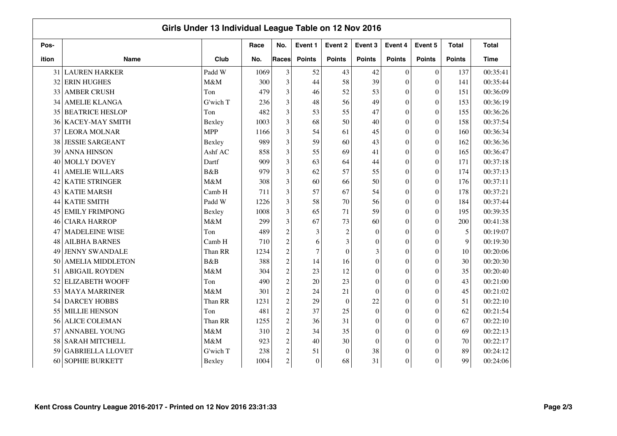|       |                         | Girls Under 13 Individual League Table on 12 Nov 2016 |      |                |                |                  |               |                  |                  |               |              |
|-------|-------------------------|-------------------------------------------------------|------|----------------|----------------|------------------|---------------|------------------|------------------|---------------|--------------|
| Pos-  |                         |                                                       | Race | No.            | Event 1        | Event 2          | Event 3       | Event 4          | Event 5          | <b>Total</b>  | <b>Total</b> |
| ition | <b>Name</b>             | Club                                                  | No.  | Races          | <b>Points</b>  | <b>Points</b>    | <b>Points</b> | <b>Points</b>    | <b>Points</b>    | <b>Points</b> | <b>Time</b>  |
| 31    | <b>LAUREN HARKER</b>    | Padd W                                                | 1069 | 3              | 52             | 43               | 42            | $\mathbf{0}$     | $\boldsymbol{0}$ | 137           | 00:35:41     |
| 32    | <b>ERIN HUGHES</b>      | M&M                                                   | 300  | 3              | 44             | 58               | 39            | $\overline{0}$   | $\theta$         | 141           | 00:35:44     |
| 33    | <b>AMBER CRUSH</b>      | Ton                                                   | 479  | 3              | 46             | 52               | 53            | $\overline{0}$   | $\theta$         | 151           | 00:36:09     |
| 34    | <b>AMELIE KLANGA</b>    | G'wich T                                              | 236  | 3              | 48             | 56               | 49            | $\boldsymbol{0}$ | $\boldsymbol{0}$ | 153           | 00:36:19     |
| 35    | <b>BEATRICE HESLOP</b>  | Ton                                                   | 482  | 3              | 53             | 55               | 47            | $\boldsymbol{0}$ | $\overline{0}$   | 155           | 00:36:26     |
| 36    | <b>KACEY-MAY SMITH</b>  | Bexley                                                | 1003 | 3              | 68             | 50               | 40            | $\overline{0}$   | $\theta$         | 158           | 00:37:54     |
| 37    | <b>LEORA MOLNAR</b>     | <b>MPP</b>                                            | 1166 | 3              | 54             | 61               | 45            | $\theta$         | $\theta$         | 160           | 00:36:34     |
| 38    | <b>JESSIE SARGEANT</b>  | Bexley                                                | 989  | 3              | 59             | 60               | 43            | $\overline{0}$   | $\theta$         | 162           | 00:36:36     |
| 39    | <b>ANNA HINSON</b>      | Ashf AC                                               | 858  | 3              | 55             | 69               | 41            | $\overline{0}$   | $\theta$         | 165           | 00:36:47     |
| 40    | <b>MOLLY DOVEY</b>      | Dartf                                                 | 909  | 3              | 63             | 64               | 44            | $\overline{0}$   | $\boldsymbol{0}$ | 171           | 00:37:18     |
| 41    | <b>AMELIE WILLARS</b>   | B&B                                                   | 979  | 3              | 62             | 57               | 55            | $\overline{0}$   | $\boldsymbol{0}$ | 174           | 00:37:13     |
| 42    | <b>KATIE STRINGER</b>   | M&M                                                   | 308  | 3              | 60             | 66               | 50            | $\boldsymbol{0}$ | $\overline{0}$   | 176           | 00:37:11     |
| 43    | <b>KATIE MARSH</b>      | Camb H                                                | 711  | 3              | 57             | 67               | 54            | $\overline{0}$   | $\theta$         | 178           | 00:37:21     |
| 44    | <b>KATIE SMITH</b>      | Padd W                                                | 1226 | 3              | 58             | 70               | 56            | $\theta$         | $\theta$         | 184           | 00:37:44     |
| 45    | <b>EMILY FRIMPONG</b>   | Bexley                                                | 1008 | 3              | 65             | 71               | 59            | $\mathbf{0}$     | $\theta$         | 195           | 00:39:35     |
| 46    | <b>CIARA HARROP</b>     | M&M                                                   | 299  | 3              | 67             | 73               | 60            | $\overline{0}$   | $\theta$         | 200           | 00:41:38     |
| 47    | <b>MADELEINE WISE</b>   | Ton                                                   | 489  | $\overline{c}$ | 3              | $\overline{c}$   | $\mathbf{0}$  | $\mathbf{0}$     | $\boldsymbol{0}$ | 5             | 00:19:07     |
| 48    | <b>AILBHA BARNES</b>    | Camb H                                                | 710  | $\overline{c}$ | 6              | 3                | $\mathbf{0}$  | $\overline{0}$   | $\boldsymbol{0}$ | 9             | 00:19:30     |
| 49    | <b>JENNY SWANDALE</b>   | Than RR                                               | 1234 | $\overline{c}$ | $\overline{7}$ | $\boldsymbol{0}$ | 3             | $\boldsymbol{0}$ | $\boldsymbol{0}$ | 10            | 00:20:06     |
| 50    | <b>AMELIA MIDDLETON</b> | B&B                                                   | 388  | $\overline{c}$ | 14             | 16               | $\Omega$      | $\overline{0}$   | $\theta$         | 30            | 00:20:30     |
| 51    | <b>ABIGAIL ROYDEN</b>   | M&M                                                   | 304  | $\overline{c}$ | 23             | 12               | $\theta$      | $\theta$         | $\theta$         | 35            | 00:20:40     |
| 52    | <b>ELIZABETH WOOFF</b>  | Ton                                                   | 490  | $\overline{c}$ | 20             | 23               | $\theta$      | $\overline{0}$   | $\theta$         | 43            | 00:21:00     |
| 53    | <b>MAYA MARRINER</b>    | M&M                                                   | 301  | $\overline{c}$ | 24             | 21               | $\Omega$      | $\overline{0}$   | $\theta$         | 45            | 00:21:02     |
| 54    | <b>DARCEY HOBBS</b>     | Than RR                                               | 1231 | $\overline{c}$ | 29             | $\boldsymbol{0}$ | 22            | $\overline{0}$   | $\theta$         | 51            | 00:22:10     |
| 55    | <b>MILLIE HENSON</b>    | Ton                                                   | 481  | $\overline{c}$ | 37             | 25               | $\mathbf{0}$  | $\overline{0}$   | $\boldsymbol{0}$ | 62            | 00:21:54     |
| 56    | <b>ALICE COLEMAN</b>    | Than RR                                               | 1255 | $\overline{c}$ | 36             | 31               | $\mathbf{0}$  | $\boldsymbol{0}$ | $\boldsymbol{0}$ | 67            | 00:22:10     |
| 57    | <b>ANNABEL YOUNG</b>    | M&M                                                   | 310  | $\overline{c}$ | 34             | 35               | $\Omega$      | $\overline{0}$   | $\theta$         | 69            | 00:22:13     |
| 58    | <b>SARAH MITCHELL</b>   | M&M                                                   | 923  | $\sqrt{2}$     | 40             | 30               | $\Omega$      | $\overline{0}$   | $\theta$         | 70            | 00:22:17     |
| 59    | <b>GABRIELLA LLOVET</b> | G'wich T                                              | 238  | $\overline{c}$ | 51             | $\theta$         | 38            | $\overline{0}$   | $\theta$         | 89            | 00:24:12     |
| 60    | <b>SOPHIE BURKETT</b>   | Bexley                                                | 1004 | $\overline{c}$ | $\mathbf{0}$   | 68               | 31            | $\boldsymbol{0}$ | $\theta$         | 99            | 00:24:06     |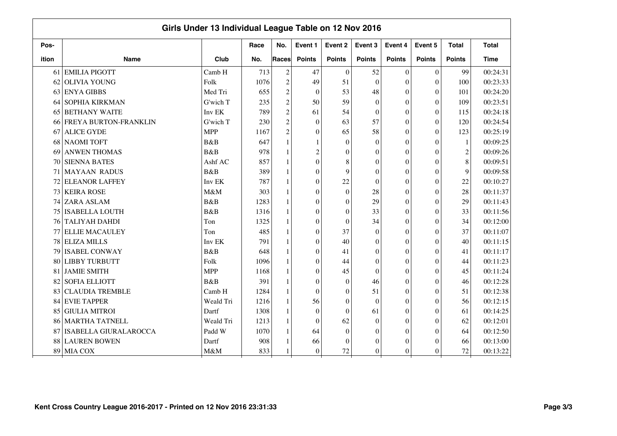|       | Girls Under 13 Individual League Table on 12 Nov 2016 |            |      |                |                  |               |                  |                |               |                  |              |  |  |
|-------|-------------------------------------------------------|------------|------|----------------|------------------|---------------|------------------|----------------|---------------|------------------|--------------|--|--|
| Pos-  |                                                       |            | Race | No.            | Event 1          | Event 2       | Event 3          | Event 4        | Event 5       | <b>Total</b>     | <b>Total</b> |  |  |
| ition | <b>Name</b>                                           | Club       | No.  | Races          | <b>Points</b>    | <b>Points</b> | <b>Points</b>    | <b>Points</b>  | <b>Points</b> | <b>Points</b>    | <b>Time</b>  |  |  |
| 61    | <b>EMILIA PIGOTT</b>                                  | Camb H     | 713  | $\sqrt{2}$     | 47               | $\mathbf{0}$  | 52               | $\overline{0}$ | $\mathbf{0}$  | 99               | 00:24:31     |  |  |
| 62    | <b>OLIVIA YOUNG</b>                                   | Folk       | 1076 | $\sqrt{2}$     | 49               | 51            | $\theta$         | $\theta$       | $\theta$      | 100              | 00:23:33     |  |  |
| 63    | <b>ENYA GIBBS</b>                                     | Med Tri    | 655  | $\overline{c}$ | $\boldsymbol{0}$ | 53            | 48               | $\theta$       | $\theta$      | 101              | 00:24:20     |  |  |
| 64    | <b>SOPHIA KIRKMAN</b>                                 | G'wich T   | 235  | $\overline{c}$ | 50               | 59            | $\boldsymbol{0}$ | $\theta$       | $\theta$      | 109              | 00:23:51     |  |  |
| 65    | <b>BETHANY WAITE</b>                                  | Inv EK     | 789  | $\overline{c}$ | 61               | 54            | $\boldsymbol{0}$ | $\theta$       | $\theta$      | 115              | 00:24:18     |  |  |
|       | 66 FREYA BURTON-FRANKLIN                              | G'wich T   | 230  | $\overline{c}$ | $\theta$         | 63            | 57               | $\Omega$       | $\Omega$      | 120              | 00:24:54     |  |  |
| 67    | <b>ALICE GYDE</b>                                     | <b>MPP</b> | 1167 | $\overline{c}$ | $\overline{0}$   | 65            | 58               | $\Omega$       | $\Omega$      | 123              | 00:25:19     |  |  |
| 68    | <b>NAOMI TOFT</b>                                     | B&B        | 647  | 1              |                  | $\Omega$      | $\theta$         | $\Omega$       | $\theta$      | $\mathbf{1}$     | 00:09:25     |  |  |
| 69    | <b>ANWEN THOMAS</b>                                   | B&B        | 978  |                | $\overline{c}$   | $\Omega$      | $\mathbf{0}$     | $\Omega$       | $\Omega$      | $\boldsymbol{2}$ | 00:09:26     |  |  |
| 70    | <b>SIENNA BATES</b>                                   | Ashf AC    | 857  |                | $\boldsymbol{0}$ | 8             | $\theta$         | $\Omega$       | $\Omega$      | 8                | 00:09:51     |  |  |
| 71    | <b>MAYAAN RADUS</b>                                   | B&B        | 389  |                | $\boldsymbol{0}$ | 9             | $\theta$         | $\Omega$       | $\Omega$      | $\overline{9}$   | 00:09:58     |  |  |
| 72    | <b>ELEANOR LAFFEY</b>                                 | Inv EK     | 787  |                | $\boldsymbol{0}$ | 22            | $\overline{0}$   | $\theta$       | $\theta$      | 22               | 00:10:27     |  |  |
| 73    | <b>KEIRA ROSE</b>                                     | M&M        | 303  |                | $\overline{0}$   | $\theta$      | 28               | $\theta$       | $\theta$      | 28               | 00:11:37     |  |  |
| 74    | <b>ZARA ASLAM</b>                                     | B&B        | 1283 |                | $\overline{0}$   | $\theta$      | 29               | $\theta$       | $\theta$      | 29               | 00:11:43     |  |  |
| 75    | <b>ISABELLA LOUTH</b>                                 | B&B        | 1316 |                | $\boldsymbol{0}$ | $\theta$      | 33               | $\theta$       | $\theta$      | 33               | 00:11:56     |  |  |
| 76    | <b>TALIYAH DAHDI</b>                                  | Ton        | 1325 |                | $\boldsymbol{0}$ | $\theta$      | 34               | $\theta$       | $\theta$      | 34               | 00:12:00     |  |  |
| 77    | <b>ELLIE MACAULEY</b>                                 | Ton        | 485  |                | $\boldsymbol{0}$ | 37            | $\boldsymbol{0}$ | $\theta$       | $\Omega$      | 37               | 00:11:07     |  |  |
| 78    | <b>ELIZA MILLS</b>                                    | Inv EK     | 791  |                | $\overline{0}$   | 40            | $\mathbf{0}$     | $\Omega$       | $\Omega$      | 40               | 00:11:15     |  |  |
| 79    | <b>ISABEL CONWAY</b>                                  | B&B        | 648  |                | $\overline{0}$   | 41            | $\mathbf{0}$     | $\Omega$       | $\Omega$      | 41               | 00:11:17     |  |  |
| 80    | <b>LIBBY TURBUTT</b>                                  | Folk       | 1096 |                | $\overline{0}$   | 44            | $\mathbf{0}$     | $\theta$       | $\Omega$      | 44               | 00:11:23     |  |  |
| 81    | <b>JAMIE SMITH</b>                                    | <b>MPP</b> | 1168 |                | $\overline{0}$   | 45            | $\theta$         | $\Omega$       | $\theta$      | 45               | 00:11:24     |  |  |
| 82    | <b>SOFIA ELLIOTT</b>                                  | B&B        | 391  |                | $\boldsymbol{0}$ | $\theta$      | 46               | $\theta$       | $\theta$      | 46               | 00:12:28     |  |  |
| 83    | <b>CLAUDIA TREMBLE</b>                                | Camb H     | 1284 |                | $\boldsymbol{0}$ | $\theta$      | 51               | $\theta$       | $\theta$      | 51               | 00:12:38     |  |  |
| 84    | <b>EVIE TAPPER</b>                                    | Weald Tri  | 1216 |                | 56               | $\theta$      | $\theta$         | $\theta$       | $\theta$      | 56               | 00:12:15     |  |  |
| 85    | <b>GIULIA MITROI</b>                                  | Dartf      | 1308 |                | $\mathbf{0}$     | $\theta$      | 61               | $\theta$       | $\theta$      | 61               | 00:14:25     |  |  |
| 86    | <b>MARTHA TATNELL</b>                                 | Weald Tri  | 1213 |                | $\mathbf{0}$     | 62            | $\boldsymbol{0}$ | $\theta$       | $\theta$      | 62               | 00:12:01     |  |  |
| 87    | <b>ISABELLA GIURALAROCCA</b>                          | Padd W     | 1070 |                | 64               | $\theta$      | $\boldsymbol{0}$ | $\theta$       | $\Omega$      | 64               | 00:12:50     |  |  |
| 88    | <b>LAUREN BOWEN</b>                                   | Dartf      | 908  |                | 66               | $\Omega$      | $\theta$         | $\theta$       | $\theta$      | 66               | 00:13:00     |  |  |
| 89    | <b>MIA COX</b>                                        | M&M        | 833  |                | $\mathbf{0}$     | 72            | $\theta$         | $\theta$       | $\theta$      | 72               | 00:13:22     |  |  |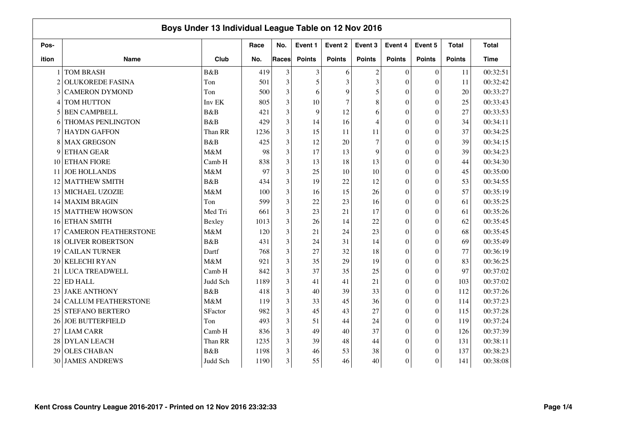|                |                             | Boys Under 13 Individual League Table on 12 Nov 2016 |      |              |               |                |                |                  |                  |               |              |
|----------------|-----------------------------|------------------------------------------------------|------|--------------|---------------|----------------|----------------|------------------|------------------|---------------|--------------|
| Pos-           |                             |                                                      | Race | No.          | Event 1       | Event 2        | Event 3        | Event 4          | Event 5          | <b>Total</b>  | <b>Total</b> |
| ition          | <b>Name</b>                 | Club                                                 | No.  | <b>Races</b> | <b>Points</b> | <b>Points</b>  | <b>Points</b>  | <b>Points</b>    | <b>Points</b>    | <b>Points</b> | <b>Time</b>  |
|                | <b>TOM BRASH</b>            | B&B                                                  | 419  | 3            | 3             | 6              | $\overline{c}$ | $\mathbf{0}$     | $\boldsymbol{0}$ | 11            | 00:32:51     |
| $\mathfrak{D}$ | <b>OLUKOREDE FASINA</b>     | Ton                                                  | 501  | 3            | 5             | 3              | 3              | $\overline{0}$   | $\theta$         | 11            | 00:32:42     |
| 3              | <b>CAMERON DYMOND</b>       | Ton                                                  | 500  | 3            | 6             | 9              | 5              | $\overline{0}$   | $\theta$         | 20            | 00:33:27     |
| 4              | TOM HUTTON                  | Inv EK                                               | 805  | 3            | 10            | $\overline{7}$ | 8              | $\theta$         | $\theta$         | 25            | 00:33:43     |
| 5              | <b>BEN CAMPBELL</b>         | B&B                                                  | 421  | 3            | 9             | 12             | 6              | $\theta$         | $\overline{0}$   | 27            | 00:33:53     |
| 6              | THOMAS PENLINGTON           | B&B                                                  | 429  | 3            | 14            | 16             | 4              | $\theta$         | $\overline{0}$   | 34            | 00:34:11     |
|                | <b>HAYDN GAFFON</b>         | Than RR                                              | 1236 | 3            | 15            | 11             | 11             | $\theta$         | $\theta$         | 37            | 00:34:25     |
| 8              | <b>MAX GREGSON</b>          | <b>B</b> &B                                          | 425  | 3            | 12            | 20             | 7              | $\theta$         | $\overline{0}$   | 39            | 00:34:15     |
| 9              | <b>ETHAN GEAR</b>           | M&M                                                  | 98   | 3            | 17            | 13             | 9              | $\theta$         | $\Omega$         | 39            | 00:34:23     |
| 10             | <b>ETHAN FIORE</b>          | Camb H                                               | 838  | 3            | 13            | 18             | 13             | $\theta$         | $\theta$         | 44            | 00:34:30     |
| 11             | <b>JOE HOLLANDS</b>         | M&M                                                  | 97   | 3            | 25            | 10             | 10             | $\theta$         | $\theta$         | 45            | 00:35:00     |
| 12             | <b>MATTHEW SMITH</b>        | B&B                                                  | 434  | 3            | 19            | 22             | 12             | $\theta$         | $\overline{0}$   | 53            | 00:34:55     |
| 13             | MICHAEL UZOZIE              | M&M                                                  | 100  | 3            | 16            | 15             | 26             | $\theta$         | $\theta$         | 57            | 00:35:19     |
| 14             | <b>MAXIM BRAGIN</b>         | Ton                                                  | 599  | 3            | 22            | 23             | 16             | $\theta$         | $\Omega$         | 61            | 00:35:25     |
| 15             | <b>MATTHEW HOWSON</b>       | Med Tri                                              | 661  | 3            | 23            | 21             | 17             | $\theta$         | $\theta$         | 61            | 00:35:26     |
| 16             | <b>ETHAN SMITH</b>          | Bexley                                               | 1013 | 3            | 26            | 14             | 22             | $\theta$         | $\Omega$         | 62            | 00:35:45     |
| 17             | <b>CAMERON FEATHERSTONE</b> | M&M                                                  | 120  | 3            | 21            | 24             | 23             | $\theta$         | $\overline{0}$   | 68            | 00:35:45     |
| 18             | <b>OLIVER ROBERTSON</b>     | <b>B</b> &B                                          | 431  | 3            | 24            | 31             | 14             | $\theta$         | $\theta$         | 69            | 00:35:49     |
| 19             | <b>CAILAN TURNER</b>        | Dartf                                                | 768  | 3            | 27            | 32             | 18             | $\theta$         | $\overline{0}$   | 77            | 00:36:19     |
| 20             | <b>KELECHI RYAN</b>         | M&M                                                  | 921  | 3            | 35            | 29             | 19             | $\theta$         | $\overline{0}$   | 83            | 00:36:25     |
| 21             | <b>LUCA TREADWELL</b>       | Camb H                                               | 842  | 3            | 37            | 35             | 25             | $\theta$         | $\Omega$         | 97            | 00:37:02     |
| 22             | ED HALL                     | Judd Sch                                             | 1189 | 3            | 41            | 41             | 21             | $\mathbf{0}$     | $\overline{0}$   | 103           | 00:37:02     |
| 23             | <b>JAKE ANTHONY</b>         | <b>B&amp;B</b>                                       | 418  | 3            | 40            | 39             | 33             | $\overline{0}$   | $\overline{0}$   | 112           | 00:37:26     |
| 24             | <b>CALLUM FEATHERSTONE</b>  | M&M                                                  | 119  | 3            | 33            | 45             | 36             | $\overline{0}$   | $\overline{0}$   | 114           | 00:37:23     |
| 25             | <b>STEFANO BERTERO</b>      | SFactor                                              | 982  | 3            | 45            | 43             | 27             | $\overline{0}$   | $\overline{0}$   | 115           | 00:37:28     |
| 26             | <b>JOE BUTTERFIELD</b>      | Ton                                                  | 493  | 3            | 51            | 44             | 24             | $\boldsymbol{0}$ | $\boldsymbol{0}$ | 119           | 00:37:24     |
| 27             | <b>LIAM CARR</b>            | Camb H                                               | 836  | 3            | 49            | 40             | 37             | $\boldsymbol{0}$ | $\theta$         | 126           | 00:37:39     |
| 28             | <b>DYLAN LEACH</b>          | Than RR                                              | 1235 | 3            | 39            | 48             | 44             | $\mathbf{0}$     | $\theta$         | 131           | 00:38:11     |
| 29             | <b>OLES CHABAN</b>          | B&B                                                  | 1198 | 3            | 46            | 53             | 38             | $\overline{0}$   | $\theta$         | 137           | 00:38:23     |
| 30             | <b>JAMES ANDREWS</b>        | Judd Sch                                             | 1190 | 3            | 55            | 46             | 40             | $\boldsymbol{0}$ | $\theta$         | 141           | 00:38:08     |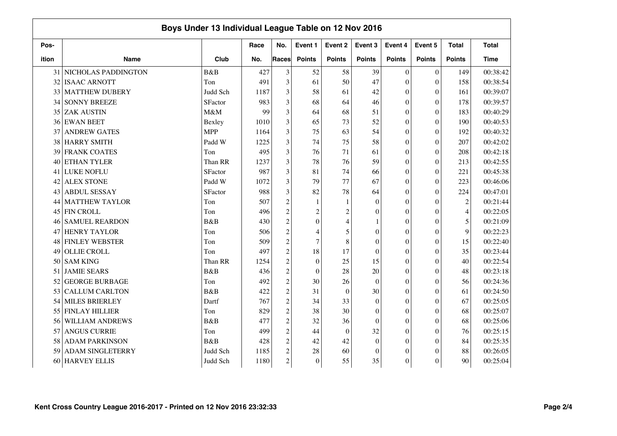|       | Boys Under 13 Individual League Table on 12 Nov 2016 |                |      |                  |                         |                  |                  |                  |                  |                  |              |
|-------|------------------------------------------------------|----------------|------|------------------|-------------------------|------------------|------------------|------------------|------------------|------------------|--------------|
| Pos-  |                                                      |                | Race | No.              | Event 1                 | Event 2          | Event 3          | Event 4          | Event 5          | <b>Total</b>     | <b>Total</b> |
| ition | <b>Name</b>                                          | Club           | No.  | <b>Races</b>     | <b>Points</b>           | <b>Points</b>    | <b>Points</b>    | <b>Points</b>    | <b>Points</b>    | <b>Points</b>    | <b>Time</b>  |
| 31    | NICHOLAS PADDINGTON                                  | B&B            | 427  | 3                | 52                      | 58               | 39               | $\mathbf{0}$     | $\boldsymbol{0}$ | 149              | 00:38:42     |
| 32    | <b>ISAAC ARNOTT</b>                                  | Ton            | 491  | 3                | 61                      | 50               | 47               | $\boldsymbol{0}$ | $\theta$         | 158              | 00:38:54     |
| 33    | <b>MATTHEW DUBERY</b>                                | Judd Sch       | 1187 | 3                | 58                      | 61               | 42               | $\mathbf{0}$     | $\theta$         | 161              | 00:39:07     |
| 34    | <b>SONNY BREEZE</b>                                  | SFactor        | 983  | 3                | 68                      | 64               | 46               | $\mathbf{0}$     | $\boldsymbol{0}$ | 178              | 00:39:57     |
| 35    | <b>ZAK AUSTIN</b>                                    | M&M            | 99   | 3                | 64                      | 68               | 51               | $\theta$         | $\overline{0}$   | 183              | 00:40:29     |
| 36    | <b>EWAN BEET</b>                                     | Bexley         | 1010 | 3                | 65                      | 73               | 52               | $\theta$         | $\theta$         | 190              | 00:40:53     |
| 37    | <b>ANDREW GATES</b>                                  | <b>MPP</b>     | 1164 | 3                | 75                      | 63               | 54               | $\theta$         | $\theta$         | 192              | 00:40:32     |
| 38    | <b>HARRY SMITH</b>                                   | Padd W         | 1225 | 3                | 74                      | 75               | 58               | $\theta$         | $\theta$         | 207              | 00:42:02     |
| 39    | <b>FRANK COATES</b>                                  | Ton            | 495  | 3                | 76                      | 71               | 61               | $\theta$         | $\theta$         | 208              | 00:42:18     |
| 40    | <b>ETHAN TYLER</b>                                   | Than RR        | 1237 | 3                | 78                      | 76               | 59               | $\overline{0}$   | $\theta$         | 213              | 00:42:55     |
| 41    | LUKE NOFLU                                           | SFactor        | 987  | 3                | 81                      | 74               | 66               | $\theta$         | $\boldsymbol{0}$ | 221              | 00:45:38     |
| 42    | <b>ALEX STONE</b>                                    | Padd W         | 1072 | 3                | 79                      | 77               | 67               | $\theta$         | $\overline{0}$   | 223              | 00:46:06     |
| 43    | <b>ABDUL SESSAY</b>                                  | SFactor        | 988  | 3                | 82                      | 78               | 64               | $\theta$         | $\overline{0}$   | 224              | 00:47:01     |
| 44    | <b>MATTHEW TAYLOR</b>                                | Ton            | 507  | $\overline{c}$   | $\mathbf{1}$            | $\mathbf{1}$     | $\Omega$         | $\theta$         | $\Omega$         | $\boldsymbol{2}$ | 00:21:44     |
| 45    | <b>FIN CROLL</b>                                     | Ton            | 496  | $\overline{c}$   | $\overline{\mathbf{c}}$ | $\overline{c}$   | $\theta$         | $\theta$         | $\overline{0}$   | $\overline{4}$   | 00:22:05     |
| 46    | <b>SAMUEL REARDON</b>                                | B&B            | 430  | $\overline{c}$   | $\theta$                | $\overline{4}$   |                  | $\theta$         | $\overline{0}$   | 5                | 00:21:09     |
| 47    | <b>HENRY TAYLOR</b>                                  | Ton            | 506  | $\overline{c}$   | 4                       | 5                | $\theta$         | $\theta$         | $\overline{0}$   | 9                | 00:22:23     |
| 48    | <b>FINLEY WEBSTER</b>                                | Ton            | 509  | $\overline{c}$   | $\overline{7}$          | 8                | $\Omega$         | $\theta$         | $\theta$         | 15               | 00:22:40     |
| 49    | <b>OLLIE CROLL</b>                                   | Ton            | 497  | $\overline{c}$   | 18                      | 17               | $\theta$         | $\theta$         | $\overline{0}$   | 35               | 00:23:44     |
| 50    | <b>SAM KING</b>                                      | Than RR        | 1254 | $\overline{c}$   | $\boldsymbol{0}$        | 25               | 15               | $\theta$         | $\overline{0}$   | 40               | 00:22:54     |
| 51    | <b>JAMIE SEARS</b>                                   | <b>B&amp;B</b> | 436  | $\overline{c}$   | $\boldsymbol{0}$        | 28               | 20               | $\theta$         | $\Omega$         | 48               | 00:23:18     |
| 52    | <b>GEORGE BURBAGE</b>                                | Ton            | 492  | $\overline{c}$   | 30                      | 26               | $\Omega$         | $\mathbf{0}$     | $\boldsymbol{0}$ | 56               | 00:24:36     |
| 53    | <b>CALLUM CARLTON</b>                                | <b>B</b> &B    | 422  | $\overline{c}$   | 31                      | $\overline{0}$   | 30               | $\overline{0}$   | $\overline{0}$   | 61               | 00:24:50     |
| 54    | <b>MILES BRIERLEY</b>                                | Dartf          | 767  | $\overline{c}$   | 34                      | 33               | $\mathbf{0}$     | $\overline{0}$   | $\overline{0}$   | 67               | 00:25:05     |
| 55    | <b>FINLAY HILLIER</b>                                | Ton            | 829  | $\overline{c}$   | 38                      | 30               | $\mathbf{0}$     | $\overline{0}$   | $\overline{0}$   | 68               | 00:25:07     |
| 56    | <b>WILLIAM ANDREWS</b>                               | <b>B</b> &B    | 477  | $\overline{c}$   | 32                      | 36               | $\mathbf{0}$     | $\overline{0}$   | $\boldsymbol{0}$ | 68               | 00:25:06     |
| 57    | <b>ANGUS CURRIE</b>                                  | Ton            | 499  | $\overline{c}$   | 44                      | $\boldsymbol{0}$ | 32               | $\overline{0}$   | $\theta$         | 76               | 00:25:15     |
| 58    | <b>ADAM PARKINSON</b>                                | B&B            | 428  | $\boldsymbol{2}$ | 42                      | 42               | $\theta$         | $\mathbf{0}$     | $\theta$         | 84               | 00:25:35     |
| 59    | <b>ADAM SINGLETERRY</b>                              | Judd Sch       | 1185 | $\overline{c}$   | 28                      | 60               | $\boldsymbol{0}$ | $\overline{0}$   | $\overline{0}$   | 88               | 00:26:05     |
| 60    | <b>HARVEY ELLIS</b>                                  | Judd Sch       | 1180 | $\overline{c}$   | $\mathbf{0}$            | 55               | 35               | $\boldsymbol{0}$ | $\theta$         | 90               | 00:25:04     |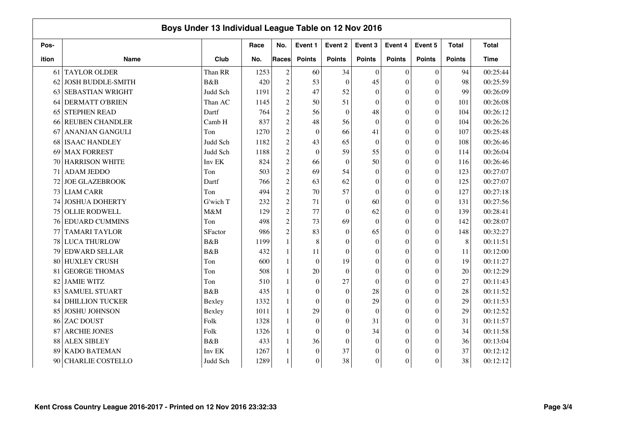|       | Boys Under 13 Individual League Table on 12 Nov 2016 |             |      |                  |                  |                  |                  |                  |                  |               |              |
|-------|------------------------------------------------------|-------------|------|------------------|------------------|------------------|------------------|------------------|------------------|---------------|--------------|
| Pos-  |                                                      |             | Race | No.              | Event 1          | Event 2          | Event 3          | Event 4          | Event 5          | <b>Total</b>  | <b>Total</b> |
| ition | <b>Name</b>                                          | Club        | No.  | <b>Races</b>     | <b>Points</b>    | <b>Points</b>    | <b>Points</b>    | <b>Points</b>    | <b>Points</b>    | <b>Points</b> | <b>Time</b>  |
| 61    | <b>TAYLOR OLDER</b>                                  | Than RR     | 1253 | $\boldsymbol{2}$ | 60               | 34               | $\theta$         | $\mathbf{0}$     | $\boldsymbol{0}$ | 94            | 00:25:44     |
| 62    | <b>JOSH BUDDLE-SMITH</b>                             | B&B         | 420  | $\overline{c}$   | 53               | $\boldsymbol{0}$ | 45               | $\boldsymbol{0}$ | $\theta$         | 98            | 00:25:59     |
| 63    | <b>SEBASTIAN WRIGHT</b>                              | Judd Sch    | 1191 | $\overline{c}$   | 47               | 52               | $\theta$         | $\overline{0}$   | $\boldsymbol{0}$ | 99            | 00:26:09     |
| 64    | <b>DERMATT O'BRIEN</b>                               | Than AC     | 1145 | $\overline{c}$   | 50               | 51               | $\mathbf{0}$     | $\mathbf{0}$     | $\boldsymbol{0}$ | 101           | 00:26:08     |
| 65    | <b>STEPHEN READ</b>                                  | Dartf       | 764  | $\overline{c}$   | 56               | $\boldsymbol{0}$ | 48               | $\boldsymbol{0}$ | $\overline{0}$   | 104           | 00:26:12     |
| 66    | <b>REUBEN CHANDLER</b>                               | Camb H      | 837  | $\overline{c}$   | 48               | 56               | $\theta$         | $\overline{0}$   | $\theta$         | 104           | 00:26:26     |
| 67    | <b>ANANJAN GANGULI</b>                               | Ton         | 1270 | $\boldsymbol{2}$ | $\mathbf{0}$     | 66               | 41               | $\theta$         | $\theta$         | 107           | 00:25:48     |
| 68    | <b>ISAAC HANDLEY</b>                                 | Judd Sch    | 1182 | $\overline{c}$   | 43               | 65               | $\Omega$         | $\theta$         | $\theta$         | 108           | 00:26:46     |
| 69    | <b>MAX FORREST</b>                                   | Judd Sch    | 1188 | $\overline{c}$   | $\mathbf{0}$     | 59               | 55               | $\overline{0}$   | $\theta$         | 114           | 00:26:04     |
| 70    | <b>HARRISON WHITE</b>                                | Inv EK      | 824  | $\overline{c}$   | 66               | $\boldsymbol{0}$ | 50               | $\overline{0}$   | $\theta$         | 116           | 00:26:46     |
| 71    | <b>ADAM JEDDO</b>                                    | Ton         | 503  | $\overline{c}$   | 69               | 54               | $\mathbf{0}$     | $\overline{0}$   | $\boldsymbol{0}$ | 123           | 00:27:07     |
| 72    | <b>JOE GLAZEBROOK</b>                                | Dartf       | 766  | $\overline{c}$   | 63               | 62               | $\Omega$         | $\boldsymbol{0}$ | $\overline{0}$   | 125           | 00:27:07     |
| 73    | <b>LIAM CARR</b>                                     | Ton         | 494  | $\overline{c}$   | 70               | 57               | $\Omega$         | $\overline{0}$   | $\theta$         | 127           | 00:27:18     |
| 74    | <b>JOSHUA DOHERTY</b>                                | G'wich T    | 232  | $\overline{c}$   | 71               | $\mathbf{0}$     | 60               | $\theta$         | $\theta$         | 131           | 00:27:56     |
| 75    | <b>OLLIE RODWELL</b>                                 | M&M         | 129  | $\overline{c}$   | 77               | $\theta$         | 62               | $\theta$         | $\theta$         | 139           | 00:28:41     |
| 76    | <b>EDUARD CUMMINS</b>                                | Ton         | 498  | $\overline{c}$   | 73               | 69               | $\Omega$         | $\overline{0}$   | $\theta$         | 142           | 00:28:07     |
| 77    | <b>TAMARI TAYLOR</b>                                 | SFactor     | 986  | $\overline{c}$   | 83               | $\boldsymbol{0}$ | 65               | $\overline{0}$   | $\theta$         | 148           | 00:32:27     |
| 78    | <b>LUCA THURLOW</b>                                  | B&B         | 1199 | $\mathbf{1}$     | 8                | $\overline{0}$   | $\mathbf{0}$     | $\overline{0}$   | $\boldsymbol{0}$ | $\,8\,$       | 00:11:51     |
| 79    | <b>EDWARD SELLAR</b>                                 | B&B         | 432  | $\mathbf{1}$     | 11               | $\boldsymbol{0}$ | $\mathbf{0}$     | $\boldsymbol{0}$ | $\boldsymbol{0}$ | 11            | 00:12:00     |
| 80    | <b>HUXLEY CRUSH</b>                                  | Ton         | 600  | $\mathbf{1}$     | $\mathbf{0}$     | 19               | $\Omega$         | $\overline{0}$   | $\theta$         | 19            | 00:11:27     |
| 81    | <b>GEORGE THOMAS</b>                                 | Ton         | 508  | $\mathbf{1}$     | 20               | $\overline{0}$   | $\theta$         | $\theta$         | $\theta$         | 20            | 00:12:29     |
| 82    | <b>JAMIE WITZ</b>                                    | Ton         | 510  | 1                | $\mathbf{0}$     | 27               | $\theta$         | $\theta$         | $\theta$         | 27            | 00:11:43     |
| 83    | <b>SAMUEL STUART</b>                                 | <b>B</b> &B | 435  | 1                | $\mathbf{0}$     | $\boldsymbol{0}$ | 28               | $\overline{0}$   | $\theta$         | 28            | 00:11:52     |
| 84    | <b>DHILLION TUCKER</b>                               | Bexley      | 1332 | $\mathbf{1}$     | $\mathbf{0}$     | $\boldsymbol{0}$ | 29               | $\overline{0}$   | $\theta$         | 29            | 00:11:53     |
| 85    | <b>JOSHU JOHNSON</b>                                 | Bexley      | 1011 | $\mathbf{1}$     | 29               | $\boldsymbol{0}$ | $\theta$         | $\overline{0}$   | $\boldsymbol{0}$ | 29            | 00:12:52     |
| 86    | ZAC DOUST                                            | Folk        | 1328 | $\mathbf{1}$     | $\mathbf{0}$     | $\theta$         | 31               | $\theta$         | $\theta$         | 31            | 00:11:57     |
| 87    | <b>ARCHIE JONES</b>                                  | Folk        | 1326 | $\mathbf{1}$     | $\boldsymbol{0}$ | $\theta$         | 34               | $\overline{0}$   | $\theta$         | 34            | 00:11:58     |
| 88    | <b>ALEX SIBLEY</b>                                   | B&B         | 433  | 1                | 36               | $\overline{0}$   | $\Omega$         | $\overline{0}$   | $\theta$         | 36            | 00:13:04     |
| 89    | <b>KADO BATEMAN</b>                                  | Inv EK      | 1267 |                  | $\mathbf{0}$     | 37               | $\boldsymbol{0}$ | $\overline{0}$   | $\theta$         | 37            | 00:12:12     |
| 90    | <b>CHARLIE COSTELLO</b>                              | Judd Sch    | 1289 | $\mathbf{1}$     | $\mathbf{0}$     | 38               | $\theta$         | $\boldsymbol{0}$ | $\theta$         | 38            | 00:12:12     |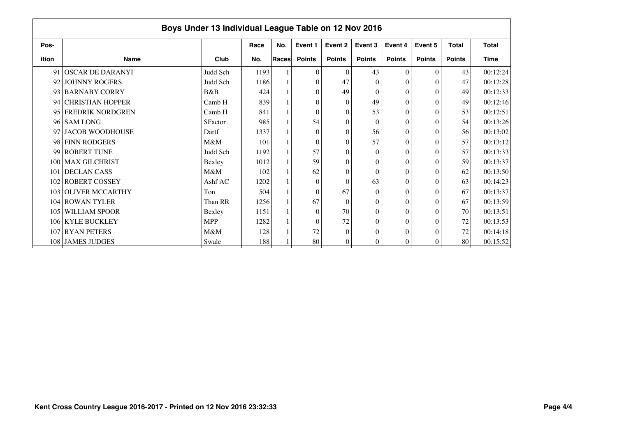|       | Boys Under 13 Individual League Table on 12 Nov 2016 |                |      |       |               |                |               |                |               |               |              |  |  |  |
|-------|------------------------------------------------------|----------------|------|-------|---------------|----------------|---------------|----------------|---------------|---------------|--------------|--|--|--|
| Pos-  |                                                      |                | Race | No.   | Event 1       | Event 2        | Event 3       | Event 4        | Event 5       | <b>Total</b>  | <b>Total</b> |  |  |  |
| ition | <b>Name</b>                                          | Club           | No.  | Races | <b>Points</b> | <b>Points</b>  | <b>Points</b> | <b>Points</b>  | <b>Points</b> | <b>Points</b> | <b>Time</b>  |  |  |  |
| 91    | <b>OSCAR DE DARANYI</b>                              | Judd Sch       | 1193 |       | $\mathbf{0}$  | $\theta$       | 43            | $\theta$       | $\theta$      | 43            | 00:12:24     |  |  |  |
|       | 92 JOHNNY ROGERS                                     | Judd Sch       | 1186 |       | $\theta$      | 47             | $\Omega$      | 0              | $\theta$      | 47            | 00:12:28     |  |  |  |
|       | 93 BARNABY CORRY                                     | B&B            | 424  |       | $\theta$      | 49             | $\Omega$      | 0              | $\Omega$      | 49            | 00:12:33     |  |  |  |
| 94    | <b>CHRISTIAN HOPPER</b>                              | Camb H         | 839  |       | $\theta$      | $\Omega$       | 49            | $\Omega$       | $\theta$      | 49            | 00:12:46     |  |  |  |
|       | 95 FREDRIK NORDGREN                                  | Camb H         | 841  |       | $\theta$      | $\Omega$       | 53            | $\theta$       | $\Omega$      | 53            | 00:12:51     |  |  |  |
|       | 96 SAM LONG                                          | <b>SFactor</b> | 985  |       | 54            | $\theta$       | $\Omega$      | $\Omega$       | $\theta$      | 54            | 00:13:26     |  |  |  |
| 97    | <b>JACOB WOODHOUSE</b>                               | Dartf          | 1337 |       | $\Omega$      | $\theta$       | 56            | $\Omega$       | $\theta$      | 56            | 00:13:02     |  |  |  |
|       | 98 FINN RODGERS                                      | M&M            | 101  |       | $\Omega$      | $\Omega$       | 57            | 0              | $\theta$      | 57            | 00:13:12     |  |  |  |
|       | 99 ROBERT TUNE                                       | Judd Sch       | 1192 |       | 57            | $\Omega$       | $\Omega$      | $\Omega$       | $\Omega$      | 57            | 00:13:33     |  |  |  |
|       | 100 MAX GILCHRIST                                    | Bexley         | 1012 |       | 59            | $\theta$       | 0             | 0              | $\theta$      | 59            | 00:13:37     |  |  |  |
| 101   | <b>DECLAN CASS</b>                                   | M&M            | 102  |       | 62            | $\theta$       | $\Omega$      | $\Omega$       | $\theta$      | 62            | 00:13:50     |  |  |  |
|       | 102 ROBERT COSSEY                                    | Ashf AC        | 1202 |       | $\Omega$      | $\Omega$       | 63            | $\theta$       | $\theta$      | 63            | 00:14:23     |  |  |  |
|       | 103 OLIVER MCCARTHY                                  | Ton            | 504  |       | $\Omega$      | 67             | $\Omega$      | $\theta$       | $\theta$      | 67            | 00:13:37     |  |  |  |
|       | 104 ROWAN TYLER                                      | Than RR        | 1256 |       | 67            | $\theta$       | 0             | $\Omega$       | $\theta$      | 67            | 00:13:59     |  |  |  |
| 105   | <b>WILLIAM SPOOR</b>                                 | Bexley         | 1151 |       | $\theta$      | 70             | $\Omega$      | 0              | $\theta$      | 70            | 00:13:51     |  |  |  |
|       | 106 KYLE BUCKLEY                                     | <b>MPP</b>     | 1282 |       | $\theta$      | 72             | $\Omega$      | $\theta$       | $\Omega$      | 72            | 00:13:53     |  |  |  |
|       | 107 RYAN PETERS                                      | M&M            | 128  |       | 72            | $\Omega$       | $\theta$      | $\Omega$       | $\Omega$      | 72            | 00:14:18     |  |  |  |
|       | 108 JAMES JUDGES                                     | Swale          | 188  |       | 80            | $\overline{0}$ | 0             | $\overline{0}$ | $\Omega$      | 80            | 00:15:52     |  |  |  |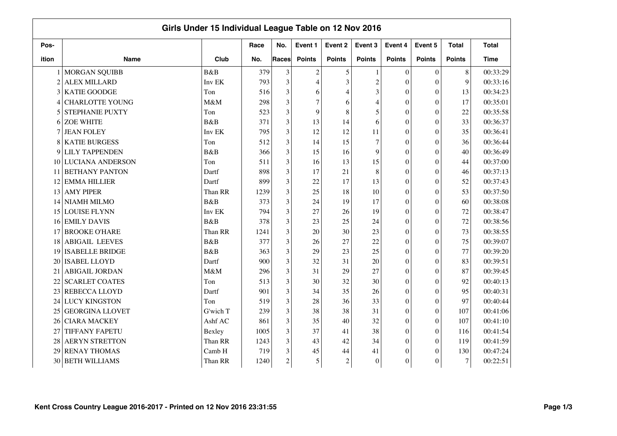|                |                         | Girls Under 15 Individual League Table on 12 Nov 2016 |      |                |                  |                |                |                  |                  |               |              |
|----------------|-------------------------|-------------------------------------------------------|------|----------------|------------------|----------------|----------------|------------------|------------------|---------------|--------------|
| Pos-           |                         |                                                       | Race | No.            | Event 1          | Event 2        | Event 3        | Event 4          | Event 5          | <b>Total</b>  | <b>Total</b> |
| ition          | <b>Name</b>             | Club                                                  | No.  | <b>Races</b>   | <b>Points</b>    | <b>Points</b>  | <b>Points</b>  | <b>Points</b>    | <b>Points</b>    | <b>Points</b> | <b>Time</b>  |
|                | <b>MORGAN SQUIBB</b>    | B&B                                                   | 379  | 3              | $\boldsymbol{2}$ | 5              |                | $\mathbf{0}$     | $\boldsymbol{0}$ | $8\,$         | 00:33:29     |
| $\overline{2}$ | <b>ALEX MILLARD</b>     | Inv EK                                                | 793  | 3              | 4                | 3              | $\overline{c}$ | $\boldsymbol{0}$ | $\overline{0}$   | 9             | 00:33:16     |
| 3              | <b>KATIE GOODGE</b>     | Ton                                                   | 516  | 3              | 6                | $\overline{4}$ | 3              | $\theta$         | $\overline{0}$   | 13            | 00:34:23     |
| 4              | <b>CHARLOTTE YOUNG</b>  | M&M                                                   | 298  | 3              | 7                | 6              | $\overline{4}$ | $\theta$         | $\boldsymbol{0}$ | 17            | 00:35:01     |
| 5              | <b>STEPHANIE PUXTY</b>  | Ton                                                   | 523  | 3              | 9                | 8              | 5              | $\theta$         | $\overline{0}$   | 22            | 00:35:58     |
| 6              | <b>ZOE WHITE</b>        | B&B                                                   | 371  | 3              | 13               | 14             | 6              | $\theta$         | $\overline{0}$   | 33            | 00:36:37     |
| 7              | <b>JEAN FOLEY</b>       | Inv EK                                                | 795  | 3              | 12               | 12             | 11             | $\theta$         | $\theta$         | 35            | 00:36:41     |
| 8              | <b>KATIE BURGESS</b>    | Ton                                                   | 512  | 3              | 14               | 15             | 7              | $\theta$         | $\overline{0}$   | 36            | 00:36:44     |
| 9              | <b>LILY TAPPENDEN</b>   | <b>B</b> &B                                           | 366  | 3              | 15               | 16             | 9              | $\theta$         | $\overline{0}$   | 40            | 00:36:49     |
| 10             | <b>LUCIANA ANDERSON</b> | Ton                                                   | 511  | 3              | 16               | 13             | 15             | $\theta$         | $\overline{0}$   | 44            | 00:37:00     |
| 11             | <b>BETHANY PANTON</b>   | Dartf                                                 | 898  | 3              | 17               | 21             | 8              | $\theta$         | $\theta$         | 46            | 00:37:13     |
| 12             | <b>EMMA HILLIER</b>     | Dartf                                                 | 899  | 3              | 22               | 17             | 13             | $\theta$         | $\overline{0}$   | 52            | 00:37:43     |
| 13             | <b>AMY PIPER</b>        | Than RR                                               | 1239 | 3              | 25               | 18             | 10             | $\theta$         | $\overline{0}$   | 53            | 00:37:50     |
| 14             | NIAMH MILMO             | B&B                                                   | 373  | 3              | 24               | 19             | 17             | $\theta$         | $\Omega$         | 60            | 00:38:08     |
| 15             | <b>LOUISE FLYNN</b>     | Inv EK                                                | 794  | 3              | 27               | 26             | 19             | $\theta$         | $\theta$         | 72            | 00:38:47     |
| 16             | <b>EMILY DAVIS</b>      | B&B                                                   | 378  | 3              | 23               | 25             | 24             | $\theta$         | $\overline{0}$   | 72            | 00:38:56     |
| 17             | <b>BROOKE O'HARE</b>    | Than RR                                               | 1241 | 3              | 20               | 30             | 23             | $\theta$         | $\overline{0}$   | 73            | 00:38:55     |
| 18             | <b>ABIGAIL LEEVES</b>   | <b>B</b> &B                                           | 377  | 3              | 26               | 27             | 22             | $\theta$         | $\theta$         | 75            | 00:39:07     |
| 19             | <b>ISABELLE BRIDGE</b>  | <b>B</b> &B                                           | 363  | 3              | 29               | 23             | 25             | $\theta$         | $\overline{0}$   | 77            | 00:39:20     |
| 20             | <b>ISABEL LLOYD</b>     | Dartf                                                 | 900  | 3              | 32               | 31             | 20             | $\theta$         | $\overline{0}$   | 83            | 00:39:51     |
| 21             | <b>ABIGAIL JORDAN</b>   | M&M                                                   | 296  | 3              | 31               | 29             | 27             | $\theta$         | $\Omega$         | 87            | 00:39:45     |
| 22             | <b>SCARLET COATES</b>   | Ton                                                   | 513  | 3              | 30               | 32             | 30             | $\boldsymbol{0}$ | $\Omega$         | 92            | 00:40:13     |
| 23             | REBECCA LLOYD           | Dartf                                                 | 901  | 3              | 34               | 35             | 26             | $\overline{0}$   | $\overline{0}$   | 95            | 00:40:31     |
| 24             | <b>LUCY KINGSTON</b>    | Ton                                                   | 519  | 3              | 28               | 36             | 33             | $\overline{0}$   | $\overline{0}$   | 97            | 00:40:44     |
| 25             | <b>GEORGINA LLOVET</b>  | G'wich T                                              | 239  | 3              | 38               | 38             | 31             | $\overline{0}$   | $\mathbf{0}$     | 107           | 00:41:06     |
| 26             | <b>CIARA MACKEY</b>     | Ashf AC                                               | 861  | 3              | 35               | 40             | 32             | $\boldsymbol{0}$ | $\boldsymbol{0}$ | 107           | 00:41:10     |
| 27             | <b>TIFFANY FAPETU</b>   | Bexley                                                | 1005 | 3              | 37               | 41             | 38             | $\boldsymbol{0}$ | $\theta$         | 116           | 00:41:54     |
| 28             | <b>AERYN STRETTON</b>   | Than RR                                               | 1243 | 3              | 43               | 42             | 34             | $\overline{0}$   | $\theta$         | 119           | 00:41:59     |
| 29             | <b>RENAY THOMAS</b>     | Camb H                                                | 719  | 3              | 45               | 44             | 41             | $\overline{0}$   | $\theta$         | 130           | 00:47:24     |
| 30             | <b>BETH WILLIAMS</b>    | Than RR                                               | 1240 | $\overline{c}$ | 5                | $\overline{c}$ | $\mathbf{0}$   | $\boldsymbol{0}$ | $\theta$         | $\tau$        | 00:22:51     |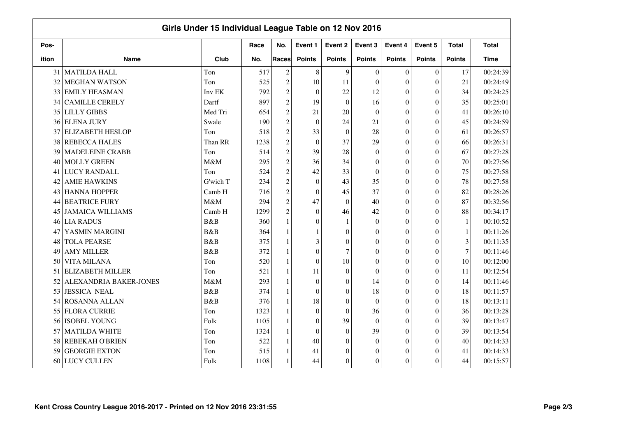|       |                         | Girls Under 15 Individual League Table on 12 Nov 2016 |      |                |                  |                  |                  |                  |                  |                |              |
|-------|-------------------------|-------------------------------------------------------|------|----------------|------------------|------------------|------------------|------------------|------------------|----------------|--------------|
| Pos-  |                         |                                                       | Race | No.            | Event 1          | Event 2          | Event 3          | Event 4          | Event 5          | <b>Total</b>   | <b>Total</b> |
| ition | <b>Name</b>             | Club                                                  | No.  | <b>Races</b>   | <b>Points</b>    | <b>Points</b>    | <b>Points</b>    | <b>Points</b>    | <b>Points</b>    | <b>Points</b>  | <b>Time</b>  |
| 31    | <b>MATILDA HALL</b>     | Ton                                                   | 517  | $\overline{c}$ | 8                | 9                | $\Omega$         | $\mathbf{0}$     | $\boldsymbol{0}$ | 17             | 00:24:39     |
| 32    | <b>MEGHAN WATSON</b>    | Ton                                                   | 525  | $\overline{c}$ | 10               | 11               | $\Omega$         | $\theta$         | $\overline{0}$   | 21             | 00:24:49     |
| 33    | <b>EMILY HEASMAN</b>    | Inv EK                                                | 792  | $\overline{c}$ | $\mathbf{0}$     | 22               | 12               | $\Omega$         | $\theta$         | 34             | 00:24:25     |
| 34    | <b>CAMILLE CERELY</b>   | Dartf                                                 | 897  | $\overline{c}$ | 19               | $\boldsymbol{0}$ | 16               | $\theta$         | $\boldsymbol{0}$ | 35             | 00:25:01     |
| 35    | <b>LILLY GIBBS</b>      | Med Tri                                               | 654  | $\overline{c}$ | 21               | 20               | $\theta$         | $\theta$         | $\overline{0}$   | 41             | 00:26:10     |
| 36    | <b>ELENA JURY</b>       | Swale                                                 | 190  | $\overline{c}$ | $\mathbf{0}$     | 24               | 21               | $\theta$         | $\theta$         | 45             | 00:24:59     |
| 37    | <b>ELIZABETH HESLOP</b> | Ton                                                   | 518  | $\overline{c}$ | 33               | $\theta$         | 28               | $\theta$         | $\theta$         | 61             | 00:26:57     |
| 38    | <b>REBECCA HALES</b>    | Than RR                                               | 1238 | $\overline{c}$ | $\boldsymbol{0}$ | 37               | 29               | $\theta$         | $\overline{0}$   | 66             | 00:26:31     |
| 39    | <b>MADELEINE CRABB</b>  | Ton                                                   | 514  | $\overline{c}$ | 39               | 28               | $\Omega$         | $\theta$         | $\Omega$         | 67             | 00:27:28     |
| 40    | <b>MOLLY GREEN</b>      | M&M                                                   | 295  | $\overline{c}$ | 36               | 34               | $\theta$         | $\theta$         | $\overline{0}$   | 70             | 00:27:56     |
| 41    | <b>LUCY RANDALL</b>     | Ton                                                   | 524  | $\overline{c}$ | 42               | 33               | $\theta$         | $\theta$         | $\theta$         | 75             | 00:27:58     |
| 42    | <b>AMIE HAWKINS</b>     | G'wich T                                              | 234  | $\overline{c}$ | $\mathbf{0}$     | 43               | 35               | $\theta$         | $\overline{0}$   | 78             | 00:27:58     |
| 43    | <b>HANNA HOPPER</b>     | Camb H                                                | 716  | $\overline{c}$ | $\mathbf{0}$     | 45               | 37               | $\theta$         | $\overline{0}$   | 82             | 00:28:26     |
| 44    | <b>BEATRICE FURY</b>    | M&M                                                   | 294  | $\overline{c}$ | 47               | $\Omega$         | 40               | $\theta$         | $\Omega$         | 87             | 00:32:56     |
| 45    | <b>JAMAICA WILLIAMS</b> | Camb H                                                | 1299 | $\overline{c}$ | $\theta$         | 46               | 42               | $\theta$         | $\theta$         | 88             | 00:34:17     |
| 46    | <b>LIA RADUS</b>        | B&B                                                   | 360  | $\mathbf{1}$   | $\theta$         | $\mathbf{1}$     | $\Omega$         | $\theta$         | $\overline{0}$   | $\mathbf{1}$   | 00:10:52     |
| 47    | YASMIN MARGINI          | B&B                                                   | 364  | $\mathbf{1}$   | 1                | $\overline{0}$   | $\Omega$         | $\theta$         | $\overline{0}$   | $\mathbf{1}$   | 00:11:26     |
| 48    | <b>TOLA PEARSE</b>      | B&B                                                   | 375  | $\mathbf{1}$   | 3                | $\boldsymbol{0}$ | $\Omega$         | $\theta$         | $\overline{0}$   | 3              | 00:11:35     |
| 49    | <b>AMY MILLER</b>       | B&B                                                   | 372  | $\mathbf{1}$   | $\theta$         | $\overline{7}$   | $\theta$         | $\theta$         | $\overline{0}$   | $\overline{7}$ | 00:11:46     |
| 50    | <b>VITA MILANA</b>      | Ton                                                   | 520  | $\mathbf{1}$   | $\boldsymbol{0}$ | 10               | $\theta$         | $\theta$         | $\theta$         | 10             | 00:12:00     |
| 51    | <b>ELIZABETH MILLER</b> | Ton                                                   | 521  | $\mathbf{1}$   | 11               | $\boldsymbol{0}$ | $\Omega$         | $\theta$         | $\Omega$         | 11             | 00:12:54     |
| 52    | ALEXANDRIA BAKER-JONES  | M&M                                                   | 293  | 1              | $\boldsymbol{0}$ | $\boldsymbol{0}$ | 14               | $\boldsymbol{0}$ | $\Omega$         | 14             | 00:11:46     |
| 53    | <b>JESSICA NEAL</b>     | B&B                                                   | 374  | $\mathbf{1}$   | $\boldsymbol{0}$ | $\theta$         | 18               | $\overline{0}$   | $\overline{0}$   | 18             | 00:11:57     |
| 54    | ROSANNA ALLAN           | <b>B</b> &B                                           | 376  | 1              | 18               | $\overline{0}$   | $\theta$         | $\overline{0}$   | $\overline{0}$   | 18             | 00:13:11     |
| 55    | <b>FLORA CURRIE</b>     | Ton                                                   | 1323 | $\mathbf{1}$   | $\boldsymbol{0}$ | $\overline{0}$   | 36               | $\overline{0}$   | $\overline{0}$   | 36             | 00:13:28     |
| 56    | <b>ISOBEL YOUNG</b>     | Folk                                                  | 1105 | $\mathbf{1}$   | $\boldsymbol{0}$ | 39               | $\mathbf{0}$     | $\boldsymbol{0}$ | $\boldsymbol{0}$ | 39             | 00:13:47     |
| 57    | <b>MATILDA WHITE</b>    | Ton                                                   | 1324 | $\mathbf{1}$   | $\mathbf{0}$     | $\theta$         | 39               | $\boldsymbol{0}$ | $\theta$         | 39             | 00:13:54     |
| 58    | <b>REBEKAH O'BRIEN</b>  | Ton                                                   | 522  | $\mathbf{1}$   | 40               | $\overline{0}$   | $\Omega$         | $\mathbf{0}$     | $\theta$         | 40             | 00:14:33     |
| 59    | <b>GEORGIE EXTON</b>    | Ton                                                   | 515  |                | 41               | $\overline{0}$   | $\boldsymbol{0}$ | $\overline{0}$   | $\theta$         | 41             | 00:14:33     |
| 60    | LUCY CULLEN             | Folk                                                  | 1108 | $\mathbf{1}$   | 44               | $\theta$         | $\mathbf{0}$     | $\boldsymbol{0}$ | $\theta$         | 44             | 00:15:57     |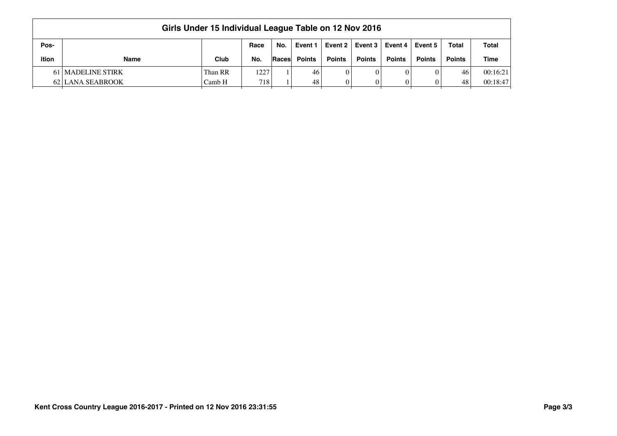| Girls Under 15 Individual League Table on 12 Nov 2016 |                   |         |                  |                |               |               |               |               |               |               |              |  |  |
|-------------------------------------------------------|-------------------|---------|------------------|----------------|---------------|---------------|---------------|---------------|---------------|---------------|--------------|--|--|
| Pos-                                                  |                   |         | Race             | No.            | Event 1       | Event 2       | Event 3       | Event 4 L     | Event 5       | <b>Total</b>  | <b>Total</b> |  |  |
| ition                                                 | <b>Name</b>       | Club    | No.              | <b>Races</b> l | <b>Points</b> | <b>Points</b> | <b>Points</b> | <b>Points</b> | <b>Points</b> | <b>Points</b> | <b>Time</b>  |  |  |
|                                                       | 61 MADELINE STIRK | Than RR | 1227             |                | 46            | $\Omega$      |               |               |               | 46            | 00:16:21     |  |  |
|                                                       | 62 LANA SEABROOK  | Camb H  | 718 <sub>1</sub> |                | 48            |               |               |               |               | 48            | 00:18:47     |  |  |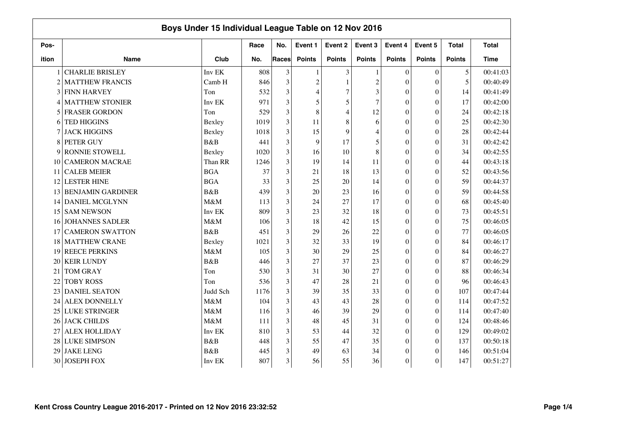|                |                          | Boys Under 15 Individual League Table on 12 Nov 2016 |      |       |                |                |                |                  |                  |               |              |
|----------------|--------------------------|------------------------------------------------------|------|-------|----------------|----------------|----------------|------------------|------------------|---------------|--------------|
| Pos-           |                          |                                                      | Race | No.   | Event 1        | Event 2        | Event 3        | Event 4          | Event 5          | <b>Total</b>  | <b>Total</b> |
| ition          | <b>Name</b>              | Club                                                 | No.  | Races | <b>Points</b>  | <b>Points</b>  | <b>Points</b>  | <b>Points</b>    | <b>Points</b>    | <b>Points</b> | <b>Time</b>  |
|                | <b>CHARLIE BRISLEY</b>   | Inv EK                                               | 808  | 3     | 1              | 3              |                | $\theta$         | $\mathbf{0}$     | 5             | 00:41:03     |
| $\overline{2}$ | <b>MATTHEW FRANCIS</b>   | Camb H                                               | 846  | 3     | $\overline{c}$ | $\mathbf{1}$   | $\overline{c}$ | $\theta$         | $\overline{0}$   | 5             | 00:40:49     |
| 3              | <b>FINN HARVEY</b>       | Ton                                                  | 532  | 3     | 4              | $\overline{7}$ | 3              | $\theta$         | $\overline{0}$   | 14            | 00:41:49     |
| 4              | <b>MATTHEW STONIER</b>   | Inv EK                                               | 971  | 3     | 5              | 5              | $\overline{7}$ | $\theta$         | $\overline{0}$   | 17            | 00:42:00     |
| 5              | <b>FRASER GORDON</b>     | Ton                                                  | 529  | 3     | $\,8\,$        | $\overline{4}$ | 12             | $\boldsymbol{0}$ | $\overline{0}$   | 24            | 00:42:18     |
| 6              | <b>TED HIGGINS</b>       | Bexley                                               | 1019 | 3     | 11             | 8              | 6              | $\theta$         | $\overline{0}$   | 25            | 00:42:30     |
|                | <b>JACK HIGGINS</b>      | Bexley                                               | 1018 | 3     | 15             | 9              | $\overline{4}$ | $\mathbf{0}$     | $\Omega$         | 28            | 00:42:44     |
| 8              | PETER GUY                | <b>B&amp;B</b>                                       | 441  | 3     | 9              | 17             | 5              | $\overline{0}$   | $\overline{0}$   | 31            | 00:42:42     |
| 9              | RONNIE STOWELL           | Bexley                                               | 1020 | 3     | 16             | 10             | 8              | $\overline{0}$   | $\theta$         | 34            | 00:42:55     |
| 10             | <b>CAMERON MACRAE</b>    | Than RR                                              | 1246 | 3     | 19             | 14             | 11             | $\overline{0}$   | $\theta$         | 44            | 00:43:18     |
| 11             | <b>CALEB MEIER</b>       | <b>BGA</b>                                           | 37   | 3     | 21             | 18             | 13             | $\overline{0}$   | $\boldsymbol{0}$ | 52            | 00:43:56     |
| 12             | <b>LESTER HINE</b>       | <b>BGA</b>                                           | 33   | 3     | 25             | 20             | 14             | $\boldsymbol{0}$ | $\overline{0}$   | 59            | 00:44:37     |
| 13             | <b>BENJAMIN GARDINER</b> | B&B                                                  | 439  | 3     | 20             | 23             | 16             | $\overline{0}$   | $\theta$         | 59            | 00:44:58     |
| 14             | DANIEL MCGLYNN           | M&M                                                  | 113  | 3     | 24             | 27             | 17             | $\theta$         | $\theta$         | 68            | 00:45:40     |
| 15             | <b>SAM NEWSON</b>        | Inv EK                                               | 809  | 3     | 23             | 32             | 18             | $\mathbf{0}$     | $\theta$         | 73            | 00:45:51     |
| 16             | <b>JOHANNES SADLER</b>   | M&M                                                  | 106  | 3     | 18             | 42             | 15             | $\overline{0}$   | $\overline{0}$   | 75            | 00:46:05     |
| 17             | <b>CAMERON SWATTON</b>   | B&B                                                  | 451  | 3     | 29             | 26             | 22             | $\boldsymbol{0}$ | $\overline{0}$   | 77            | 00:46:05     |
| 18             | <b>MATTHEW CRANE</b>     | Bexley                                               | 1021 | 3     | 32             | 33             | 19             | $\boldsymbol{0}$ | $\boldsymbol{0}$ | 84            | 00:46:17     |
| 19             | <b>REECE PERKINS</b>     | M&M                                                  | 105  | 3     | 30             | 29             | 25             | $\theta$         | $\overline{0}$   | 84            | 00:46:27     |
| 20             | <b>KEIR LUNDY</b>        | B&B                                                  | 446  | 3     | 27             | 37             | 23             | $\theta$         | $\overline{0}$   | 87            | 00:46:29     |
| 21             | <b>TOM GRAY</b>          | Ton                                                  | 530  | 3     | 31             | 30             | 27             | $\theta$         | $\theta$         | 88            | 00:46:34     |
| 22             | <b>TOBY ROSS</b>         | Ton                                                  | 536  | 3     | 47             | 28             | 21             | $\theta$         | $\overline{0}$   | 96            | 00:46:43     |
| 23             | <b>DANIEL SEATON</b>     | Judd Sch                                             | 1176 | 3     | 39             | 35             | 33             | $\theta$         | $\overline{0}$   | 107           | 00:47:44     |
| 24             | <b>ALEX DONNELLY</b>     | M&M                                                  | 104  | 3     | 43             | 43             | 28             | $\theta$         | $\overline{0}$   | 114           | 00:47:52     |
| 25             | <b>LUKE STRINGER</b>     | M&M                                                  | 116  | 3     | 46             | 39             | 29             | $\theta$         | $\theta$         | 114           | 00:47:40     |
| 26             | <b>JACK CHILDS</b>       | M&M                                                  | 111  | 3     | 48             | 45             | 31             | $\boldsymbol{0}$ | $\boldsymbol{0}$ | 124           | 00:48:46     |
| 27             | <b>ALEX HOLLIDAY</b>     | Inv EK                                               | 810  | 3     | 53             | 44             | 32             | $\boldsymbol{0}$ | $\overline{0}$   | 129           | 00:49:02     |
| 28             | <b>LUKE SIMPSON</b>      | B&B                                                  | 448  | 3     | 55             | 47             | 35             | $\mathbf{0}$     | $\theta$         | 137           | 00:50:18     |
| 29             | <b>JAKE LENG</b>         | B&B                                                  | 445  | 3     | 49             | 63             | 34             | $\overline{0}$   | $\theta$         | 146           | 00:51:04     |
| 30             | <b>JOSEPH FOX</b>        | Inv EK                                               | 807  | 3     | 56             | 55             | 36             | $\boldsymbol{0}$ | $\theta$         | 147           | 00:51:27     |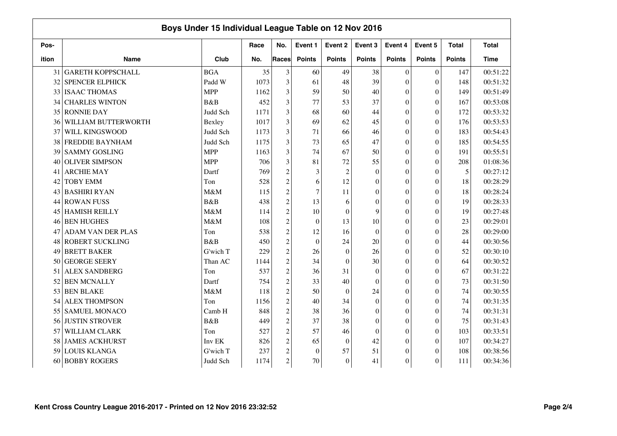|       |                          | Boys Under 15 Individual League Table on 12 Nov 2016 |      |                  |                  |                  |               |                  |                  |               |              |
|-------|--------------------------|------------------------------------------------------|------|------------------|------------------|------------------|---------------|------------------|------------------|---------------|--------------|
| Pos-  |                          |                                                      | Race | No.              | Event 1          | Event 2          | Event 3       | Event 4          | Event 5          | <b>Total</b>  | <b>Total</b> |
| ition | <b>Name</b>              | Club                                                 | No.  | Races            | <b>Points</b>    | <b>Points</b>    | <b>Points</b> | <b>Points</b>    | <b>Points</b>    | <b>Points</b> | Time         |
| 31    | <b>GARETH KOPPSCHALL</b> | <b>BGA</b>                                           | 35   | 3                | 60               | 49               | 38            | $\theta$         | $\mathbf{0}$     | 147           | 00:51:22     |
| 32    | <b>SPENCER ELPHICK</b>   | Padd W                                               | 1073 | 3                | 61               | 48               | 39            | $\theta$         | $\overline{0}$   | 148           | 00:51:32     |
| 33    | <b>ISAAC THOMAS</b>      | <b>MPP</b>                                           | 1162 | 3                | 59               | 50               | 40            | $\theta$         | $\theta$         | 149           | 00:51:49     |
| 34    | <b>CHARLES WINTON</b>    | B&B                                                  | 452  | 3                | 77               | 53               | 37            | $\theta$         | $\overline{0}$   | 167           | 00:53:08     |
| 35    | <b>RONNIE DAY</b>        | Judd Sch                                             | 1171 | 3                | 68               | 60               | 44            | $\theta$         | $\overline{0}$   | 172           | 00:53:32     |
| 36    | WILLIAM BUTTERWORTH      | Bexley                                               | 1017 | 3                | 69               | 62               | 45            | $\theta$         | $\overline{0}$   | 176           | 00:53:53     |
| 37    | WILL KINGSWOOD           | Judd Sch                                             | 1173 | 3                | 71               | 66               | 46            | $\mathbf{0}$     | $\boldsymbol{0}$ | 183           | 00:54:43     |
| 38    | FREDDIE BAYNHAM          | Judd Sch                                             | 1175 | 3                | 73               | 65               | 47            | $\overline{0}$   | $\overline{0}$   | 185           | 00:54:55     |
| 39    | <b>SAMMY GOSLING</b>     | <b>MPP</b>                                           | 1163 | 3                | 74               | 67               | 50            | $\overline{0}$   | $\theta$         | 191           | 00:55:51     |
| 40    | <b>OLIVER SIMPSON</b>    | <b>MPP</b>                                           | 706  | 3                | 81               | 72               | 55            | $\overline{0}$   | $\theta$         | 208           | 01:08:36     |
| 41    | <b>ARCHIE MAY</b>        | Dartf                                                | 769  | $\overline{c}$   | 3                | $\overline{c}$   | $\mathbf{0}$  | $\overline{0}$   | $\boldsymbol{0}$ | 5             | 00:27:12     |
| 42    | <b>TOBY EMM</b>          | Ton                                                  | 528  | $\overline{c}$   | 6                | 12               | $\Omega$      | $\boldsymbol{0}$ | $\overline{0}$   | 18            | 00:28:29     |
| 43    | <b>BASHIRI RYAN</b>      | M&M                                                  | 115  | $\overline{c}$   | $\tau$           | 11               | $\Omega$      | $\overline{0}$   | $\theta$         | 18            | 00:28:24     |
| 44    | <b>ROWAN FUSS</b>        | B&B                                                  | 438  | $\overline{c}$   | 13               | 6                | $\Omega$      | $\theta$         | $\theta$         | 19            | 00:28:33     |
| 45    | <b>HAMISH REILLY</b>     | M&M                                                  | 114  | $\overline{c}$   | 10               | $\theta$         | 9             | $\theta$         | $\theta$         | 19            | 00:27:48     |
| 46    | <b>BEN HUGHES</b>        | M&M                                                  | 108  | $\overline{c}$   | $\mathbf{0}$     | 13               | 10            | $\overline{0}$   | $\theta$         | 23            | 00:29:01     |
| 47    | <b>ADAM VAN DER PLAS</b> | Ton                                                  | 538  | $\overline{c}$   | 12               | 16               | $\theta$      | $\boldsymbol{0}$ | $\overline{0}$   | 28            | 00:29:00     |
| 48    | <b>ROBERT SUCKLING</b>   | B&B                                                  | 450  | $\overline{c}$   | $\boldsymbol{0}$ | 24               | 20            | $\overline{0}$   | $\boldsymbol{0}$ | 44            | 00:30:56     |
| 49    | <b>BRETT BAKER</b>       | G'wich T                                             | 229  | $\overline{c}$   | 26               | $\boldsymbol{0}$ | 26            | $\theta$         | $\overline{0}$   | 52            | 00:30:10     |
| 50    | <b>GEORGE SEERY</b>      | Than AC                                              | 1144 | $\overline{c}$   | 34               | $\theta$         | 30            | $\theta$         | $\overline{0}$   | 64            | 00:30:52     |
| 51    | <b>ALEX SANDBERG</b>     | Ton                                                  | 537  | $\overline{c}$   | 36               | 31               | $\Omega$      | $\theta$         | $\theta$         | 67            | 00:31:22     |
| 52    | <b>BEN MCNALLY</b>       | Dartf                                                | 754  | $\overline{c}$   | 33               | 40               | $\theta$      | $\theta$         | $\theta$         | 73            | 00:31:50     |
| 53    | <b>BEN BLAKE</b>         | M&M                                                  | 118  | $\overline{c}$   | 50               | $\theta$         | 24            | $\theta$         | $\Omega$         | 74            | 00:30:55     |
| 54    | <b>ALEX THOMPSON</b>     | Ton                                                  | 1156 | $\overline{c}$   | 40               | 34               | $\Omega$      | $\theta$         | $\overline{0}$   | 74            | 00:31:35     |
| 55    | <b>SAMUEL MONACO</b>     | Camb H                                               | 848  | $\overline{c}$   | 38               | 36               | $\Omega$      | $\theta$         | $\theta$         | 74            | 00:31:31     |
| 56    | <b>JUSTIN STROVER</b>    | <b>B&amp;B</b>                                       | 449  | $\overline{c}$   | 37               | 38               | $\mathbf{0}$  | $\boldsymbol{0}$ | $\boldsymbol{0}$ | 75            | 00:31:43     |
| 57    | WILLIAM CLARK            | Ton                                                  | 527  | $\overline{c}$   | 57               | 46               | $\mathbf{0}$  | $\boldsymbol{0}$ | $\boldsymbol{0}$ | 103           | 00:33:51     |
| 58    | <b>JAMES ACKHURST</b>    | Inv EK                                               | 826  | $\boldsymbol{2}$ | 65               | $\mathbf{0}$     | 42            | $\mathbf{0}$     | $\theta$         | 107           | 00:34:27     |
| 59    | <b>LOUIS KLANGA</b>      | G'wich T                                             | 237  | $\overline{c}$   | $\boldsymbol{0}$ | 57               | 51            | $\overline{0}$   | $\theta$         | 108           | 00:38:56     |
| 60    | <b>BOBBY ROGERS</b>      | Judd Sch                                             | 1174 | $\overline{c}$   | 70               | $\theta$         | 41            | $\boldsymbol{0}$ | $\theta$         | 111           | 00:34:36     |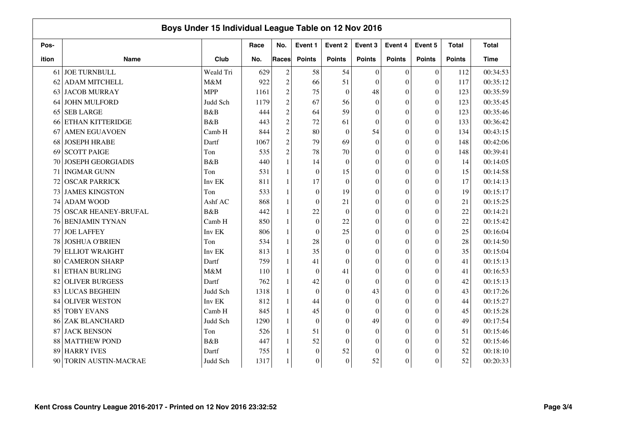|       | Boys Under 15 Individual League Table on 12 Nov 2016 |            |      |                |               |                  |                  |                  |                  |               |              |
|-------|------------------------------------------------------|------------|------|----------------|---------------|------------------|------------------|------------------|------------------|---------------|--------------|
| Pos-  |                                                      |            | Race | No.            | Event 1       | Event 2          | Event 3          | Event 4          | Event 5          | <b>Total</b>  | <b>Total</b> |
| ition | <b>Name</b>                                          | Club       | No.  | Races          | <b>Points</b> | <b>Points</b>    | <b>Points</b>    | <b>Points</b>    | <b>Points</b>    | <b>Points</b> | <b>Time</b>  |
| 61    | <b>JOE TURNBULL</b>                                  | Weald Tri  | 629  | $\mathfrak{2}$ | 58            | 54               | $\theta$         | $\mathbf{0}$     | $\boldsymbol{0}$ | 112           | 00:34:53     |
| 62    | <b>ADAM MITCHELL</b>                                 | M&M        | 922  | $\mathfrak{2}$ | 66            | 51               | $\Omega$         | $\theta$         | $\theta$         | 117           | 00:35:12     |
| 63    | <b>JACOB MURRAY</b>                                  | <b>MPP</b> | 1161 | $\overline{c}$ | 75            | $\mathbf{0}$     | 48               | $\mathbf{0}$     | $\theta$         | 123           | 00:35:59     |
| 64    | <b>JOHN MULFORD</b>                                  | Judd Sch   | 1179 | $\overline{c}$ | 67            | 56               | $\mathbf{0}$     | $\mathbf{0}$     | $\theta$         | 123           | 00:35:45     |
| 65    | <b>SEB LARGE</b>                                     | B&B        | 444  | $\overline{2}$ | 64            | 59               | $\Omega$         | $\overline{0}$   | $\theta$         | 123           | 00:35:46     |
| 66    | ETHAN KITTERIDGE                                     | B&B        | 443  | $\overline{c}$ | 72            | 61               | $\theta$         | $\mathbf{0}$     | $\theta$         | 133           | 00:36:42     |
| 67    | <b>AMEN EGUAVOEN</b>                                 | Camb H     | 844  | $\mathfrak{2}$ | 80            | $\boldsymbol{0}$ | 54               | $\theta$         | $\theta$         | 134           | 00:43:15     |
| 68    | <b>JOSEPH HRABE</b>                                  | Dartf      | 1067 | $\overline{c}$ | 79            | 69               | $\theta$         | $\theta$         | $\theta$         | 148           | 00:42:06     |
| 69    | <b>SCOTT PAIGE</b>                                   | Ton        | 535  | $\overline{2}$ | 78            | 70               | $\theta$         | $\mathbf{0}$     | $\theta$         | 148           | 00:39:41     |
| 70    | <b>JOSEPH GEORGIADIS</b>                             | B&B        | 440  | $\mathbf{1}$   | 14            | $\boldsymbol{0}$ | $\boldsymbol{0}$ | $\mathbf{0}$     | $\theta$         | 14            | 00:14:05     |
|       | 71 INGMAR GUNN                                       | Ton        | 531  | 1              | $\mathbf{0}$  | 15               | $\mathbf{0}$     | $\mathbf{0}$     | $\boldsymbol{0}$ | 15            | 00:14:58     |
| 72    | <b>OSCAR PARRICK</b>                                 | Inv EK     | 811  | $\mathbf{1}$   | 17            | $\theta$         | $\Omega$         | $\boldsymbol{0}$ | $\theta$         | 17            | 00:14:13     |
| 73    | <b>JAMES KINGSTON</b>                                | Ton        | 533  | 1              | $\mathbf{0}$  | 19               | $\theta$         | $\mathbf{0}$     | $\theta$         | 19            | 00:15:17     |
| 74    | <b>ADAM WOOD</b>                                     | Ashf AC    | 868  | 1              | $\mathbf{0}$  | 21               | $\theta$         | $\theta$         | $\theta$         | 21            | 00:15:25     |
| 75    | <b>OSCAR HEANEY-BRUFAL</b>                           | B&B        | 442  | 1              | 22            | $\boldsymbol{0}$ | $\theta$         | $\theta$         | $\theta$         | 22            | 00:14:21     |
| 76    | <b>BENJAMIN TYNAN</b>                                | Camb H     | 850  | 1              | $\mathbf{0}$  | 22               | $\mathbf{0}$     | $\mathbf{0}$     | $\theta$         | 22            | 00:15:42     |
| 77    | <b>JOE LAFFEY</b>                                    | Inv EK     | 806  | $\mathbf{1}$   | $\mathbf{0}$  | 25               | $\mathbf{0}$     | $\mathbf{0}$     | $\theta$         | 25            | 00:16:04     |
| 78    | <b>JOSHUA O'BRIEN</b>                                | Ton        | 534  | 1              | 28            | $\boldsymbol{0}$ | $\mathbf{0}$     | $\mathbf{0}$     | $\boldsymbol{0}$ | 28            | 00:14:50     |
| 79    | <b>ELLIOT WRAIGHT</b>                                | Inv EK     | 813  | $\mathbf{1}$   | 35            | $\boldsymbol{0}$ | $\overline{0}$   | $\overline{0}$   | $\overline{0}$   | 35            | 00:15:04     |
| 80    | <b>CAMERON SHARP</b>                                 | Dartf      | 759  | 1              | 41            | $\theta$         | $\theta$         | $\mathbf{0}$     | $\theta$         | 41            | 00:15:13     |
| 81    | ETHAN BURLING                                        | M&M        | 110  | 1              | $\mathbf{0}$  | 41               | $\Omega$         | $\theta$         | $\theta$         | 41            | 00:16:53     |
| 82    | <b>OLIVER BURGESS</b>                                | Dartf      | 762  | 1              | 42            | $\boldsymbol{0}$ | $\theta$         | $\theta$         | $\theta$         | 42            | 00:15:13     |
| 83    | <b>LUCAS BEGHEIN</b>                                 | Judd Sch   | 1318 | 1              | $\mathbf{0}$  | $\theta$         | 43               | $\mathbf{0}$     | $\theta$         | 43            | 00:17:26     |
| 84    | <b>OLIVER WESTON</b>                                 | Inv EK     | 812  | 1              | 44            | $\boldsymbol{0}$ | $\theta$         | $\mathbf{0}$     | $\theta$         | 44            | 00:15:27     |
| 85    | <b>TOBY EVANS</b>                                    | Camb H     | 845  | $\mathbf{1}$   | 45            | $\boldsymbol{0}$ | $\Omega$         | $\mathbf{0}$     | $\overline{0}$   | 45            | 00:15:28     |
| 86    | ZAK BLANCHARD                                        | Judd Sch   | 1290 | $\mathbf{1}$   | $\mathbf{0}$  | $\boldsymbol{0}$ | 49               | $\boldsymbol{0}$ | $\theta$         | 49            | 00:17:54     |
| 87    | <b>JACK BENSON</b>                                   | Ton        | 526  | 1              | 51            | $\theta$         | $\theta$         | $\mathbf{0}$     | $\theta$         | 51            | 00:15:46     |
| 88    | <b>MATTHEW POND</b>                                  | B&B        | 447  | 1              | 52            | $\theta$         | $\Omega$         | $\boldsymbol{0}$ | $\theta$         | 52            | 00:15:46     |
| 89    | <b>HARRY IVES</b>                                    | Dartf      | 755  |                | $\mathbf{0}$  | 52               | $\theta$         | $\mathbf{0}$     | $\theta$         | 52            | 00:18:10     |
| 90    | TORIN AUSTIN-MACRAE                                  | Judd Sch   | 1317 |                | $\mathbf{0}$  | $\overline{0}$   | 52               | $\boldsymbol{0}$ | $\theta$         | 52            | 00:20:33     |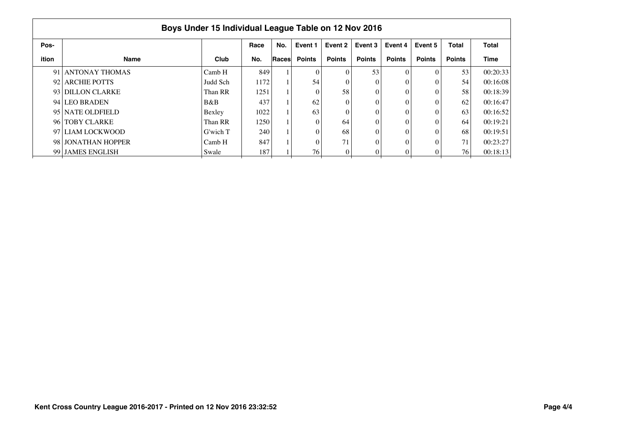|       |                    | Boys Under 15 Individual League Table on 12 Nov 2016 |      |       |               |               |               |               |               |               |             |
|-------|--------------------|------------------------------------------------------|------|-------|---------------|---------------|---------------|---------------|---------------|---------------|-------------|
| Pos-  |                    |                                                      | Race | No.   | Event 1       | Event 2       | Event 3       | Event 4       | Event 5       | <b>Total</b>  | Total       |
| ition | <b>Name</b>        | Club                                                 | No.  | Races | <b>Points</b> | <b>Points</b> | <b>Points</b> | <b>Points</b> | <b>Points</b> | <b>Points</b> | <b>Time</b> |
|       | 91 ANTONAY THOMAS  | Camb H                                               | 849  |       |               |               | 53            |               |               | 53            | 00:20:33    |
|       | 92 ARCHIE POTTS    | Judd Sch                                             | 1172 |       | 54            |               | 0             |               |               | 54            | 00:16:08    |
|       | 93 DILLON CLARKE   | Than RR                                              | 1251 |       |               | 58            | 0             |               |               | 58            | 00:18:39    |
|       | 94 LEO BRADEN      | B&B                                                  | 437  |       | 62            |               | 0             |               |               | 62            | 00:16:47    |
|       | 95 NATE OLDFIELD   | Bexley                                               | 1022 |       | 63            |               | 0             |               |               | 63            | 00:16:52    |
|       | 96 TOBY CLARKE     | Than RR                                              | 1250 |       |               | 64            | 0             |               |               | 64            | 00:19:21    |
|       | 97 LIAM LOCKWOOD   | G'wich T                                             | 240  |       |               | 68            | 0             |               |               | 68            | 00:19:51    |
|       | 98 JONATHAN HOPPER | Camb H                                               | 847  |       |               | 71            | 0             |               |               | 71            | 00:23:27    |
|       | 99 JAMES ENGLISH   | Swale                                                | 187  |       | 76            |               | 0             |               |               | 76            | 00:18:13    |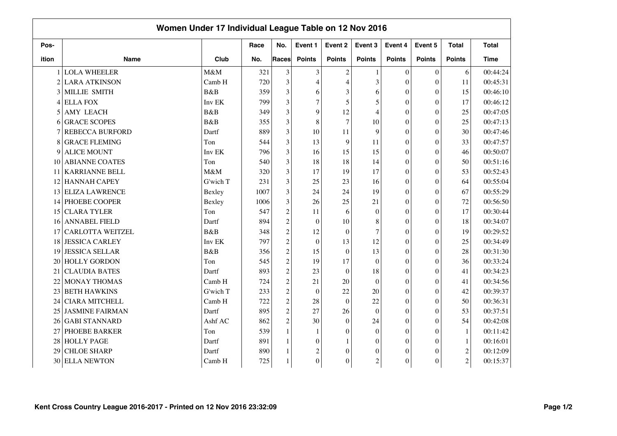|       | Women Under 17 Individual League Table on 12 Nov 2016 |             |      |                |                  |                  |                  |                  |                  |                  |              |
|-------|-------------------------------------------------------|-------------|------|----------------|------------------|------------------|------------------|------------------|------------------|------------------|--------------|
| Pos-  |                                                       |             | Race | No.            | Event 1          | Event 2          | Event 3          | Event 4          | Event 5          | <b>Total</b>     | <b>Total</b> |
| ition | <b>Name</b>                                           | Club        | No.  | Races          | <b>Points</b>    | <b>Points</b>    | <b>Points</b>    | <b>Points</b>    | <b>Points</b>    | <b>Points</b>    | <b>Time</b>  |
|       | <b>LOLA WHEELER</b>                                   | M&M         | 321  | 3              | 3                | $\overline{2}$   |                  | $\theta$         | $\mathbf{0}$     | 6                | 00:44:24     |
|       | 2 LARA ATKINSON                                       | Camb H      | 720  | 3              | 4                | $\overline{4}$   | 3                | $\theta$         | $\overline{0}$   | 11               | 00:45:31     |
| 3     | MILLIE SMITH                                          | B&B         | 359  | 3              | 6                | 3                | 6                | $\theta$         | $\theta$         | 15               | 00:46:10     |
| 4     | <b>ELLA FOX</b>                                       | Inv EK      | 799  | 3              | $\overline{7}$   | 5                | 5                | $\theta$         | $\overline{0}$   | 17               | 00:46:12     |
| 5     | <b>AMY LEACH</b>                                      | B&B         | 349  | 3              | 9                | 12               | $\overline{4}$   | $\theta$         | $\theta$         | 25               | 00:47:05     |
| 6     | <b>GRACE SCOPES</b>                                   | <b>B</b> &B | 355  | 3              | 8                | $\overline{7}$   | 10               | $\theta$         | $\theta$         | 25               | 00:47:13     |
|       | <b>REBECCA BURFORD</b>                                | Dartf       | 889  | 3              | 10               | 11               | 9                | $\theta$         | $\Omega$         | 30               | 00:47:46     |
| 8     | <b>GRACE FLEMING</b>                                  | Ton         | 544  | 3              | 13               | 9                | 11               | $\theta$         | $\overline{0}$   | 33               | 00:47:57     |
| 9     | <b>ALICE MOUNT</b>                                    | Inv EK      | 796  | 3              | 16               | 15               | 15               | $\theta$         | $\theta$         | 46               | 00:50:07     |
| 10    | <b>ABIANNE COATES</b>                                 | Ton         | 540  | 3              | 18               | 18               | 14               | $\theta$         | $\theta$         | 50               | 00:51:16     |
| 11    | <b>KARRIANNE BELL</b>                                 | M&M         | 320  | 3              | 17               | 19               | 17               | $\theta$         | $\boldsymbol{0}$ | 53               | 00:52:43     |
| 12    | <b>HANNAH CAPEY</b>                                   | G'wich T    | 231  | 3              | 25               | 23               | 16               | $\theta$         | $\overline{0}$   | 64               | 00:55:04     |
| 13    | <b>ELIZA LAWRENCE</b>                                 | Bexley      | 1007 | 3              | 24               | 24               | 19               | $\theta$         | $\theta$         | 67               | 00:55:29     |
| 14    | <b>PHOEBE COOPER</b>                                  | Bexley      | 1006 | 3              | 26               | 25               | 21               | $\theta$         | $\theta$         | 72               | 00:56:50     |
| 15    | <b>CLARA TYLER</b>                                    | Ton         | 547  | $\overline{c}$ | 11               | 6                | $\mathbf{0}$     | $\theta$         | $\theta$         | 17               | 00:30:44     |
| 16    | <b>ANNABEL FIELD</b>                                  | Dartf       | 894  | $\overline{c}$ | $\mathbf{0}$     | 10               | 8                | $\theta$         | $\overline{0}$   | 18               | 00:34:07     |
| 17    | <b>CARLOTTA WEITZEL</b>                               | B&B         | 348  | $\overline{c}$ | 12               | $\mathbf{0}$     | 7                | $\theta$         | $\overline{0}$   | 19               | 00:29:52     |
| 18    | <b>JESSICA CARLEY</b>                                 | Inv EK      | 797  | $\overline{c}$ | $\boldsymbol{0}$ | 13               | 12               | $\theta$         | $\boldsymbol{0}$ | 25               | 00:34:49     |
| 19    | <b>JESSICA SELLAR</b>                                 | B&B         | 356  | $\overline{c}$ | 15               | $\mathbf{0}$     | 13               | $\theta$         | $\overline{0}$   | 28               | 00:31:30     |
| 20    | <b>HOLLY GORDON</b>                                   | Ton         | 545  | $\overline{c}$ | 19               | 17               | $\theta$         | $\theta$         | $\overline{0}$   | 36               | 00:33:24     |
| 21    | <b>CLAUDIA BATES</b>                                  | Dartf       | 893  | $\overline{c}$ | 23               | $\theta$         | 18               | $\theta$         | $\Omega$         | 41               | 00:34:23     |
| 22    | MONAY THOMAS                                          | Camb H      | 724  | $\overline{c}$ | 21               | 20               | $\theta$         | $\Omega$         | $\Omega$         | 41               | 00:34:56     |
| 23    | <b>BETH HAWKINS</b>                                   | G'wich T    | 233  | $\overline{c}$ | $\mathbf{0}$     | 22               | 20               | $\theta$         | $\Omega$         | 42               | 00:39:37     |
| 24    | <b>CIARA MITCHELL</b>                                 | Camb H      | 722  | $\sqrt{2}$     | 28               | $\overline{0}$   | 22               | $\theta$         | $\Omega$         | 50               | 00:36:31     |
| 25    | <b>JASMINE FAIRMAN</b>                                | Dartf       | 895  | $\overline{c}$ | 27               | 26               | $\Omega$         | $\Omega$         | $\theta$         | 53               | 00:37:51     |
| 26    | <b>GABI STANNARD</b>                                  | Ashf AC     | 862  | $\overline{c}$ | 30               | $\boldsymbol{0}$ | 24               | $\boldsymbol{0}$ | $\overline{0}$   | 54               | 00:42:08     |
| 27    | PHOEBE BARKER                                         | Ton         | 539  | $\mathbf{1}$   | 1                | $\theta$         | $\Omega$         | $\overline{0}$   | $\overline{0}$   | $\mathbf{1}$     | 00:11:42     |
| 28    | <b>HOLLY PAGE</b>                                     | Dartf       | 891  |                | $\theta$         |                  | $\boldsymbol{0}$ | $\theta$         | $\theta$         | $\mathbf{1}$     | 00:16:01     |
| 29    | <b>CHLOE SHARP</b>                                    | Dartf       | 890  |                | $\overline{c}$   | $\theta$         | 0                | $\overline{0}$   | $\theta$         | $\boldsymbol{2}$ | 00:12:09     |
| 30    | <b>ELLA NEWTON</b>                                    | Camb H      | 725  |                | $\overline{0}$   | $\theta$         | $\mathbf{2}$     | $\boldsymbol{0}$ | $\theta$         | $\overline{c}$   | 00:15:37     |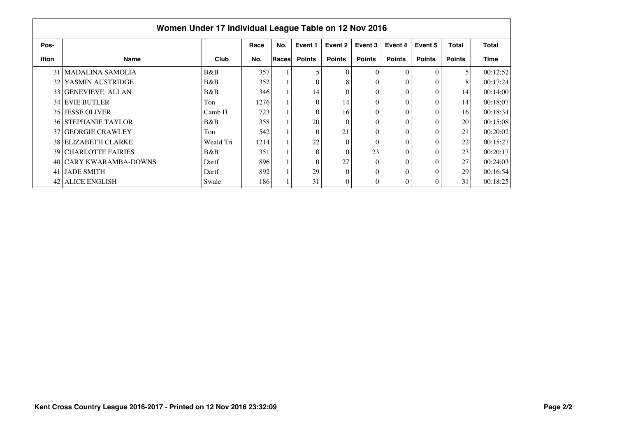|       | Women Under 17 Individual League Table on 12 Nov 2016 |           |      |       |               |               |               |               |               |               |              |
|-------|-------------------------------------------------------|-----------|------|-------|---------------|---------------|---------------|---------------|---------------|---------------|--------------|
| Pos-  |                                                       |           | Race | No.   | Event 1       | Event 2       | Event 3       | Event 4       | Event 5       | <b>Total</b>  | <b>Total</b> |
| ition | Name                                                  | Club      | No.  | Races | <b>Points</b> | <b>Points</b> | <b>Points</b> | <b>Points</b> | <b>Points</b> | <b>Points</b> | Time         |
| 31    | MADALINA SAMOLIA                                      | B&B       | 357  |       | 5             | $\Omega$      |               | $\Omega$      | $\Omega$      | 5             | 00:12:52     |
| 32    | YASMIN AUSTRIDGE                                      | B&B       | 352  |       | 0             | 8             |               | 0             | $\theta$      | 8             | 00:17:24     |
|       | 33 GENEVIEVE ALLAN                                    | B&B       | 346  |       | 14            | $\theta$      | 0             | $\theta$      | $\theta$      | 14            | 00:14:00     |
|       | <b>34 EVIE BUTLER</b>                                 | Ton       | 1276 |       | $\theta$      | 14            |               | 0             | $\Omega$      | 14            | 00:18:07     |
|       | 35 JESSE OLIVER                                       | Camb H    | 723  |       | 0             | 16            |               | 0             | $\Omega$      | 16            | 00:18:34     |
|       | <b>36 STEPHANIE TAYLOR</b>                            | B&B       | 358  |       | 20            | $\Omega$      |               | $\theta$      | $\Omega$      | 20            | 00:15:08     |
|       | 37 GEORGIE CRAWLEY                                    | Ton       | 542  |       | $\Omega$      | 21            | $\Omega$      | $\Omega$      | $\Omega$      | 21            | 00:20:02     |
|       | <b>38 ELIZABETH CLARKE</b>                            | Weald Tri | 1214 |       | 22            | $\theta$      | 0             | $\theta$      | $\Omega$      | 22            | 00:15:27     |
|       | <b>39 CHARLOTTE FAIRIES</b>                           | B&B       | 351  |       | $\Omega$      | $\theta$      | 23            | 0             | $\theta$      | 23            | 00:20:17     |
|       | 40 CARY KWARAMBA-DOWNS                                | Dartf     | 896  |       | $\theta$      | 27            |               | 0             | $\theta$      | 27            | 00:24:03     |
| 41    | <b>JADE SMITH</b>                                     | Dartf     | 892  |       | 29            | $\Omega$      | 0             | 0             | $\Omega$      | 29            | 00:16:54     |
| 42    | <b>ALICE ENGLISH</b>                                  | Swale     | 186  |       | 31            | 0             |               | 0             | 0             | 31            | 00:18:25     |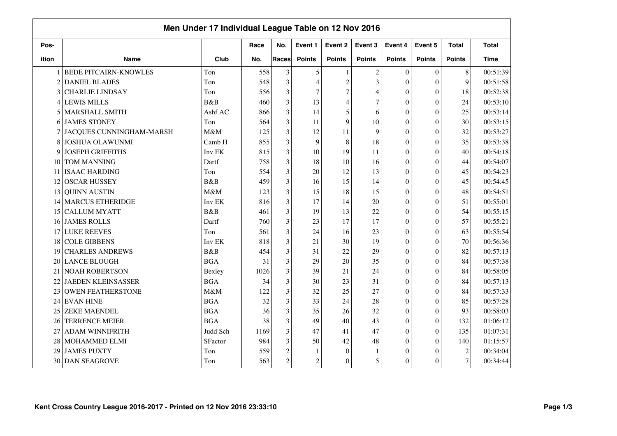|                |                              | Men Under 17 Individual League Table on 12 Nov 2016 |      |                |                |                |                |                  |                  |                  |              |
|----------------|------------------------------|-----------------------------------------------------|------|----------------|----------------|----------------|----------------|------------------|------------------|------------------|--------------|
| Pos-           |                              |                                                     | Race | No.            | Event 1        | Event 2        | Event 3        | Event 4          | Event 5          | <b>Total</b>     | <b>Total</b> |
| ition          | <b>Name</b>                  | Club                                                | No.  | Races          | <b>Points</b>  | <b>Points</b>  | <b>Points</b>  | <b>Points</b>    | <b>Points</b>    | <b>Points</b>    | <b>Time</b>  |
|                | <b>BEDE PITCAIRN-KNOWLES</b> | Ton                                                 | 558  | 3              | 5              |                | $\overline{c}$ | $\theta$         | $\mathbf{0}$     | 8                | 00:51:39     |
| $\overline{2}$ | <b>DANIEL BLADES</b>         | Ton                                                 | 548  | 3              | 4              | $\overline{2}$ | 3              | $\theta$         | $\overline{0}$   | 9                | 00:51:58     |
| 3              | <b>CHARLIE LINDSAY</b>       | Ton                                                 | 556  | 3              | $\tau$         | $\overline{7}$ | 4              | $\theta$         | $\overline{0}$   | 18               | 00:52:38     |
| $\overline{4}$ | <b>LEWIS MILLS</b>           | B&B                                                 | 460  | 3              | 13             | $\overline{4}$ | $\overline{7}$ | $\theta$         | $\overline{0}$   | 24               | 00:53:10     |
| 5              | <b>MARSHALL SMITH</b>        | Ashf AC                                             | 866  | 3              | 14             | 5              | 6              | $\theta$         | $\overline{0}$   | 25               | 00:53:14     |
| 6              | <b>JAMES STONEY</b>          | Ton                                                 | 564  | 3              | 11             | 9              | 10             | $\theta$         | $\overline{0}$   | 30               | 00:53:15     |
|                | JACQUES CUNNINGHAM-MARSH     | M&M                                                 | 125  | 3              | 12             | 11             | 9              | $\theta$         | $\Omega$         | 32               | 00:53:27     |
| 8              | JOSHUA OLAWUNMI              | Camb H                                              | 855  | 3              | 9              | 8              | 18             | $\overline{0}$   | $\overline{0}$   | 35               | 00:53:38     |
| 9              | <b>JOSEPH GRIFFITHS</b>      | Inv EK                                              | 815  | 3              | 10             | 19             | 11             | $\overline{0}$   | $\theta$         | 40               | 00:54:18     |
| 10             | TOM MANNING                  | Dartf                                               | 758  | 3              | 18             | 10             | 16             | $\overline{0}$   | $\theta$         | 44               | 00:54:07     |
| 11             | <b>ISAAC HARDING</b>         | Ton                                                 | 554  | 3              | 20             | 12             | 13             | $\theta$         | $\boldsymbol{0}$ | 45               | 00:54:23     |
| 12             | <b>OSCAR HUSSEY</b>          | B&B                                                 | 459  | 3              | 16             | 15             | 14             | $\theta$         | $\overline{0}$   | 45               | 00:54:45     |
| 13             | <b>QUINN AUSTIN</b>          | M&M                                                 | 123  | 3              | 15             | 18             | 15             | $\theta$         | $\theta$         | 48               | 00:54:51     |
| 14             | <b>MARCUS ETHERIDGE</b>      | Inv EK                                              | 816  | 3              | 17             | 14             | 20             | $\theta$         | $\theta$         | 51               | 00:55:01     |
| 15             | <b>CALLUM MYATT</b>          | B&B                                                 | 461  | 3              | 19             | 13             | 22             | $\theta$         | $\theta$         | 54               | 00:55:15     |
| 16             | <b>JAMES ROLLS</b>           | Dartf                                               | 760  | 3              | 23             | 17             | 17             | $\overline{0}$   | $\overline{0}$   | 57               | 00:55:21     |
| 17             | <b>LUKE REEVES</b>           | Ton                                                 | 561  | 3              | 24             | 16             | 23             | $\theta$         | $\overline{0}$   | 63               | 00:55:54     |
| 18             | <b>COLE GIBBENS</b>          | Inv EK                                              | 818  | 3              | 21             | 30             | 19             | $\boldsymbol{0}$ | $\boldsymbol{0}$ | 70               | 00:56:36     |
| 19             | <b>CHARLES ANDREWS</b>       | B&B                                                 | 454  | 3              | 31             | 22             | 29             | $\theta$         | $\overline{0}$   | 82               | 00:57:13     |
| 20             | <b>LANCE BLOUGH</b>          | <b>BGA</b>                                          | 31   | 3              | 29             | 20             | 35             | $\theta$         | $\overline{0}$   | 84               | 00:57:38     |
| 21             | <b>NOAH ROBERTSON</b>        | Bexley                                              | 1026 | 3              | 39             | 21             | 24             | $\theta$         | $\Omega$         | 84               | 00:58:05     |
| 22             | <b>JAEDEN KLEINSASSER</b>    | <b>BGA</b>                                          | 34   | 3              | 30             | 23             | 31             | $\theta$         | $\theta$         | 84               | 00:57:13     |
| 23             | <b>OWEN FEATHERSTONE</b>     | M&M                                                 | 122  | 3              | 32             | 25             | 27             | $\theta$         | $\Omega$         | 84               | 00:57:33     |
| 24             | <b>EVAN HINE</b>             | <b>BGA</b>                                          | 32   | 3              | 33             | 24             | 28             | $\theta$         | $\overline{0}$   | 85               | 00:57:28     |
| 25             | <b>ZEKE MAENDEL</b>          | <b>BGA</b>                                          | 36   | 3              | 35             | 26             | 32             | $\theta$         | $\theta$         | 93               | 00:58:03     |
| 26             | <b>TERRENCE MEIER</b>        | <b>BGA</b>                                          | 38   | 3              | 49             | 40             | 43             | $\boldsymbol{0}$ | $\boldsymbol{0}$ | 132              | 01:06:12     |
| 27             | <b>ADAM WINNIFRITH</b>       | Judd Sch                                            | 1169 | 3              | 47             | 41             | 47             | $\boldsymbol{0}$ | $\overline{0}$   | 135              | 01:07:31     |
| 28             | MOHAMMED ELMI                | SFactor                                             | 984  | 3              | 50             | 42             | 48             | $\mathbf{0}$     | $\theta$         | 140              | 01:15:57     |
| 29             | <b>JAMES PUXTY</b>           | Ton                                                 | 559  | $\overline{c}$ |                | $\overline{0}$ |                | $\overline{0}$   | $\theta$         | $\boldsymbol{2}$ | 00:34:04     |
| 30             | <b>DAN SEAGROVE</b>          | Ton                                                 | 563  | $\overline{c}$ | $\overline{c}$ | $\theta$       | 5              | $\mathbf{0}$     | $\theta$         | $\tau$           | 00:34:44     |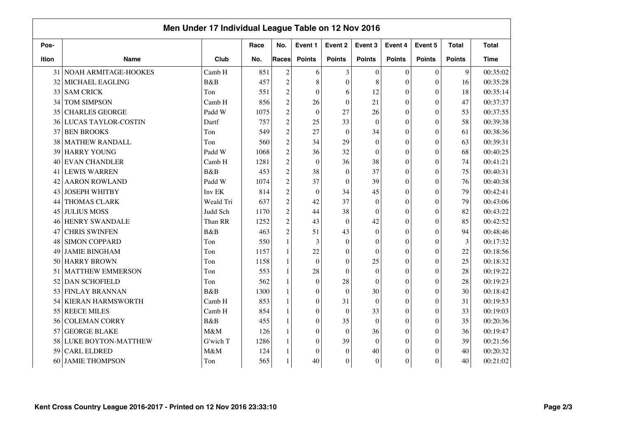|       |                            | Men Under 17 Individual League Table on 12 Nov 2016 |      |                |                  |                  |               |                  |                  |               |              |
|-------|----------------------------|-----------------------------------------------------|------|----------------|------------------|------------------|---------------|------------------|------------------|---------------|--------------|
| Pos-  |                            |                                                     | Race | No.            | Event 1          | Event 2          | Event 3       | Event 4          | Event 5          | <b>Total</b>  | <b>Total</b> |
| ition | <b>Name</b>                | Club                                                | No.  | <b>Races</b>   | <b>Points</b>    | <b>Points</b>    | <b>Points</b> | <b>Points</b>    | <b>Points</b>    | <b>Points</b> | <b>Time</b>  |
|       | 31 NOAH ARMITAGE-HOOKES    | Camb H                                              | 851  | $\overline{2}$ | 6                | 3                | $\Omega$      | $\mathbf{0}$     | $\boldsymbol{0}$ | 9             | 00:35:02     |
| 32    | MICHAEL EAGLING            | B&B                                                 | 457  | $\overline{2}$ | 8                | $\overline{0}$   | 8             | $\overline{0}$   | $\boldsymbol{0}$ | 16            | 00:35:28     |
| 33    | <b>SAM CRICK</b>           | Ton                                                 | 551  | $\overline{c}$ | $\mathbf{0}$     | 6                | 12            | $\mathbf{0}$     | $\boldsymbol{0}$ | 18            | 00:35:14     |
| 34    | <b>TOM SIMPSON</b>         | Camb H                                              | 856  | $\overline{c}$ | 26               | $\boldsymbol{0}$ | 21            | $\overline{0}$   | $\boldsymbol{0}$ | 47            | 00:37:37     |
| 35    | <b>CHARLES GEORGE</b>      | Padd W                                              | 1075 | $\overline{2}$ | $\mathbf{0}$     | 27               | 26            | $\overline{0}$   | $\overline{0}$   | 53            | 00:37:55     |
| 36    | <b>LUCAS TAYLOR-COSTIN</b> | Dartf                                               | 757  | $\overline{c}$ | 25               | 33               | $\theta$      | $\mathbf{0}$     | $\overline{0}$   | 58            | 00:39:38     |
| 37    | <b>BEN BROOKS</b>          | Ton                                                 | 549  | $\overline{c}$ | 27               | $\boldsymbol{0}$ | 34            | $\theta$         | $\theta$         | 61            | 00:38:36     |
| 38    | <b>MATHEW RANDALL</b>      | Ton                                                 | 560  | $\overline{c}$ | 34               | 29               | $\theta$      | $\theta$         | $\overline{0}$   | 63            | 00:39:31     |
| 39    | <b>HARRY YOUNG</b>         | Padd W                                              | 1068 | $\overline{c}$ | 36               | 32               | $\theta$      | $\theta$         | $\Omega$         | 68            | 00:40:25     |
| 40    | <b>EVAN CHANDLER</b>       | Camb H                                              | 1281 | $\overline{c}$ | $\theta$         | 36               | 38            | $\theta$         | $\overline{0}$   | 74            | 00:41:21     |
|       | 41 LEWIS WARREN            | B&B                                                 | 453  | $\overline{c}$ | 38               | $\boldsymbol{0}$ | 37            | $\boldsymbol{0}$ | $\boldsymbol{0}$ | 75            | 00:40:31     |
| 42    | <b>AARON ROWLAND</b>       | Padd W                                              | 1074 | $\overline{c}$ | 37               | $\mathbf{0}$     | 39            | $\overline{0}$   | $\boldsymbol{0}$ | 76            | 00:40:38     |
| 43    | <b>JOSEPH WHITBY</b>       | Inv EK                                              | 814  | $\overline{c}$ | $\mathbf{0}$     | 34               | 45            | $\boldsymbol{0}$ | $\theta$         | 79            | 00:42:41     |
| 44    | THOMAS CLARK               | Weald Tri                                           | 637  | $\overline{c}$ | 42               | 37               | $\Omega$      | $\theta$         | $\theta$         | 79            | 00:43:06     |
| 45    | <b>JULIUS MOSS</b>         | Judd Sch                                            | 1170 | $\overline{c}$ | 44               | 38               | $\Omega$      | $\theta$         | $\theta$         | 82            | 00:43:22     |
| 46    | <b>HENRY SWANDALE</b>      | Than RR                                             | 1252 | $\overline{2}$ | 43               | $\overline{0}$   | 42            | $\theta$         | $\Omega$         | 85            | 00:42:52     |
| 47    | <b>CHRIS SWINFEN</b>       | B&B                                                 | 463  | $\overline{2}$ | 51               | 43               | $\theta$      | $\theta$         | $\overline{0}$   | 94            | 00:48:46     |
| 48    | <b>SIMON COPPARD</b>       | Ton                                                 | 550  | 1              | 3                | $\overline{0}$   | $\theta$      | $\theta$         | $\overline{0}$   | 3             | 00:17:32     |
| 49    | <b>JAMIE BINGHAM</b>       | Ton                                                 | 1157 | $\mathbf{1}$   | $22\,$           | $\boldsymbol{0}$ | $\theta$      | $\theta$         | $\overline{0}$   | 22            | 00:18:56     |
| 50    | <b>HARRY BROWN</b>         | Ton                                                 | 1158 | $\mathbf{1}$   | $\boldsymbol{0}$ | $\boldsymbol{0}$ | 25            | $\overline{0}$   | $\boldsymbol{0}$ | 25            | 00:18:32     |
| 51    | <b>MATTHEW EMMERSON</b>    | Ton                                                 | 553  | $\mathbf{1}$   | 28               | $\mathbf{0}$     | $\theta$      | $\mathbf{0}$     | $\overline{0}$   | 28            | 00:19:22     |
| 52    | <b>DAN SCHOFIELD</b>       | Ton                                                 | 562  | 1              | $\mathbf{0}$     | 28               | $\theta$      | $\theta$         | $\theta$         | 28            | 00:19:23     |
| 53    | <b>FINLAY BRANNAN</b>      | B&B                                                 | 1300 | 1              | $\boldsymbol{0}$ | $\theta$         | 30            | $\theta$         | $\theta$         | 30            | 00:18:42     |
| 54    | <b>KIERAN HARMSWORTH</b>   | Camb H                                              | 853  | $\mathbf{1}$   | $\mathbf{0}$     | 31               | $\theta$      | $\theta$         | $\theta$         | 31            | 00:19:53     |
| 55    | <b>REECE MILES</b>         | Camb H                                              | 854  | 1              | $\mathbf{0}$     | $\boldsymbol{0}$ | 33            | $\theta$         | $\theta$         | 33            | 00:19:03     |
| 56    | <b>COLEMAN CORRY</b>       | B&B                                                 | 455  | $\mathbf{1}$   | $\theta$         | 35               | $\Omega$      | $\theta$         | $\theta$         | 35            | 00:20:36     |
| 57    | <b>GEORGE BLAKE</b>        | M&M                                                 | 126  | $\mathbf{1}$   | $\theta$         | $\overline{0}$   | 36            | $\theta$         | $\overline{0}$   | 36            | 00:19:47     |
| 58    | LUKE BOYTON-MATTHEW        | G'wich T                                            | 1286 | 1              | $\theta$         | 39               | $\Omega$      | $\theta$         | $\Omega$         | 39            | 00:21:56     |
| 59    | <b>CARL ELDRED</b>         | M&M                                                 | 124  | 1              | $\theta$         | $\theta$         | 40            | $\theta$         | $\theta$         | 40            | 00:20:32     |
| 60    | <b>JAMIE THOMPSON</b>      | Ton                                                 | 565  |                | 40               | $\boldsymbol{0}$ | $\theta$      | $\boldsymbol{0}$ | $\overline{0}$   | 40            | 00:21:02     |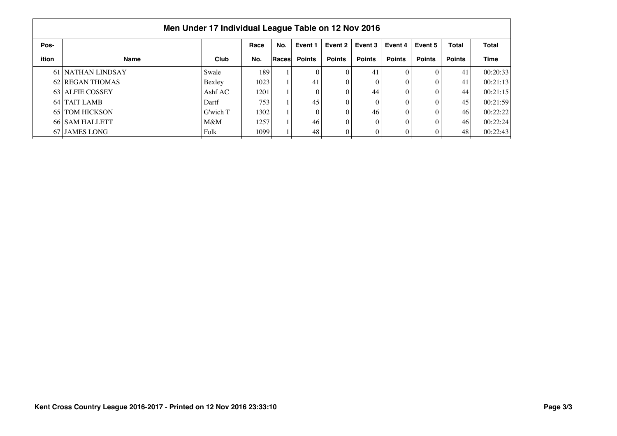|       |                   | Men Under 17 Individual League Table on 12 Nov 2016 |      |       |               |               |               |               |               |               |              |
|-------|-------------------|-----------------------------------------------------|------|-------|---------------|---------------|---------------|---------------|---------------|---------------|--------------|
| Pos-  |                   |                                                     | Race | No.   | Event 1       | Event 2       | Event 3       | Event 4       | Event 5       | <b>Total</b>  | <b>Total</b> |
| ition | <b>Name</b>       | Club                                                | No.  | Races | <b>Points</b> | <b>Points</b> | <b>Points</b> | <b>Points</b> | <b>Points</b> | <b>Points</b> | <b>Time</b>  |
|       | 61 NATHAN LINDSAY | Swale                                               | 189  |       |               |               | 41            |               |               | 41            | 00:20:33     |
|       | 62 REGAN THOMAS   | Bexley                                              | 1023 |       | 41            |               |               |               |               | 41            | 00:21:13     |
|       | 63 ALFIE COSSEY   | Ashf $AC$                                           | 1201 |       |               |               | 44            |               |               | 44            | 00:21:15     |
|       | 64 TAIT LAMB      | Dartf                                               | 753  |       | 45            |               | 0             |               |               | 45            | 00:21:59     |
|       | 65   TOM HICKSON  | G'wich T                                            | 1302 |       |               |               | 46            |               |               | 46            | 00:22:22     |
|       | 66 SAM HALLETT    | $M\&M$                                              | 1257 |       | 46            |               | $\Omega$      |               |               | 46            | 00:22:24     |
|       | 67 JAMES LONG     | Folk                                                | 1099 |       | 48            |               | 0             |               |               | 48            | 00:22:43     |
|       |                   |                                                     |      |       |               |               |               |               |               |               |              |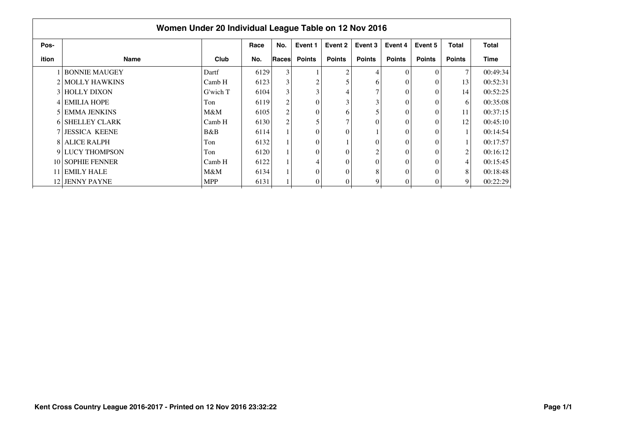|       | Women Under 20 Individual League Table on 12 Nov 2016 |            |      |                |                |               |               |               |               |                |              |
|-------|-------------------------------------------------------|------------|------|----------------|----------------|---------------|---------------|---------------|---------------|----------------|--------------|
| Pos-  |                                                       |            | Race | No.            | Event 1        | Event 2       | Event 3       | Event 4       | Event 5       | <b>Total</b>   | <b>Total</b> |
| ition | <b>Name</b>                                           | Club       | No.  | Races          | <b>Points</b>  | <b>Points</b> | <b>Points</b> | <b>Points</b> | <b>Points</b> | <b>Points</b>  | Time         |
|       | <b>BONNIE MAUGEY</b>                                  | Dartf      | 6129 | $\mathfrak{Z}$ |                | ◠             | 4             | $\Omega$      |               | 7              | 00:49:34     |
|       | 2 MOLLY HAWKINS                                       | Camb H     | 6123 | 3              | $\mathfrak{D}$ |               | 6             |               |               | 13             | 00:52:31     |
|       | 3 HOLLY DIXON                                         | G'wich T   | 6104 | $\mathfrak{Z}$ |                |               | 7             |               | $\Omega$      | 14             | 00:52:25     |
|       | 4 EMILIA HOPE                                         | Ton        | 6119 | $\overline{c}$ |                |               | 3             |               |               | 6              | 00:35:08     |
|       | 5 EMMA JENKINS                                        | M&M        | 6105 | 2              |                | 6             | 5             |               |               | 11             | 00:37:15     |
|       | 6 SHELLEY CLARK                                       | Camb H     | 6130 | $\overline{c}$ |                |               | 0             |               |               | 12             | 00:45:10     |
|       | <b>7 JESSICA KEENE</b>                                | B&B        | 6114 |                |                |               |               |               |               |                | 00:14:54     |
|       | <b>8 ALICE RALPH</b>                                  | Ton        | 6132 |                |                |               | 0             |               | $\Omega$      |                | 00:17:57     |
|       | 9 LUCY THOMPSON                                       | Ton        | 6120 |                |                |               | 2             |               |               | $\overline{c}$ | 00:16:12     |
|       | 10 SOPHIE FENNER                                      | Camb H     | 6122 |                |                |               | 0             |               |               | 4              | 00:15:45     |
|       | 11 EMILY HALE                                         | $M\&M$     | 6134 |                |                |               | 8             |               |               | 8              | 00:18:48     |
|       | 12 JENNY PAYNE                                        | <b>MPP</b> | 6131 |                |                |               | 9             |               |               | $\overline{9}$ | 00:22:29     |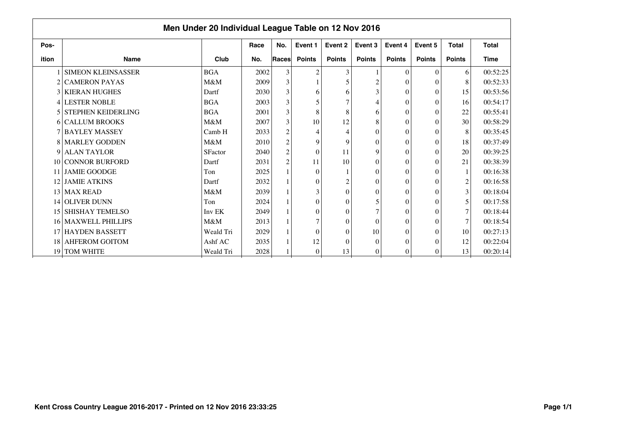|       |                             | Men Under 20 Individual League Table on 12 Nov 2016 |      |                |                  |                |                |               |                  |                |              |
|-------|-----------------------------|-----------------------------------------------------|------|----------------|------------------|----------------|----------------|---------------|------------------|----------------|--------------|
| Pos-  |                             |                                                     | Race | No.            | Event 1          | Event 2        | Event 3        | Event 4       | Event 5          | <b>Total</b>   | <b>Total</b> |
| ition | <b>Name</b>                 | Club                                                | No.  | <b>Races</b>   | <b>Points</b>    | <b>Points</b>  | <b>Points</b>  | <b>Points</b> | <b>Points</b>    | <b>Points</b>  | <b>Time</b>  |
|       | <b>SIMEON KLEINSASSER</b>   | <b>BGA</b>                                          | 2002 | 3              | $\overline{2}$   | 3              |                | $\Omega$      | $\theta$         | 6              | 00:52:25     |
|       | 2 CAMERON PAYAS             | M&M                                                 | 2009 | 3              |                  |                |                | $\Omega$      | $\Omega$         | 8              | 00:52:33     |
|       | <b>3 KIERAN HUGHES</b>      | Dartf                                               | 2030 | 3              | 6                | 6              | 3              | $\theta$      | $\Omega$         | 15             | 00:53:56     |
|       | 4 LESTER NOBLE              | <b>BGA</b>                                          | 2003 | $\mathfrak{Z}$ |                  |                |                | $\theta$      | $\theta$         | 16             | 00:54:17     |
|       | <b>5 STEPHEN KEIDERLING</b> | <b>BGA</b>                                          | 2001 | 3              | 8                | 8              | 6              | $\theta$      | $\theta$         | 22             | 00:55:41     |
|       | 6 CALLUM BROOKS             | M&M                                                 | 2007 | 3              | 10               | 12             | 8              | $\Omega$      | $\Omega$         | 30             | 00:58:29     |
|       | <b>7 BAYLEY MASSEY</b>      | Camb H                                              | 2033 | $\overline{c}$ | 4                | 4              | $\theta$       | $\theta$      | $\theta$         | 8              | 00:35:45     |
|       | 8 MARLEY GODDEN             | M&M                                                 | 2010 | $\mathbf{2}$   | 9                | 9              | $\theta$       | $\Omega$      | $\theta$         | 18             | 00:37:49     |
|       | 9 ALAN TAYLOR               | <b>SFactor</b>                                      | 2040 | $\mathbf{2}$   | $\overline{0}$   | 11             | 9              | $\theta$      | $\boldsymbol{0}$ | 20             | 00:39:25     |
|       | 10 CONNOR BURFORD           | Dartf                                               | 2031 | $\overline{c}$ | 11               | 10             | $\mathbf{0}$   | $\theta$      | $\theta$         | 21             | 00:38:39     |
|       | <b>JAMIE GOODGE</b>         | Ton                                                 | 2025 |                | $\Omega$         |                | $\Omega$       | $\theta$      | $\Omega$         |                | 00:16:38     |
|       | 12 JAMIE ATKINS             | Dartf                                               | 2032 |                | $\theta$         | $\overline{2}$ | $\theta$       | $\theta$      | $\theta$         | $\overline{c}$ | 00:16:58     |
|       | 13 MAX READ                 | M&M                                                 | 2039 |                | 3                | $\Omega$       | $\Omega$       | $\theta$      | $\Omega$         | 3              | 00:18:04     |
|       | 14 OLIVER DUNN              | Ton                                                 | 2024 |                | $\theta$         | $\Omega$       | 5              | $\Omega$      | $\Omega$         | 5              | 00:17:58     |
|       | 15 SHISHAY TEMELSO          | <b>Inv EK</b>                                       | 2049 |                | $\theta$         | $\Omega$       |                | $\theta$      | $\theta$         | $\tau$         | 00:18:44     |
|       | <b>16 MAXWELL PHILLIPS</b>  | M&M                                                 | 2013 |                | 7                | $\Omega$       | $\Omega$       | $\Omega$      | $\theta$         | 7              | 00:18:54     |
|       | 17 HAYDEN BASSETT           | Weald Tri                                           | 2029 |                | $\theta$         | $\Omega$       | 10             | $\theta$      | $\theta$         | 10             | 00:27:13     |
|       | 18 AHFEROM GOITOM           | Ashf AC                                             | 2035 |                | 12               | $\Omega$       | $\Omega$       | $\Omega$      | $\Omega$         | 12             | 00:22:04     |
|       | 19 TOM WHITE                | Weald Tri                                           | 2028 |                | $\boldsymbol{0}$ | 13             | $\overline{0}$ | 0             | 0                | 13             | 00:20:14     |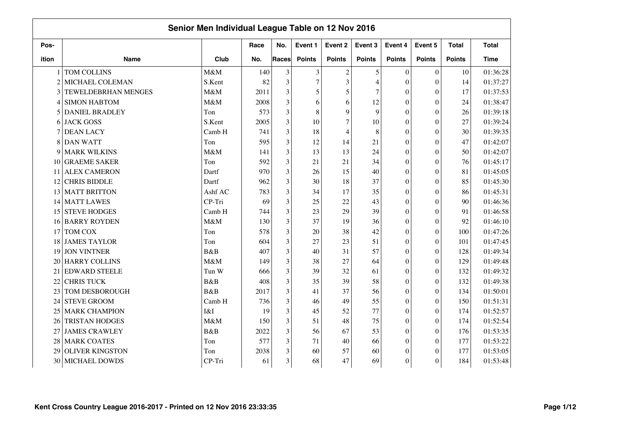|                |                        | Senior Men Individual League Table on 12 Nov 2016 |      |              |                |                |                          |                  |                  |               |              |
|----------------|------------------------|---------------------------------------------------|------|--------------|----------------|----------------|--------------------------|------------------|------------------|---------------|--------------|
| Pos-           |                        |                                                   | Race | No.          | Event 1        | Event 2        | Event 3                  | Event 4          | Event 5          | <b>Total</b>  | <b>Total</b> |
| ition          | <b>Name</b>            | Club                                              | No.  | <b>Races</b> | <b>Points</b>  | <b>Points</b>  | <b>Points</b>            | <b>Points</b>    | <b>Points</b>    | <b>Points</b> | <b>Time</b>  |
|                | TOM COLLINS            | M&M                                               | 140  | 3            | 3              | $\overline{2}$ | 5                        | $\mathbf{0}$     | $\mathbf{0}$     | 10            | 01:36:28     |
| $\overline{2}$ | MICHAEL COLEMAN        | S.Kent                                            | 82   | 3            | $\overline{7}$ | $\overline{3}$ | $\overline{\mathcal{L}}$ | $\theta$         | $\overline{0}$   | 14            | 01:37:27     |
| $\mathbf{3}$   | TEWELDEBRHAN MENGES    | M&M                                               | 2011 | 3            | 5              | 5              | 7                        | $\theta$         | $\overline{0}$   | 17            | 01:37:53     |
| 4              | <b>SIMON HABTOM</b>    | M&M                                               | 2008 | 3            | 6              | 6              | 12                       | $\boldsymbol{0}$ | $\overline{0}$   | 24            | 01:38:47     |
| 5              | <b>DANIEL BRADLEY</b>  | Ton                                               | 573  | 3            | 8              | 9              | 9                        | $\boldsymbol{0}$ | $\overline{0}$   | 26            | 01:39:18     |
| 6              | <b>JACK GOSS</b>       | S.Kent                                            | 2005 | 3            | 10             | $\overline{7}$ | 10                       | $\overline{0}$   | $\theta$         | 27            | 01:39:24     |
| 7              | <b>DEAN LACY</b>       | Camb H                                            | 741  | 3            | 18             | $\overline{4}$ | 8                        | $\theta$         | $\theta$         | 30            | 01:39:35     |
| 8              | <b>DAN WATT</b>        | Ton                                               | 595  | 3            | 12             | 14             | 21                       | $\theta$         | $\overline{0}$   | 47            | 01:42:07     |
| 9              | <b>MARK WILKINS</b>    | M&M                                               | 141  | 3            | 13             | 13             | 24                       | $\theta$         | $\theta$         | 50            | 01:42:07     |
| 10             | <b>GRAEME SAKER</b>    | Ton                                               | 592  | 3            | 21             | 21             | 34                       | $\theta$         | $\theta$         | 76            | 01:45:17     |
| 11             | <b>ALEX CAMERON</b>    | Dartf                                             | 970  | 3            | 26             | 15             | 40                       | $\theta$         | $\theta$         | 81            | 01:45:05     |
| 12             | <b>CHRIS BIDDLE</b>    | Dartf                                             | 962  | 3            | 30             | 18             | 37                       | $\theta$         | $\overline{0}$   | 85            | 01:45:30     |
| 13             | <b>MATT BRITTON</b>    | Ashf AC                                           | 783  | 3            | 34             | 17             | 35                       | $\theta$         | $\overline{0}$   | 86            | 01:45:31     |
| 14             | <b>MATT LAWES</b>      | CP-Tri                                            | 69   | 3            | 25             | 22             | 43                       | $\theta$         | $\Omega$         | 90            | 01:46:36     |
| 15             | <b>STEVE HODGES</b>    | Camb H                                            | 744  | 3            | 23             | 29             | 39                       | $\theta$         | $\Omega$         | 91            | 01:46:58     |
| 16             | <b>BARRY ROYDEN</b>    | M&M                                               | 130  | 3            | 37             | 19             | 36                       | $\boldsymbol{0}$ | $\overline{0}$   | 92            | 01:46:10     |
| 17             | TOM COX                | Ton                                               | 578  | 3            | 20             | 38             | 42                       | $\overline{0}$   | $\overline{0}$   | 100           | 01:47:26     |
| 18             | <b>JAMES TAYLOR</b>    | Ton                                               | 604  | 3            | 27             | 23             | 51                       | $\overline{0}$   | $\mathbf{0}$     | 101           | 01:47:45     |
| 19             | <b>JON VINTNER</b>     | B&B                                               | 407  | 3            | 40             | 31             | 57                       | $\overline{0}$   | $\boldsymbol{0}$ | 128           | 01:49:34     |
| 20             | <b>HARRY COLLINS</b>   | M&M                                               | 149  | 3            | 38             | 27             | 64                       | $\boldsymbol{0}$ | $\overline{0}$   | 129           | 01:49:48     |
| 21             | <b>EDWARD STEELE</b>   | Tun W                                             | 666  | 3            | 39             | 32             | 61                       | $\theta$         | $\overline{0}$   | 132           | 01:49:32     |
| 22             | <b>CHRIS TUCK</b>      | B&B                                               | 408  | 3            | 35             | 39             | 58                       | $\theta$         | $\theta$         | 132           | 01:49:38     |
| 23             | TOM DESBOROUGH         | B&B                                               | 2017 | 3            | 41             | 37             | 56                       | $\theta$         | $\theta$         | 134           | 01:50:01     |
| 24             | <b>STEVE GROOM</b>     | Camb H                                            | 736  | 3            | 46             | 49             | 55                       | $\theta$         | $\overline{0}$   | 150           | 01:51:31     |
| 25             | <b>MARK CHAMPION</b>   | I&I                                               | 19   | 3            | 45             | 52             | 77                       | $\theta$         | $\theta$         | 174           | 01:52:57     |
| 26             | <b>TRISTAN HODGES</b>  | M&M                                               | 150  | 3            | 51             | 48             | 75                       | $\theta$         | $\theta$         | 174           | 01:52:54     |
| 27             | <b>JAMES CRAWLEY</b>   | <b>B&amp;B</b>                                    | 2022 | 3            | 56             | 67             | 53                       | $\theta$         | $\mathbf{0}$     | 176           | 01:53:35     |
| 28             | <b>MARK COATES</b>     | Ton                                               | 577  | 3            | 71             | 40             | 66                       | $\boldsymbol{0}$ | $\Omega$         | 177           | 01:53:22     |
| 29             | <b>OLIVER KINGSTON</b> | Ton                                               | 2038 | 3            | 60             | 57             | 60                       | $\mathbf{0}$     | $\theta$         | 177           | 01:53:05     |
| 30             | MICHAEL DOWDS          | CP-Tri                                            | 61   | 3            | 68             | 47             | 69                       | $\overline{0}$   | $\overline{0}$   | 184           | 01:53:48     |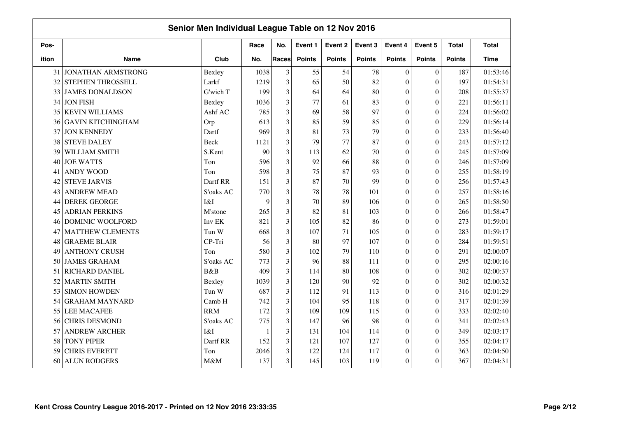|       |                           | Senior Men Individual League Table on 12 Nov 2016 |              |                |               |               |               |                  |                  |               |              |
|-------|---------------------------|---------------------------------------------------|--------------|----------------|---------------|---------------|---------------|------------------|------------------|---------------|--------------|
| Pos-  |                           |                                                   | Race         | No.            | Event 1       | Event 2       | Event 3       | Event 4          | Event 5          | <b>Total</b>  | <b>Total</b> |
| ition | <b>Name</b>               | Club                                              | No.          | Races          | <b>Points</b> | <b>Points</b> | <b>Points</b> | <b>Points</b>    | <b>Points</b>    | <b>Points</b> | <b>Time</b>  |
| 31    | <b>JONATHAN ARMSTRONG</b> | Bexley                                            | 1038         | $\mathfrak{Z}$ | 55            | 54            | 78            | $\boldsymbol{0}$ | $\boldsymbol{0}$ | 187           | 01:53:46     |
| 32    | STEPHEN THROSSELL         | Larkf                                             | 1219         | $\mathfrak{Z}$ | 65            | 50            | 82            | $\mathbf{0}$     | $\overline{0}$   | 197           | 01:54:31     |
| 33    | <b>JAMES DONALDSON</b>    | G'wich T                                          | 199          | 3              | 64            | 64            | 80            | $\mathbf{0}$     | $\boldsymbol{0}$ | 208           | 01:55:37     |
| 34    | <b>JON FISH</b>           | Bexley                                            | 1036         | 3              | 77            | 61            | 83            | $\boldsymbol{0}$ | $\boldsymbol{0}$ | 221           | 01:56:11     |
| 35    | <b>KEVIN WILLIAMS</b>     | Ashf AC                                           | 785          | $\overline{3}$ | 69            | 58            | 97            | $\boldsymbol{0}$ | $\overline{0}$   | 224           | 01:56:02     |
| 36    | <b>GAVIN KITCHINGHAM</b>  | Orp                                               | 613          | $\overline{3}$ | 85            | 59            | 85            | $\mathbf{0}$     | $\overline{0}$   | 229           | 01:56:14     |
| 37    | <b>JON KENNEDY</b>        | Dartf                                             | 969          | 3              | 81            | 73            | 79            | $\boldsymbol{0}$ | $\theta$         | 233           | 01:56:40     |
| 38    | <b>STEVE DALEY</b>        | Beck                                              | 1121         | 3              | 79            | 77            | 87            | $\boldsymbol{0}$ | $\theta$         | 243           | 01:57:12     |
| 39    | WILLIAM SMITH             | S.Kent                                            | 90           | 3              | 113           | 62            | 70            | $\overline{0}$   | $\overline{0}$   | 245           | 01:57:09     |
| 40    | <b>JOE WATTS</b>          | Ton                                               | 596          | 3              | 92            | 66            | 88            | $\mathbf{0}$     | $\theta$         | 246           | 01:57:09     |
| 41    | <b>ANDY WOOD</b>          | Ton                                               | 598          | 3              | 75            | 87            | 93            | $\boldsymbol{0}$ | $\theta$         | 255           | 01:58:19     |
| 42    | <b>STEVE JARVIS</b>       | Dartf RR                                          | 151          | 3              | 87            | 70            | 99            | $\boldsymbol{0}$ | $\overline{0}$   | 256           | 01:57:43     |
| 43    | <b>ANDREW MEAD</b>        | S'oaks AC                                         | 770          | $\overline{3}$ | 78            | 78            | 101           | $\boldsymbol{0}$ | $\overline{0}$   | 257           | 01:58:16     |
| 44    | <b>DEREK GEORGE</b>       | I&I                                               | 9            | 3              | 70            | 89            | 106           | $\mathbf{0}$     | $\overline{0}$   | 265           | 01:58:50     |
| 45    | <b>ADRIAN PERKINS</b>     | M'stone                                           | 265          | 3              | 82            | 81            | 103           | $\boldsymbol{0}$ | $\theta$         | 266           | 01:58:47     |
| 46    | <b>DOMINIC WOOLFORD</b>   | Inv EK                                            | 821          | 3              | 105           | 82            | 86            | $\boldsymbol{0}$ | $\overline{0}$   | 273           | 01:59:01     |
| 47    | <b>MATTHEW CLEMENTS</b>   | Tun W                                             | 668          | 3              | 107           | 71            | 105           | $\boldsymbol{0}$ | $\overline{0}$   | 283           | 01:59:17     |
| 48    | <b>GRAEME BLAIR</b>       | CP-Tri                                            | 56           | 3              | 80            | 97            | 107           | $\mathbf{0}$     | $\overline{0}$   | 284           | 01:59:51     |
| 49    | <b>ANTHONY CRUSH</b>      | Ton                                               | 580          | 3              | 102           | 79            | 110           | $\boldsymbol{0}$ | $\overline{0}$   | 291           | 02:00:07     |
| 50    | <b>JAMES GRAHAM</b>       | S'oaks AC                                         | 773          | 3              | 96            | 88            | 111           | $\boldsymbol{0}$ | $\overline{0}$   | 295           | 02:00:16     |
| 51    | RICHARD DANIEL            | B&B                                               | 409          | 3              | 114           | 80            | 108           | $\boldsymbol{0}$ | $\overline{0}$   | 302           | 02:00:37     |
| 52    | <b>MARTIN SMITH</b>       | Bexley                                            | 1039         | $\mathfrak{Z}$ | 120           | 90            | 92            | $\boldsymbol{0}$ | $\overline{0}$   | 302           | 02:00:32     |
| 53    | <b>SIMON HOWDEN</b>       | Tun W                                             | 687          | 3              | 112           | 91            | 113           | $\boldsymbol{0}$ | $\overline{0}$   | 316           | 02:01:29     |
| 54    | <b>GRAHAM MAYNARD</b>     | Camb H                                            | 742          | 3              | 104           | 95            | 118           | $\boldsymbol{0}$ | $\overline{0}$   | 317           | 02:01:39     |
| 55    | <b>LEE MACAFEE</b>        | <b>RRM</b>                                        | 172          | 3              | 109           | 109           | 115           | $\boldsymbol{0}$ | $\theta$         | 333           | 02:02:40     |
| 56    | <b>CHRIS DESMOND</b>      | S'oaks AC                                         | 775          | 3              | 147           | 96            | 98            | $\boldsymbol{0}$ | $\Omega$         | 341           | 02:02:43     |
| 57    | <b>ANDREW ARCHER</b>      | I&I                                               | $\mathbf{1}$ | 3              | 131           | 104           | 114           | $\boldsymbol{0}$ | $\overline{0}$   | 349           | 02:03:17     |
| 58    | <b>TONY PIPER</b>         | Dartf RR                                          | 152          | 3              | 121           | 107           | 127           | $\boldsymbol{0}$ | $\overline{0}$   | 355           | 02:04:17     |
| 59    | <b>CHRIS EVERETT</b>      | Ton                                               | 2046         | 3              | 122           | 124           | 117           | $\mathbf{0}$     | $\boldsymbol{0}$ | 363           | 02:04:50     |
| 60    | <b>ALUN RODGERS</b>       | M&M                                               | 137          | $\mathfrak{Z}$ | 145           | 103           | 119           | $\boldsymbol{0}$ | $\theta$         | 367           | 02:04:31     |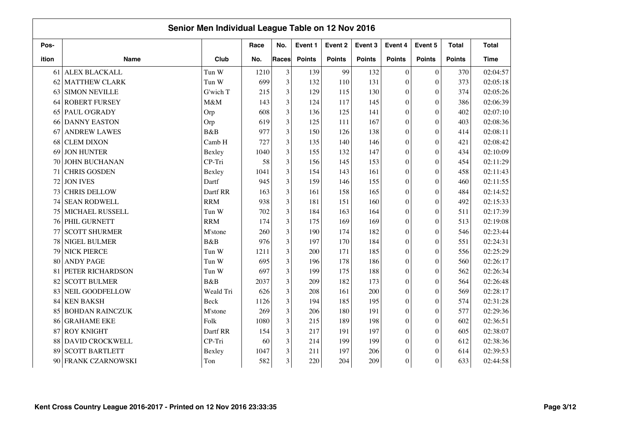|       |                        | Senior Men Individual League Table on 12 Nov 2016 |      |                |               |               |               |                  |                  |               |              |
|-------|------------------------|---------------------------------------------------|------|----------------|---------------|---------------|---------------|------------------|------------------|---------------|--------------|
| Pos-  |                        |                                                   | Race | No.            | Event 1       | Event 2       | Event 3       | Event 4          | Event 5          | <b>Total</b>  | <b>Total</b> |
| ition | <b>Name</b>            | Club                                              | No.  | Races          | <b>Points</b> | <b>Points</b> | <b>Points</b> | <b>Points</b>    | <b>Points</b>    | <b>Points</b> | <b>Time</b>  |
| 61    | ALEX BLACKALL          | Tun W                                             | 1210 | $\overline{3}$ | 139           | 99            | 132           | $\boldsymbol{0}$ | $\boldsymbol{0}$ | 370           | 02:04:57     |
| 62    | <b>MATTHEW CLARK</b>   | Tun W                                             | 699  | $\overline{3}$ | 132           | 110           | 131           | $\mathbf{0}$     | $\overline{0}$   | 373           | 02:05:18     |
| 63    | <b>SIMON NEVILLE</b>   | G'wich T                                          | 215  | 3              | 129           | 115           | 130           | $\mathbf{0}$     | $\theta$         | 374           | 02:05:26     |
| 64    | <b>ROBERT FURSEY</b>   | M&M                                               | 143  | 3              | 124           | 117           | 145           | $\boldsymbol{0}$ | $\boldsymbol{0}$ | 386           | 02:06:39     |
| 65    | PAUL O'GRADY           | Orp                                               | 608  | $\overline{3}$ | 136           | 125           | 141           | $\boldsymbol{0}$ | $\overline{0}$   | 402           | 02:07:10     |
| 66    | <b>DANNY EASTON</b>    | Orp                                               | 619  | 3              | 125           | 111           | 167           | $\mathbf{0}$     | $\overline{0}$   | 403           | 02:08:36     |
| 67    | <b>ANDREW LAWES</b>    | B&B                                               | 977  | 3              | 150           | 126           | 138           | $\boldsymbol{0}$ | $\theta$         | 414           | 02:08:11     |
| 68    | <b>CLEM DIXON</b>      | Camb H                                            | 727  | 3              | 135           | 140           | 146           | $\boldsymbol{0}$ | $\theta$         | 421           | 02:08:42     |
| 69    | <b>JON HUNTER</b>      | Bexley                                            | 1040 | $\overline{3}$ | 155           | 132           | 147           | $\boldsymbol{0}$ | $\overline{0}$   | 434           | 02:10:09     |
| 70    | JOHN BUCHANAN          | CP-Tri                                            | 58   | $\overline{3}$ | 156           | 145           | 153           | $\mathbf{0}$     | $\theta$         | 454           | 02:11:29     |
| 71    | <b>CHRIS GOSDEN</b>    | Bexley                                            | 1041 | $\overline{3}$ | 154           | 143           | 161           | $\boldsymbol{0}$ | $\theta$         | 458           | 02:11:43     |
| 72    | <b>JON IVES</b>        | Dartf                                             | 945  | 3              | 159           | 146           | 155           | $\boldsymbol{0}$ | $\overline{0}$   | 460           | 02:11:55     |
| 73    | <b>CHRIS DELLOW</b>    | Dartf RR                                          | 163  | $\overline{3}$ | 161           | 158           | 165           | $\boldsymbol{0}$ | $\overline{0}$   | 484           | 02:14:52     |
| 74    | <b>SEAN RODWELL</b>    | <b>RRM</b>                                        | 938  | 3              | 181           | 151           | 160           | $\mathbf{0}$     | $\overline{0}$   | 492           | 02:15:33     |
| 75    | MICHAEL RUSSELL        | Tun W                                             | 702  | $\overline{3}$ | 184           | 163           | 164           | $\boldsymbol{0}$ | $\theta$         | 511           | 02:17:39     |
| 76    | PHIL GURNETT           | <b>RRM</b>                                        | 174  | 3              | 175           | 169           | 169           | $\boldsymbol{0}$ | $\overline{0}$   | 513           | 02:19:08     |
| 77    | <b>SCOTT SHURMER</b>   | M'stone                                           | 260  | 3              | 190           | 174           | 182           | $\boldsymbol{0}$ | $\overline{0}$   | 546           | 02:23:44     |
| 78    | <b>NIGEL BULMER</b>    | B&B                                               | 976  | 3              | 197           | 170           | 184           | $\boldsymbol{0}$ | $\overline{0}$   | 551           | 02:24:31     |
| 79    | <b>NICK PIERCE</b>     | Tun W                                             | 1211 | 3              | 200           | 171           | 185           | $\boldsymbol{0}$ | $\overline{0}$   | 556           | 02:25:29     |
| 80    | <b>ANDY PAGE</b>       | Tun W                                             | 695  | 3              | 196           | 178           | 186           | $\boldsymbol{0}$ | $\overline{0}$   | 560           | 02:26:17     |
| 81    | PETER RICHARDSON       | Tun W                                             | 697  | $\overline{3}$ | 199           | 175           | 188           | $\boldsymbol{0}$ | $\overline{0}$   | 562           | 02:26:34     |
| 82    | <b>SCOTT BULMER</b>    | B&B                                               | 2037 | $\overline{3}$ | 209           | 182           | 173           | $\boldsymbol{0}$ | $\overline{0}$   | 564           | 02:26:48     |
| 83    | <b>NEIL GOODFELLOW</b> | Weald Tri                                         | 626  | 3              | 208           | 161           | 200           | $\boldsymbol{0}$ | $\overline{0}$   | 569           | 02:28:17     |
| 84    | <b>KEN BAKSH</b>       | Beck                                              | 1126 | 3              | 194           | 185           | 195           | $\boldsymbol{0}$ | $\overline{0}$   | 574           | 02:31:28     |
| 85    | <b>BOHDAN RAINCZUK</b> | M'stone                                           | 269  | $\overline{3}$ | 206           | 180           | 191           | $\boldsymbol{0}$ | $\overline{0}$   | 577           | 02:29:36     |
| 86    | <b>GRAHAME EKE</b>     | Folk                                              | 1080 | $\overline{3}$ | 215           | 189           | 198           | $\boldsymbol{0}$ | $\overline{0}$   | 602           | 02:36:51     |
| 87    | <b>ROY KNIGHT</b>      | Dartf RR                                          | 154  | $\overline{3}$ | 217           | 191           | 197           | $\boldsymbol{0}$ | $\overline{0}$   | 605           | 02:38:07     |
| 88    | DAVID CROCKWELL        | CP-Tri                                            | 60   | $\overline{3}$ | 214           | 199           | 199           | $\boldsymbol{0}$ | $\overline{0}$   | 612           | 02:38:36     |
| 89    | <b>SCOTT BARTLETT</b>  | Bexley                                            | 1047 | $\mathfrak{Z}$ | 211           | 197           | 206           | $\mathbf{0}$     | $\boldsymbol{0}$ | 614           | 02:39:53     |
| 90    | FRANK CZARNOWSKI       | Ton                                               | 582  | $\mathfrak{Z}$ | 220           | 204           | 209           | $\boldsymbol{0}$ | $\overline{0}$   | 633           | 02:44:58     |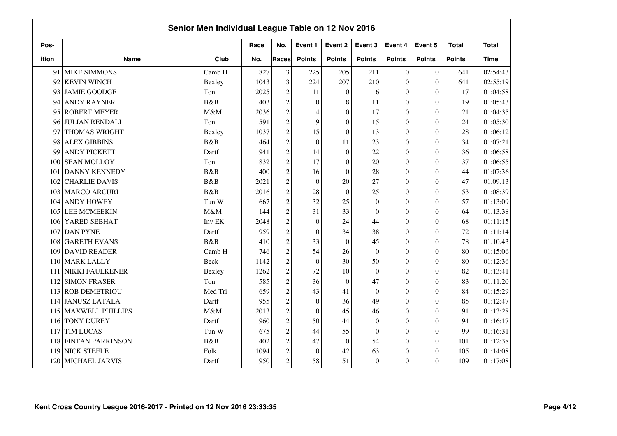| Senior Men Individual League Table on 12 Nov 2016 |                         |             |      |                |                  |                  |                  |                  |                  |               |              |  |
|---------------------------------------------------|-------------------------|-------------|------|----------------|------------------|------------------|------------------|------------------|------------------|---------------|--------------|--|
| Pos-                                              |                         |             | Race | No.            | Event 1          | Event 2          | Event 3          | Event 4          | Event 5          | <b>Total</b>  | <b>Total</b> |  |
| ition                                             | <b>Name</b>             | Club        | No.  | Races          | <b>Points</b>    | <b>Points</b>    | <b>Points</b>    | <b>Points</b>    | <b>Points</b>    | <b>Points</b> | <b>Time</b>  |  |
| 91                                                | <b>MIKE SIMMONS</b>     | Camb H      | 827  | 3              | 225              | 205              | 211              | $\theta$         | $\mathbf{0}$     | 641           | 02:54:43     |  |
| 92                                                | <b>KEVIN WINCH</b>      | Bexley      | 1043 | 3              | 224              | 207              | 210              | $\theta$         | $\overline{0}$   | 641           | 02:55:19     |  |
| 93                                                | <b>JAMIE GOODGE</b>     | Ton         | 2025 | $\overline{c}$ | 11               | $\overline{0}$   | 6                | $\theta$         | $\theta$         | 17            | 01:04:58     |  |
| 94                                                | <b>ANDY RAYNER</b>      | B&B         | 403  | $\overline{c}$ | $\theta$         | 8                | 11               | $\theta$         | $\mathbf{0}$     | 19            | 01:05:43     |  |
| 95                                                | <b>ROBERT MEYER</b>     | M&M         | 2036 | $\overline{c}$ | 4                | $\overline{0}$   | 17               | $\boldsymbol{0}$ | $\overline{0}$   | 21            | 01:04:35     |  |
| 96                                                | <b>JULIAN RENDALL</b>   | Ton         | 591  | $\overline{c}$ | 9                | $\overline{0}$   | 15               | $\theta$         | $\overline{0}$   | 24            | 01:05:30     |  |
| 97                                                | THOMAS WRIGHT           | Bexley      | 1037 | $\overline{c}$ | 15               | $\boldsymbol{0}$ | 13               | $\mathbf{0}$     | $\theta$         | 28            | 01:06:12     |  |
| 98                                                | <b>ALEX GIBBINS</b>     | <b>B</b> &B | 464  | $\overline{c}$ | $\overline{0}$   | 11               | 23               | $\theta$         | $\overline{0}$   | 34            | 01:07:21     |  |
| 99                                                | <b>ANDY PICKETT</b>     | Dartf       | 941  | $\overline{c}$ | 14               | $\boldsymbol{0}$ | 22               | $\overline{0}$   | $\theta$         | 36            | 01:06:58     |  |
| 100                                               | <b>SEAN MOLLOY</b>      | Ton         | 832  | $\overline{c}$ | 17               | $\overline{0}$   | 20               | $\overline{0}$   | $\theta$         | 37            | 01:06:55     |  |
| 101                                               | <b>DANNY KENNEDY</b>    | B&B         | 400  | $\overline{c}$ | 16               | $\boldsymbol{0}$ | 28               | $\overline{0}$   | $\boldsymbol{0}$ | 44            | 01:07:36     |  |
| 102                                               | <b>CHARLIE DAVIS</b>    | B&B         | 2021 | $\overline{c}$ | $\mathbf{0}$     | 20               | 27               | $\theta$         | $\overline{0}$   | 47            | 01:09:13     |  |
| 103                                               | <b>MARCO ARCURI</b>     | B&B         | 2016 | $\overline{c}$ | 28               | $\boldsymbol{0}$ | 25               | $\theta$         | $\overline{0}$   | 53            | 01:08:39     |  |
| 104                                               | <b>ANDY HOWEY</b>       | Tun W       | 667  | $\overline{c}$ | 32               | 25               | $\theta$         | $\theta$         | $\theta$         | 57            | 01:13:09     |  |
| 105                                               | <b>LEE MCMEEKIN</b>     | M&M         | 144  | $\overline{c}$ | 31               | 33               | $\theta$         | $\theta$         | $\theta$         | 64            | 01:13:38     |  |
| 106                                               | <b>YARED SEBHAT</b>     | Inv EK      | 2048 | $\overline{c}$ | $\overline{0}$   | 24               | 44               | $\mathbf{0}$     | $\overline{0}$   | 68            | 01:11:15     |  |
| 107                                               | <b>DAN PYNE</b>         | Dartf       | 959  | $\overline{c}$ | $\mathbf{0}$     | 34               | 38               | $\boldsymbol{0}$ | $\overline{0}$   | $72\,$        | 01:11:14     |  |
| 108                                               | <b>GARETH EVANS</b>     | B&B         | 410  | $\overline{c}$ | 33               | $\boldsymbol{0}$ | 45               | $\overline{0}$   | $\boldsymbol{0}$ | 78            | 01:10:43     |  |
| 109                                               | <b>DAVID READER</b>     | Camb H      | 746  | $\overline{c}$ | 54               | 26               | $\Omega$         | $\theta$         | $\overline{0}$   | 80            | 01:15:06     |  |
| 110                                               | <b>MARK LALLY</b>       | Beck        | 1142 | $\overline{c}$ | $\boldsymbol{0}$ | 30               | 50               | $\theta$         | $\overline{0}$   | 80            | 01:12:36     |  |
| 111                                               | <b>NIKKI FAULKENER</b>  | Bexley      | 1262 | $\overline{c}$ | 72               | 10               | $\theta$         | $\theta$         | $\theta$         | 82            | 01:13:41     |  |
| 112                                               | <b>SIMON FRASER</b>     | Ton         | 585  | $\overline{c}$ | 36               | $\theta$         | 47               | $\theta$         | $\overline{0}$   | 83            | 01:11:20     |  |
| 113                                               | <b>ROB DEMETRIOU</b>    | Med Tri     | 659  | $\overline{c}$ | 43               | 41               | $\Omega$         | $\theta$         | $\overline{0}$   | 84            | 01:15:29     |  |
|                                                   | 114 JANUSZ LATALA       | Dartf       | 955  | $\overline{c}$ | $\mathbf{0}$     | 36               | 49               | $\theta$         | $\overline{0}$   | 85            | 01:12:47     |  |
| 115                                               | <b>MAXWELL PHILLIPS</b> | M&M         | 2013 | $\overline{c}$ | $\theta$         | 45               | 46               | $\theta$         | $\theta$         | 91            | 01:13:28     |  |
|                                                   | 116 TONY DUREY          | Dartf       | 960  | $\overline{c}$ | 50               | 44               | $\mathbf{0}$     | $\boldsymbol{0}$ | $\overline{0}$   | 94            | 01:16:17     |  |
| 117                                               | <b>TIM LUCAS</b>        | Tun W       | 675  | $\overline{c}$ | 44               | 55               | $\boldsymbol{0}$ | $\boldsymbol{0}$ | $\boldsymbol{0}$ | 99            | 01:16:31     |  |
| 118                                               | <b>FINTAN PARKINSON</b> | B&B         | 402  | $\sqrt{2}$     | 47               | $\overline{0}$   | 54               | $\boldsymbol{0}$ | $\theta$         | 101           | 01:12:38     |  |
| 119                                               | <b>NICK STEELE</b>      | Folk        | 1094 | $\overline{c}$ | $\boldsymbol{0}$ | 42               | 63               | $\overline{0}$   | $\theta$         | 105           | 01:14:08     |  |
| 120                                               | MICHAEL JARVIS          | Dartf       | 950  | $\overline{c}$ | 58               | 51               | $\mathbf{0}$     | $\boldsymbol{0}$ | $\theta$         | 109           | 01:17:08     |  |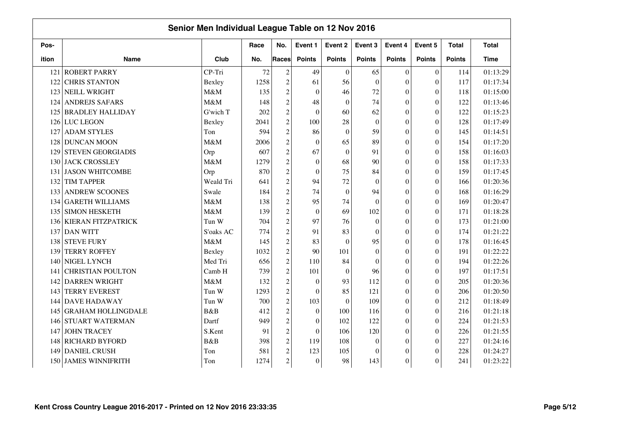| Senior Men Individual League Table on 12 Nov 2016 |                           |           |      |                  |                  |                  |               |                  |                  |               |              |
|---------------------------------------------------|---------------------------|-----------|------|------------------|------------------|------------------|---------------|------------------|------------------|---------------|--------------|
| Pos-                                              |                           |           | Race | No.              | Event 1          | Event 2          | Event 3       | Event 4          | Event 5          | <b>Total</b>  | <b>Total</b> |
| ition                                             | <b>Name</b>               | Club      | No.  | <b>Races</b>     | <b>Points</b>    | <b>Points</b>    | <b>Points</b> | <b>Points</b>    | <b>Points</b>    | <b>Points</b> | Time         |
| 121                                               | <b>ROBERT PARRY</b>       | CP-Tri    | 72   | $\overline{2}$   | 49               | $\overline{0}$   | 65            | $\theta$         | $\mathbf{0}$     | 114           | 01:13:29     |
| 122                                               | <b>CHRIS STANTON</b>      | Bexley    | 1258 | $\overline{2}$   | 61               | 56               | $\theta$      | $\theta$         | $\overline{0}$   | 117           | 01:17:34     |
| 123                                               | NEILL WRIGHT              | M&M       | 135  | $\overline{c}$   | $\mathbf{0}$     | 46               | 72            | $\Omega$         | $\theta$         | 118           | 01:15:00     |
| 124                                               | <b>ANDREJS SAFARS</b>     | M&M       | 148  | $\overline{c}$   | 48               | $\mathbf{0}$     | 74            | $\theta$         | $\overline{0}$   | 122           | 01:13:46     |
| 125                                               | <b>BRADLEY HALLIDAY</b>   | G'wich T  | 202  | $\overline{c}$   | $\mathbf{0}$     | 60               | 62            | $\theta$         | $\overline{0}$   | 122           | 01:15:23     |
|                                                   | 126 LUC LEGON             | Bexley    | 2041 | $\overline{c}$   | 100              | 28               | $\theta$      | $\theta$         | $\Omega$         | 128           | 01:17:49     |
| 127                                               | <b>ADAM STYLES</b>        | Ton       | 594  | $\overline{c}$   | 86               | $\mathbf{0}$     | 59            | $\boldsymbol{0}$ | $\boldsymbol{0}$ | 145           | 01:14:51     |
| 128                                               | <b>DUNCAN MOON</b>        | M&M       | 2006 | $\overline{c}$   | $\mathbf{0}$     | 65               | 89            | $\mathbf{0}$     | $\overline{0}$   | 154           | 01:17:20     |
| 129                                               | <b>STEVEN GEORGIADIS</b>  | Orp       | 607  | $\overline{c}$   | 67               | $\boldsymbol{0}$ | 91            | $\mathbf{0}$     | $\theta$         | 158           | 01:16:03     |
|                                                   | 130 JACK CROSSLEY         | M&M       | 1279 | $\sqrt{2}$       | $\boldsymbol{0}$ | 68               | 90            | $\mathbf{0}$     | $\boldsymbol{0}$ | 158           | 01:17:33     |
| 131                                               | <b>JASON WHITCOMBE</b>    | Orp       | 870  | $\sqrt{2}$       | $\mathbf{0}$     | 75               | 84            | $\overline{0}$   | $\boldsymbol{0}$ | 159           | 01:17:45     |
| 132                                               | <b>TIM TAPPER</b>         | Weald Tri | 641  | $\overline{c}$   | 94               | 72               | $\theta$      | $\boldsymbol{0}$ | $\overline{0}$   | 166           | 01:20:36     |
| 133                                               | <b>ANDREW SCOONES</b>     | Swale     | 184  | $\overline{c}$   | 74               | $\boldsymbol{0}$ | 94            | $\mathbf{0}$     | $\theta$         | 168           | 01:16:29     |
| 134                                               | <b>GARETH WILLIAMS</b>    | M&M       | 138  | $\overline{c}$   | 95               | 74               | $\Omega$      | $\theta$         | $\theta$         | 169           | 01:20:47     |
| 135                                               | <b>SIMON HESKETH</b>      | M&M       | 139  | $\overline{c}$   | $\mathbf{0}$     | 69               | 102           | $\boldsymbol{0}$ | $\theta$         | 171           | 01:18:28     |
|                                                   | 136 KIERAN FITZPATRICK    | Tun W     | 704  | $\overline{c}$   | 97               | 76               | $\Omega$      | $\mathbf{0}$     | $\overline{0}$   | 173           | 01:21:00     |
|                                                   | 137 DAN WITT              | S'oaks AC | 774  | $\overline{c}$   | 91               | 83               | $\Omega$      | $\boldsymbol{0}$ | $\overline{0}$   | 174           | 01:21:22     |
| 138                                               | <b>STEVE FURY</b>         | M&M       | 145  | $\overline{c}$   | 83               | $\boldsymbol{0}$ | 95            | $\boldsymbol{0}$ | $\boldsymbol{0}$ | 178           | 01:16:45     |
| 139                                               | <b>TERRY ROFFEY</b>       | Bexley    | 1032 | $\overline{c}$   | 90               | 101              | $\Omega$      | $\boldsymbol{0}$ | $\overline{0}$   | 191           | 01:22:22     |
| 140                                               | NIGEL LYNCH               | Med Tri   | 656  | $\overline{c}$   | 110              | 84               | $\theta$      | $\theta$         | $\overline{0}$   | 194           | 01:22:26     |
| 141                                               | <b>CHRISTIAN POULTON</b>  | Camb H    | 739  | $\overline{c}$   | 101              | $\theta$         | 96            | $\theta$         | $\Omega$         | 197           | 01:17:51     |
| 142                                               | <b>DARREN WRIGHT</b>      | M&M       | 132  | $\overline{c}$   | $\mathbf{0}$     | 93               | 112           | $\theta$         | $\theta$         | 205           | 01:20:36     |
| 143                                               | <b>TERRY EVEREST</b>      | Tun W     | 1293 | $\overline{c}$   | $\theta$         | 85               | 121           | $\theta$         | $\Omega$         | 206           | 01:20:50     |
|                                                   | 144 DAVE HADAWAY          | Tun W     | 700  | $\overline{c}$   | 103              | $\theta$         | 109           | $\theta$         | $\overline{0}$   | 212           | 01:18:49     |
| 145                                               | <b>GRAHAM HOLLINGDALE</b> | B&B       | 412  | $\overline{c}$   | $\boldsymbol{0}$ | 100              | 116           | $\theta$         | $\theta$         | 216           | 01:21:18     |
| 146                                               | <b>STUART WATERMAN</b>    | Dartf     | 949  | $\overline{c}$   | $\boldsymbol{0}$ | 102              | 122           | $\boldsymbol{0}$ | $\boldsymbol{0}$ | 224           | 01:21:53     |
| 147                                               | <b>JOHN TRACEY</b>        | S.Kent    | 91   | $\overline{c}$   | $\boldsymbol{0}$ | 106              | 120           | $\overline{0}$   | $\overline{0}$   | 226           | 01:21:55     |
| 148                                               | <b>RICHARD BYFORD</b>     | B&B       | 398  | $\boldsymbol{2}$ | 119              | 108              | $\Omega$      | $\boldsymbol{0}$ | $\theta$         | 227           | 01:24:16     |
| 149                                               | <b>DANIEL CRUSH</b>       | Ton       | 581  | $\overline{c}$   | 123              | 105              | $\theta$      | $\mathbf{0}$     | $\theta$         | 228           | 01:24:27     |
|                                                   | 150 JAMES WINNIFRITH      | Ton       | 1274 | $\overline{c}$   | $\mathbf{0}$     | 98               | 143           | $\boldsymbol{0}$ | $\theta$         | 241           | 01:23:22     |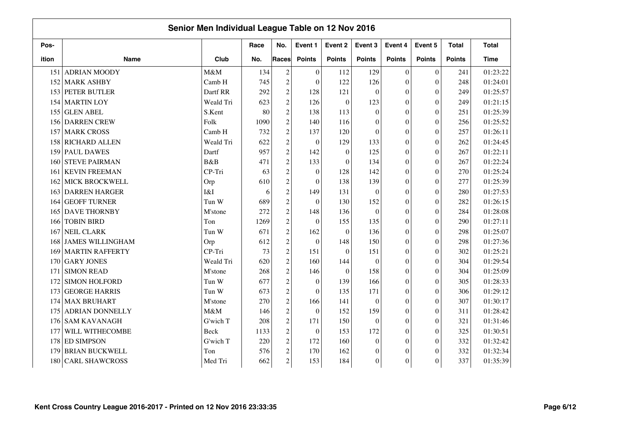| Senior Men Individual League Table on 12 Nov 2016 |                         |             |      |                  |                  |                  |                |                  |                  |               |              |  |
|---------------------------------------------------|-------------------------|-------------|------|------------------|------------------|------------------|----------------|------------------|------------------|---------------|--------------|--|
| Pos-                                              |                         |             | Race | No.              | Event 1          | Event 2          | Event 3        | Event 4          | Event 5          | <b>Total</b>  | <b>Total</b> |  |
| ition                                             | <b>Name</b>             | Club        | No.  | Races            | <b>Points</b>    | <b>Points</b>    | <b>Points</b>  | <b>Points</b>    | <b>Points</b>    | <b>Points</b> | <b>Time</b>  |  |
| 151                                               | <b>ADRIAN MOODY</b>     | M&M         | 134  | $\mathfrak{2}$   | $\boldsymbol{0}$ | 112              | 129            | $\mathbf{0}$     | $\boldsymbol{0}$ | 241           | 01:23:22     |  |
| 152                                               | <b>MARK ASHBY</b>       | Camb H      | 745  | $\boldsymbol{2}$ | $\mathbf{0}$     | 122              | 126            | $\overline{0}$   | $\theta$         | 248           | 01:24:01     |  |
| 153                                               | PETER BUTLER            | Dartf RR    | 292  | $\overline{c}$   | 128              | 121              | $\theta$       | $\overline{0}$   | $\theta$         | 249           | 01:25:57     |  |
| 154                                               | <b>MARTIN LOY</b>       | Weald Tri   | 623  | $\overline{c}$   | 126              | $\boldsymbol{0}$ | 123            | $\boldsymbol{0}$ | $\boldsymbol{0}$ | 249           | 01:21:15     |  |
| 155                                               | <b>GLEN ABEL</b>        | S.Kent      | 80   | $\overline{c}$   | 138              | 113              | $\theta$       | $\boldsymbol{0}$ | $\overline{0}$   | 251           | 01:25:39     |  |
| 156                                               | <b>DARREN CREW</b>      | Folk        | 1090 | $\overline{c}$   | 140              | 116              | $\Omega$       | $\boldsymbol{0}$ | $\theta$         | 256           | 01:25:52     |  |
| 157                                               | <b>MARK CROSS</b>       | Camb H      | 732  | $\boldsymbol{2}$ | 137              | 120              | $\Omega$       | $\theta$         | $\theta$         | 257           | 01:26:11     |  |
| 158                                               | <b>RICHARD ALLEN</b>    | Weald Tri   | 622  | $\overline{c}$   | $\mathbf{0}$     | 129              | 133            | $\boldsymbol{0}$ | $\theta$         | 262           | 01:24:45     |  |
| 159                                               | <b>PAUL DAWES</b>       | Dartf       | 957  | $\overline{c}$   | 142              | $\boldsymbol{0}$ | 125            | $\overline{0}$   | $\theta$         | 267           | 01:22:11     |  |
| 160                                               | <b>STEVE PAIRMAN</b>    | <b>B</b> &B | 471  | $\boldsymbol{2}$ | 133              | $\overline{0}$   | 134            | $\boldsymbol{0}$ | $\theta$         | 267           | 01:22:24     |  |
| 161                                               | <b>KEVIN FREEMAN</b>    | CP-Tri      | 63   | $\overline{c}$   | $\boldsymbol{0}$ | 128              | 142            | $\boldsymbol{0}$ | $\boldsymbol{0}$ | 270           | 01:25:24     |  |
| 162                                               | MICK BROCKWELL          | Orp         | 610  | $\overline{c}$   | $\boldsymbol{0}$ | 138              | 139            | $\boldsymbol{0}$ | $\overline{0}$   | 277           | 01:25:39     |  |
| 163                                               | <b>DARREN HARGER</b>    | I&I         | 6    | $\sqrt{2}$       | 149              | 131              | $\theta$       | $\overline{0}$   | $\theta$         | 280           | 01:27:53     |  |
| 164                                               | <b>GEOFF TURNER</b>     | Tun W       | 689  | $\overline{c}$   | $\mathbf{0}$     | 130              | 152            | $\theta$         | $\theta$         | 282           | 01:26:15     |  |
| 165                                               | <b>DAVE THORNBY</b>     | M'stone     | 272  | $\overline{c}$   | 148              | 136              | $\theta$       | $\mathbf{0}$     | $\theta$         | 284           | 01:28:08     |  |
| 166                                               | <b>TOBIN BIRD</b>       | Ton         | 1269 | $\overline{c}$   | $\mathbf{0}$     | 155              | 135            | $\mathbf{0}$     | $\theta$         | 290           | 01:27:11     |  |
| 167                                               | <b>NEIL CLARK</b>       | Tun W       | 671  | $\overline{c}$   | 162              | $\boldsymbol{0}$ | 136            | $\boldsymbol{0}$ | $\theta$         | 298           | 01:25:07     |  |
| 168                                               | <b>JAMES WILLINGHAM</b> | Orp         | 612  | $\overline{c}$   | $\boldsymbol{0}$ | 148              | 150            | $\overline{0}$   | $\boldsymbol{0}$ | 298           | 01:27:36     |  |
| 169                                               | <b>MARTIN RAFFERTY</b>  | CP-Tri      | 73   | $\overline{c}$   | 151              | $\boldsymbol{0}$ | 151            | $\boldsymbol{0}$ | $\boldsymbol{0}$ | 302           | 01:25:21     |  |
| 170                                               | <b>GARY JONES</b>       | Weald Tri   | 620  | $\overline{c}$   | 160              | 144              | $\theta$       | $\overline{0}$   | $\theta$         | 304           | 01:29:54     |  |
| 171                                               | <b>SIMON READ</b>       | M'stone     | 268  | $\overline{c}$   | 146              | $\overline{0}$   | 158            | $\overline{0}$   | $\theta$         | 304           | 01:25:09     |  |
| 172                                               | <b>SIMON HOLFORD</b>    | Tun W       | 677  | $\sqrt{2}$       | $\mathbf{0}$     | 139              | 166            | $\mathbf{0}$     | $\theta$         | 305           | 01:28:33     |  |
| 173                                               | <b>GEORGE HARRIS</b>    | Tun W       | 673  | $\overline{c}$   | $\mathbf{0}$     | 135              | 171            | $\overline{0}$   | $\theta$         | 306           | 01:29:12     |  |
| 174                                               | <b>MAX BRUHART</b>      | M'stone     | 270  | $\boldsymbol{2}$ | 166              | 141              | $\theta$       | $\overline{0}$   | $\theta$         | 307           | 01:30:17     |  |
| 175                                               | <b>ADRIAN DONNELLY</b>  | M&M         | 146  | $\overline{c}$   | $\boldsymbol{0}$ | 152              | 159            | $\boldsymbol{0}$ | $\boldsymbol{0}$ | 311           | 01:28:42     |  |
| 176                                               | <b>SAM KAVANAGH</b>     | G'wich T    | 208  | $\overline{c}$   | 171              | 150              | $\theta$       | $\boldsymbol{0}$ | $\overline{0}$   | 321           | 01:31:46     |  |
| 177                                               | WILL WITHECOMBE         | Beck        | 1133 | $\boldsymbol{2}$ | $\mathbf{0}$     | 153              | 172            | $\overline{0}$   | $\theta$         | 325           | 01:30:51     |  |
| 178                                               | <b>ED SIMPSON</b>       | G'wich T    | 220  | $\boldsymbol{2}$ | 172              | 160              | $\theta$       | $\overline{0}$   | $\theta$         | 332           | 01:32:42     |  |
| 179                                               | <b>BRIAN BUCKWELL</b>   | Ton         | 576  | $\overline{c}$   | 170              | 162              | $\mathbf{0}$   | $\overline{0}$   | $\theta$         | 332           | 01:32:34     |  |
| 180                                               | <b>CARL SHAWCROSS</b>   | Med Tri     | 662  | $\overline{c}$   | 153              | 184              | $\overline{0}$ | $\boldsymbol{0}$ | $\theta$         | 337           | 01:35:39     |  |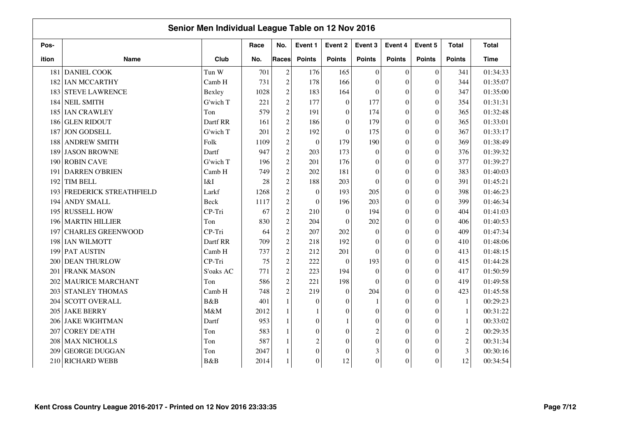| Senior Men Individual League Table on 12 Nov 2016 |                          |             |      |                  |                         |                  |                  |                  |                  |                |              |  |
|---------------------------------------------------|--------------------------|-------------|------|------------------|-------------------------|------------------|------------------|------------------|------------------|----------------|--------------|--|
| Pos-                                              |                          |             | Race | No.              | Event 1                 | Event 2          | Event 3          | Event 4          | Event 5          | <b>Total</b>   | <b>Total</b> |  |
| ition                                             | <b>Name</b>              | Club        | No.  | Races            | <b>Points</b>           | <b>Points</b>    | <b>Points</b>    | <b>Points</b>    | <b>Points</b>    | <b>Points</b>  | <b>Time</b>  |  |
| 181                                               | <b>DANIEL COOK</b>       | Tun W       | 701  | $\overline{c}$   | 176                     | 165              | $\Omega$         | $\theta$         | $\mathbf{0}$     | 341            | 01:34:33     |  |
| 182                                               | <b>IAN MCCARTHY</b>      | Camb H      | 731  | $\overline{c}$   | 178                     | 166              | $\Omega$         | $\theta$         | $\overline{0}$   | 344            | 01:35:07     |  |
| 183                                               | <b>STEVE LAWRENCE</b>    | Bexley      | 1028 | $\overline{c}$   | 183                     | 164              | $\Omega$         | $\theta$         | $\theta$         | 347            | 01:35:00     |  |
| 184                                               | <b>NEIL SMITH</b>        | G'wich T    | 221  | $\overline{c}$   | 177                     | $\boldsymbol{0}$ | 177              | $\theta$         | $\overline{0}$   | 354            | 01:31:31     |  |
| 185                                               | <b>IAN CRAWLEY</b>       | Ton         | 579  | $\overline{c}$   | 191                     | $\theta$         | 174              | $\theta$         | $\overline{0}$   | 365            | 01:32:48     |  |
| 186                                               | <b>GLEN RIDOUT</b>       | Dartf RR    | 161  | $\overline{c}$   | 186                     | $\theta$         | 179              | $\theta$         | $\overline{0}$   | 365            | 01:33:01     |  |
| 187                                               | <b>JON GODSELL</b>       | G'wich T    | 201  | $\overline{c}$   | 192                     | $\boldsymbol{0}$ | 175              | $\mathbf{0}$     | $\overline{0}$   | 367            | 01:33:17     |  |
| 188                                               | <b>ANDREW SMITH</b>      | Folk        | 1109 | $\overline{c}$   | $\boldsymbol{0}$        | 179              | 190              | $\boldsymbol{0}$ | $\overline{0}$   | 369            | 01:38:49     |  |
| 189                                               | <b>JASON BROWNE</b>      | Dartf       | 947  | $\boldsymbol{2}$ | 203                     | 173              | $\theta$         | $\overline{0}$   | $\theta$         | 376            | 01:39:32     |  |
| 190                                               | <b>ROBIN CAVE</b>        | G'wich T    | 196  | $\boldsymbol{2}$ | 201                     | 176              | $\Omega$         | $\overline{0}$   | $\theta$         | 377            | 01:39:27     |  |
| 191                                               | <b>DARREN O'BRIEN</b>    | Camb H      | 749  | $\overline{c}$   | 202                     | 181              | $\mathbf{0}$     | $\boldsymbol{0}$ | $\boldsymbol{0}$ | 383            | 01:40:03     |  |
| 192                                               | TIM BELL                 | I&I         | 28   | $\overline{c}$   | 188                     | 203              | $\theta$         | $\boldsymbol{0}$ | $\overline{0}$   | 391            | 01:45:21     |  |
| 193                                               | FREDERICK STREATHFIELD   | Larkf       | 1268 | $\overline{c}$   | $\mathbf{0}$            | 193              | 205              | $\boldsymbol{0}$ | $\theta$         | 398            | 01:46:23     |  |
| 194                                               | <b>ANDY SMALL</b>        | <b>Beck</b> | 1117 | $\overline{c}$   | $\mathbf{0}$            | 196              | 203              | $\theta$         | $\theta$         | 399            | 01:46:34     |  |
| 195                                               | <b>RUSSELL HOW</b>       | CP-Tri      | 67   | $\overline{c}$   | 210                     | $\overline{0}$   | 194              | $\mathbf{0}$     | $\theta$         | 404            | 01:41:03     |  |
| 1961                                              | <b>MARTIN HILLIER</b>    | Ton         | 830  | $\overline{c}$   | 204                     | $\theta$         | 202              | $\boldsymbol{0}$ | $\theta$         | 406            | 01:40:53     |  |
| 197                                               | <b>CHARLES GREENWOOD</b> | CP-Tri      | 64   | $\overline{c}$   | 207                     | 202              | $\mathbf{0}$     | $\boldsymbol{0}$ | $\overline{0}$   | 409            | 01:47:34     |  |
| 198                                               | <b>IAN WILMOTT</b>       | Dartf RR    | 709  | $\sqrt{2}$       | 218                     | 192              | $\mathbf{0}$     | $\boldsymbol{0}$ | $\boldsymbol{0}$ | 410            | 01:48:06     |  |
| 199                                               | <b>PAT AUSTIN</b>        | Camb H      | 737  | $\overline{c}$   | 212                     | 201              | $\Omega$         | $\theta$         | $\overline{0}$   | 413            | 01:48:15     |  |
| 200                                               | <b>DEAN THURLOW</b>      | CP-Tri      | 75   | $\overline{c}$   | 222                     | $\theta$         | 193              | $\theta$         | $\overline{0}$   | 415            | 01:44:28     |  |
| 201                                               | <b>FRANK MASON</b>       | S'oaks AC   | 771  | $\overline{c}$   | 223                     | 194              | $\Omega$         | $\theta$         | $\Omega$         | 417            | 01:50:59     |  |
| 202                                               | <b>MAURICE MARCHANT</b>  | Ton         | 586  | $\overline{c}$   | 221                     | 198              | $\Omega$         | $\theta$         | $\theta$         | 419            | 01:49:58     |  |
| 203                                               | <b>STANLEY THOMAS</b>    | Camb H      | 748  | $\overline{c}$   | 219                     | $\boldsymbol{0}$ | 204              | $\theta$         | $\overline{0}$   | 423            | 01:45:58     |  |
| 204                                               | <b>SCOTT OVERALL</b>     | B&B         | 401  | $\mathbf{1}$     | $\Omega$                | $\theta$         |                  | $\theta$         | $\overline{0}$   | $\mathbf{1}$   | 00:29:23     |  |
| 205                                               | <b>JAKE BERRY</b>        | M&M         | 2012 | $\mathbf{1}$     | 1                       | $\boldsymbol{0}$ | $\Omega$         | $\theta$         | $\boldsymbol{0}$ | $\mathbf{1}$   | 00:31:22     |  |
| 2061                                              | <b>JAKE WIGHTMAN</b>     | Dartf       | 953  | $\mathbf{1}$     | $\boldsymbol{0}$        | $\mathbf{1}$     | $\boldsymbol{0}$ | $\boldsymbol{0}$ | $\mathbf{0}$     | $\mathbf{1}$   | 00:33:02     |  |
| 207                                               | <b>COREY DE'ATH</b>      | Ton         | 583  | $\mathbf{1}$     | $\mathbf{0}$            | $\boldsymbol{0}$ | $\overline{c}$   | $\boldsymbol{0}$ | $\boldsymbol{0}$ | $\overline{c}$ | 00:29:35     |  |
| 208                                               | <b>MAX NICHOLLS</b>      | Ton         | 587  | $\mathbf{1}$     | $\overline{\mathbf{c}}$ | $\theta$         | $\Omega$         | $\mathbf{0}$     | $\theta$         | $\overline{c}$ | 00:31:34     |  |
| 209                                               | <b>GEORGE DUGGAN</b>     | Ton         | 2047 | 1                | $\boldsymbol{0}$        | $\theta$         | 3                | $\overline{0}$   | $\theta$         | 3              | 00:30:16     |  |
| 210                                               | <b>RICHARD WEBB</b>      | B&B         | 2014 |                  | $\boldsymbol{0}$        | 12               | $\overline{0}$   | $\boldsymbol{0}$ | $\overline{0}$   | 12             | 00:34:54     |  |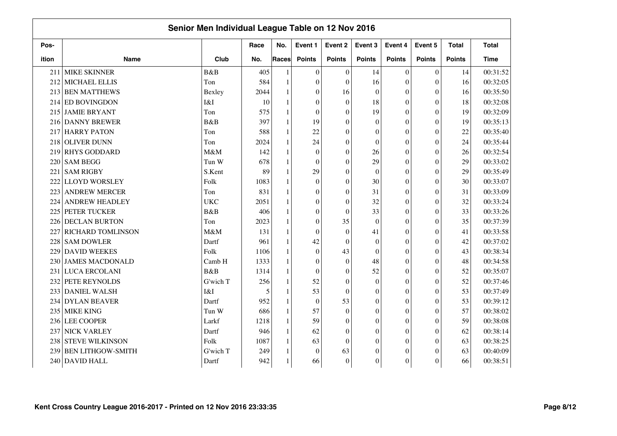| Senior Men Individual League Table on 12 Nov 2016 |                          |            |      |              |                  |                  |                |                  |                  |               |              |
|---------------------------------------------------|--------------------------|------------|------|--------------|------------------|------------------|----------------|------------------|------------------|---------------|--------------|
| Pos-                                              |                          |            | Race | No.          | Event 1          | Event 2          | Event 3        | Event 4          | Event 5          | <b>Total</b>  | <b>Total</b> |
| ition                                             | <b>Name</b>              | Club       | No.  | <b>Races</b> | <b>Points</b>    | <b>Points</b>    | <b>Points</b>  | <b>Points</b>    | <b>Points</b>    | <b>Points</b> | Time         |
| 211                                               | <b>MIKE SKINNER</b>      | B&B        | 405  |              | $\theta$         | $\theta$         | 14             | $\theta$         | $\mathbf{0}$     | 14            | 00:31:52     |
| 212                                               | MICHAEL ELLIS            | Ton        | 584  | 1            | $\theta$         | $\theta$         | 16             | $\theta$         | $\overline{0}$   | 16            | 00:32:05     |
|                                                   | 213 BEN MATTHEWS         | Bexley     | 2044 | 1            | $\theta$         | 16               | $\theta$       | $\theta$         | $\theta$         | 16            | 00:35:50     |
|                                                   | 214 ED BOVINGDON         | I&I        | 10   | $\mathbf{1}$ | $\theta$         | $\boldsymbol{0}$ | 18             | $\theta$         | $\overline{0}$   | 18            | 00:32:08     |
| 215                                               | <b>JAMIE BRYANT</b>      | Ton        | 575  | $\mathbf{1}$ | $\theta$         | $\theta$         | 19             | $\Omega$         | $\theta$         | 19            | 00:32:09     |
| 216                                               | <b>DANNY BREWER</b>      | B&B        | 397  | $\mathbf{1}$ | 19               | $\overline{0}$   | $\theta$       | $\theta$         | $\overline{0}$   | 19            | 00:35:13     |
|                                                   | 217 HARRY PATON          | Ton        | 588  | $\mathbf{1}$ | 22               | $\overline{0}$   | $\Omega$       | $\mathbf{0}$     | $\boldsymbol{0}$ | 22            | 00:35:40     |
| 218                                               | <b>OLIVER DUNN</b>       | Ton        | 2024 | 1            | 24               | $\overline{0}$   | $\theta$       | $\boldsymbol{0}$ | $\overline{0}$   | 24            | 00:35:44     |
| 219                                               | <b>RHYS GODDARD</b>      | M&M        | 142  | 1            | $\mathbf{0}$     | $\theta$         | 26             | $\mathbf{0}$     | $\theta$         | 26            | 00:32:54     |
| 220                                               | <b>SAM BEGG</b>          | Tun W      | 678  | 1            | $\mathbf{0}$     | $\boldsymbol{0}$ | 29             | $\mathbf{0}$     | $\theta$         | 29            | 00:33:02     |
|                                                   | 221 SAM RIGBY            | S.Kent     | 89   | 1            | 29               | $\boldsymbol{0}$ | $\theta$       | $\mathbf{0}$     | $\boldsymbol{0}$ | 29            | 00:35:49     |
| 222                                               | <b>LLOYD WORSLEY</b>     | Folk       | 1083 | $\mathbf{1}$ | $\theta$         | $\theta$         | 30             | $\boldsymbol{0}$ | $\theta$         | 30            | 00:33:07     |
| 223                                               | <b>ANDREW MERCER</b>     | Ton        | 831  | 1            | $\mathbf{0}$     | $\theta$         | 31             | $\mathbf{0}$     | $\theta$         | 31            | 00:33:09     |
| 224                                               | <b>ANDREW HEADLEY</b>    | <b>UKC</b> | 2051 | 1            | $\mathbf{0}$     | $\theta$         | 32             | $\theta$         | $\theta$         | 32            | 00:33:24     |
| 225                                               | PETER TUCKER             | B&B        | 406  | 1            | $\boldsymbol{0}$ | $\theta$         | 33             | $\theta$         | $\theta$         | 33            | 00:33:26     |
| 226                                               | <b>DECLAN BURTON</b>     | Ton        | 2023 | 1            | $\mathbf{0}$     | 35               | $\mathbf{0}$   | $\theta$         | $\theta$         | 35            | 00:37:39     |
| 227                                               | <b>RICHARD TOMLINSON</b> | M&M        | 131  | 1            | $\theta$         | $\boldsymbol{0}$ | 41             | $\theta$         | $\theta$         | 41            | 00:33:58     |
| 228                                               | <b>SAM DOWLER</b>        | Dartf      | 961  | $\mathbf{1}$ | 42               | $\boldsymbol{0}$ | $\mathbf{0}$   | $\mathbf{0}$     | $\boldsymbol{0}$ | 42            | 00:37:02     |
| 229                                               | <b>DAVID WEEKES</b>      | Folk       | 1106 | $\mathbf{1}$ | $\mathbf{0}$     | 43               | $\mathbf{0}$   | $\boldsymbol{0}$ | $\overline{0}$   | 43            | 00:38:34     |
| 230                                               | <b>JAMES MACDONALD</b>   | Camb H     | 1333 | 1            | $\mathbf{0}$     | $\overline{0}$   | 48             | $\theta$         | $\overline{0}$   | 48            | 00:34:58     |
|                                                   | 231 LUCA ERCOLANI        | B&B        | 1314 | 1            | $\theta$         | $\theta$         | 52             | $\theta$         | $\theta$         | 52            | 00:35:07     |
|                                                   | 232 PETE REYNOLDS        | G'wich T   | 256  |              | 52               | $\theta$         | $\theta$       | $\theta$         | $\theta$         | 52            | 00:37:46     |
|                                                   | 233 DANIEL WALSH         | I&I        | 5    | $\mathbf{1}$ | 53               | $\overline{0}$   | $\theta$       | $\theta$         | $\Omega$         | 53            | 00:37:49     |
|                                                   | 234 DYLAN BEAVER         | Dartf      | 952  | 1            | $\boldsymbol{0}$ | 53               | $\theta$       | $\theta$         | $\overline{0}$   | 53            | 00:39:12     |
|                                                   | 235 MIKE KING            | Tun W      | 686  | $\mathbf{1}$ | 57               | $\boldsymbol{0}$ | $\theta$       | $\theta$         | $\theta$         | 57            | 00:38:02     |
|                                                   | 236 LEE COOPER           | Larkf      | 1218 | $\mathbf{1}$ | 59               | $\boldsymbol{0}$ | $\mathbf{0}$   | $\boldsymbol{0}$ | $\boldsymbol{0}$ | 59            | 00:38:08     |
| 237                                               | NICK VARLEY              | Dartf      | 946  | $\mathbf{1}$ | 62               | $\mathbf{0}$     | $\mathbf{0}$   | $\overline{0}$   | $\overline{0}$   | 62            | 00:38:14     |
| 238                                               | <b>STEVE WILKINSON</b>   | Folk       | 1087 | 1            | 63               | $\theta$         | $\Omega$       | $\boldsymbol{0}$ | $\theta$         | 63            | 00:38:25     |
| 239                                               | <b>BEN LITHGOW-SMITH</b> | G'wich T   | 249  |              | $\mathbf{0}$     | 63               | $\theta$       | $\mathbf{0}$     | $\theta$         | 63            | 00:40:09     |
|                                                   | 240 DAVID HALL           | Dartf      | 942  |              | 66               | $\theta$         | $\overline{0}$ | $\boldsymbol{0}$ | $\theta$         | 66            | 00:38:51     |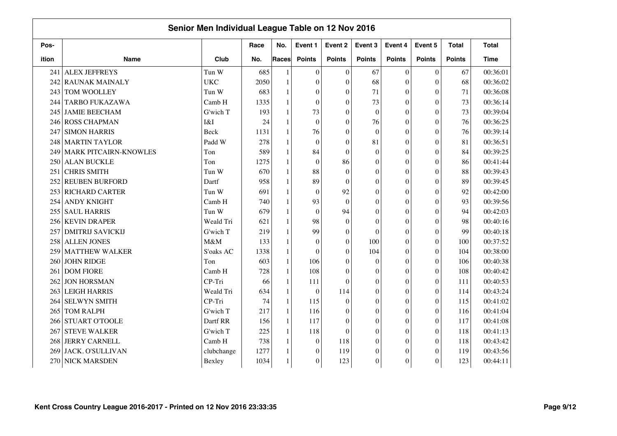| Senior Men Individual League Table on 12 Nov 2016 |                              |            |      |              |               |                  |                  |                  |                  |               |              |  |  |
|---------------------------------------------------|------------------------------|------------|------|--------------|---------------|------------------|------------------|------------------|------------------|---------------|--------------|--|--|
| Pos-                                              |                              |            | Race | No.          | Event 1       | Event 2          | Event 3          | Event 4          | Event 5          | <b>Total</b>  | <b>Total</b> |  |  |
| ition                                             | <b>Name</b>                  | Club       | No.  | Races        | <b>Points</b> | <b>Points</b>    | <b>Points</b>    | <b>Points</b>    | <b>Points</b>    | <b>Points</b> | <b>Time</b>  |  |  |
| 241                                               | <b>ALEX JEFFREYS</b>         | Tun W      | 685  | $\mathbf{1}$ | $\theta$      | $\boldsymbol{0}$ | 67               | $\boldsymbol{0}$ | $\boldsymbol{0}$ | 67            | 00:36:01     |  |  |
| 242                                               | <b>RAUNAK MAINALY</b>        | <b>UKC</b> | 2050 | $\mathbf{1}$ | $\Omega$      | $\Omega$         | 68               | $\theta$         | $\overline{0}$   | 68            | 00:36:02     |  |  |
| 243                                               | TOM WOOLLEY                  | Tun W      | 683  | $\mathbf{1}$ | $\theta$      | $\theta$         | 71               | $\boldsymbol{0}$ | $\overline{0}$   | 71            | 00:36:08     |  |  |
| 244                                               | <b>TARBO FUKAZAWA</b>        | Camb H     | 1335 | $\mathbf{1}$ | $\theta$      | $\theta$         | 73               | $\mathbf{0}$     | $\overline{0}$   | 73            | 00:36:14     |  |  |
| 245                                               | <b>JAMIE BEECHAM</b>         | G'wich T   | 193  | $\mathbf{1}$ | 73            | $\theta$         | $\Omega$         | $\boldsymbol{0}$ | $\overline{0}$   | 73            | 00:39:04     |  |  |
| 246                                               | <b>ROSS CHAPMAN</b>          | I&I        | 24   | $\mathbf{1}$ | $\Omega$      | $\Omega$         | 76               | $\boldsymbol{0}$ | $\overline{0}$   | 76            | 00:36:25     |  |  |
| 247                                               | <b>SIMON HARRIS</b>          | Beck       | 1131 | $\mathbf{1}$ | 76            | $\theta$         | $\Omega$         | $\boldsymbol{0}$ | $\overline{0}$   | 76            | 00:39:14     |  |  |
| 248                                               | <b>MARTIN TAYLOR</b>         | Padd W     | 278  | $\mathbf{1}$ | $\Omega$      | $\theta$         | 81               | $\mathbf{0}$     | $\theta$         | 81            | 00:36:51     |  |  |
| 249                                               | <b>MARK PITCAIRN-KNOWLES</b> | Ton        | 589  | $\mathbf{1}$ | 84            | $\theta$         | $\Omega$         | $\boldsymbol{0}$ | $\overline{0}$   | 84            | 00:39:25     |  |  |
| 250                                               | <b>ALAN BUCKLE</b>           | Ton        | 1275 | $\mathbf{1}$ | $\Omega$      | 86               | $\theta$         | $\theta$         | $\theta$         | 86            | 00:41:44     |  |  |
| 251                                               | <b>CHRIS SMITH</b>           | Tun W      | 670  | $\mathbf{1}$ | 88            | $\theta$         | $\boldsymbol{0}$ | $\boldsymbol{0}$ | $\overline{0}$   | 88            | 00:39:43     |  |  |
| 252                                               | <b>REUBEN BURFORD</b>        | Dartf      | 958  | $\mathbf{1}$ | 89            | $\theta$         | $\theta$         | $\mathbf{0}$     | $\theta$         | 89            | 00:39:45     |  |  |
| 253                                               | <b>RICHARD CARTER</b>        | Tun W      | 691  | $\mathbf{1}$ | $\theta$      | 92               | $\boldsymbol{0}$ | $\boldsymbol{0}$ | $\theta$         | 92            | 00:42:00     |  |  |
| 254                                               | <b>ANDY KNIGHT</b>           | Camb H     | 740  | $\mathbf{1}$ | 93            | $\Omega$         | $\theta$         | $\theta$         | $\theta$         | 93            | 00:39:56     |  |  |
| 255                                               | <b>SAUL HARRIS</b>           | Tun W      | 679  | $\mathbf{1}$ | $\Omega$      | 94               | $\boldsymbol{0}$ | $\boldsymbol{0}$ | $\theta$         | 94            | 00:42:03     |  |  |
| 256                                               | <b>KEVIN DRAPER</b>          | Weald Tri  | 621  | 1            | 98            | $\theta$         | $\theta$         | $\theta$         | $\theta$         | 98            | 00:40:16     |  |  |
| 257                                               | <b>DMITRIJ SAVICKIJ</b>      | G'wich T   | 219  | $\mathbf{1}$ | 99            | $\theta$         | $\Omega$         | $\boldsymbol{0}$ | $\overline{0}$   | 99            | 00:40:18     |  |  |
| 258                                               | <b>ALLEN JONES</b>           | M&M        | 133  | $\mathbf{1}$ | $\Omega$      | $\Omega$         | 100              | $\theta$         | $\theta$         | 100           | 00:37:52     |  |  |
| 259                                               | <b>MATTHEW WALKER</b>        | S'oaks AC  | 1338 | $\mathbf{1}$ | $\Omega$      | $\Omega$         | 104              | $\boldsymbol{0}$ | $\theta$         | 104           | 00:38:00     |  |  |
| 260                                               | <b>JOHN RIDGE</b>            | Ton        | 603  | $\mathbf{1}$ | 106           | $\theta$         | $\mathbf{0}$     | $\mathbf{0}$     | $\boldsymbol{0}$ | 106           | 00:40:38     |  |  |
| 261                                               | <b>DOM FIORE</b>             | Camb H     | 728  | $\mathbf{1}$ | 108           | $\theta$         | $\boldsymbol{0}$ | $\boldsymbol{0}$ | $\overline{0}$   | 108           | 00:40:42     |  |  |
| 262                                               | <b>JON HORSMAN</b>           | CP-Tri     | 66   | $\mathbf{1}$ | 111           | $\Omega$         | $\theta$         | $\boldsymbol{0}$ | $\theta$         | 111           | 00:40:53     |  |  |
| 263                                               | <b>LEIGH HARRIS</b>          | Weald Tri  | 634  | $\mathbf{1}$ | $\mathbf{0}$  | 114              | $\boldsymbol{0}$ | $\boldsymbol{0}$ | $\Omega$         | 114           | 00:43:24     |  |  |
| 264                                               | <b>SELWYN SMITH</b>          | CP-Tri     | 74   | 1            | 115           | $\theta$         | $\theta$         | $\mathbf{0}$     | $\theta$         | 115           | 00:41:02     |  |  |
| 265                                               | <b>TOM RALPH</b>             | G'wich T   | 217  | $\mathbf{1}$ | 116           | $\theta$         | $\theta$         | $\mathbf{0}$     | $\theta$         | 116           | 00:41:04     |  |  |
| 266                                               | <b>STUART O'TOOLE</b>        | Dartf RR   | 156  | $\mathbf{1}$ | 117           | $\theta$         | $\theta$         | $\theta$         | $\theta$         | 117           | 00:41:08     |  |  |
| 267                                               | <b>STEVE WALKER</b>          | G'wich T   | 225  | $\mathbf{1}$ | 118           | $\theta$         | $\theta$         | $\theta$         | $\overline{0}$   | 118           | 00:41:13     |  |  |
| 268                                               | <b>JERRY CARNELL</b>         | Camb H     | 738  | $\mathbf{1}$ | $\mathbf{0}$  | 118              | $\mathbf{0}$     | $\boldsymbol{0}$ | $\overline{0}$   | 118           | 00:43:42     |  |  |
| 269                                               | JACK. O'SULLIVAN             | clubchange | 1277 | $\mathbf{1}$ | $\mathbf{0}$  | 119              | $\mathbf{0}$     | $\mathbf{0}$     | $\theta$         | 119           | 00:43:56     |  |  |
| 270                                               | <b>NICK MARSDEN</b>          | Bexley     | 1034 | $\mathbf{1}$ | $\theta$      | 123              | $\mathbf{0}$     | $\boldsymbol{0}$ | $\theta$         | 123           | 00:44:11     |  |  |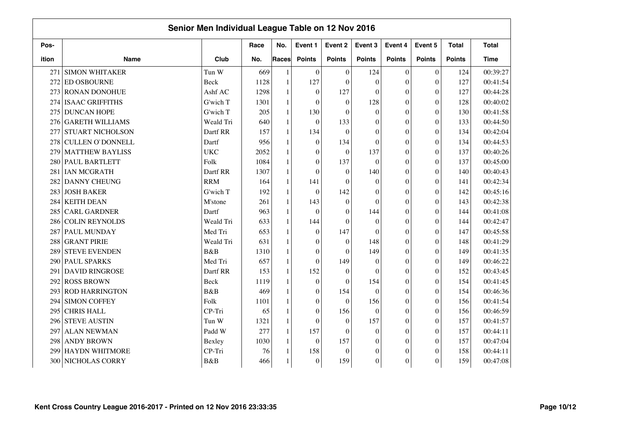|       | Senior Men Individual League Table on 12 Nov 2016 |            |      |              |                  |                  |                  |                  |                  |               |              |  |
|-------|---------------------------------------------------|------------|------|--------------|------------------|------------------|------------------|------------------|------------------|---------------|--------------|--|
| Pos-  |                                                   |            | Race | No.          | Event 1          | Event 2          | Event 3          | Event 4          | Event 5          | <b>Total</b>  | <b>Total</b> |  |
| ition | <b>Name</b>                                       | Club       | No.  | <b>Races</b> | <b>Points</b>    | <b>Points</b>    | <b>Points</b>    | <b>Points</b>    | <b>Points</b>    | <b>Points</b> | Time         |  |
| 271   | <b>SIMON WHITAKER</b>                             | Tun W      | 669  | 1            | $\theta$         | $\theta$         | 124              | $\theta$         | $\mathbf{0}$     | 124           | 00:39:27     |  |
| 272   | <b>ED OSBOURNE</b>                                | Beck       | 1128 | $\mathbf{1}$ | 127              | $\theta$         | $\Omega$         | $\theta$         | $\overline{0}$   | 127           | 00:41:54     |  |
|       | 273 RONAN DONOHUE                                 | Ashf AC    | 1298 | 1            | $\mathbf{0}$     | 127              | $\theta$         | $\Omega$         | $\theta$         | 127           | 00:44:28     |  |
|       | 274 ISAAC GRIFFITHS                               | G'wich T   | 1301 | 1            | $\theta$         | $\theta$         | 128              | $\theta$         | $\overline{0}$   | 128           | 00:40:02     |  |
| 275   | <b>DUNCAN HOPE</b>                                | G'wich T   | 205  | $\mathbf{1}$ | 130              | $\theta$         | $\Omega$         | $\theta$         | $\theta$         | 130           | 00:41:58     |  |
| 276   | <b>GARETH WILLIAMS</b>                            | Weald Tri  | 640  | 1            | $\theta$         | 133              | $\Omega$         | $\theta$         | $\theta$         | 133           | 00:44:50     |  |
| 277   | <b>STUART NICHOLSON</b>                           | Dartf RR   | 157  | $\mathbf{1}$ | 134              | $\boldsymbol{0}$ | $\Omega$         | $\boldsymbol{0}$ | $\Omega$         | 134           | 00:42:04     |  |
| 278   | <b>CULLEN O'DONNELL</b>                           | Dartf      | 956  | 1            | $\mathbf{0}$     | 134              | $\Omega$         | $\mathbf{0}$     | $\overline{0}$   | 134           | 00:44:53     |  |
| 279   | <b>MATTHEW BAYLISS</b>                            | <b>UKC</b> | 2052 | $\mathbf{1}$ | $\boldsymbol{0}$ | $\mathbf{0}$     | 137              | $\mathbf{0}$     | $\theta$         | 137           | 00:40:26     |  |
| 280   | <b>PAUL BARTLETT</b>                              | Folk       | 1084 | 1            | $\boldsymbol{0}$ | 137              | $\theta$         | $\mathbf{0}$     | $\theta$         | 137           | 00:45:00     |  |
|       | 281 IAN MCGRATH                                   | Dartf RR   | 1307 | 1            | $\mathbf{0}$     | $\mathbf{0}$     | 140              | $\boldsymbol{0}$ | $\boldsymbol{0}$ | 140           | 00:40:43     |  |
| 282   | <b>DANNY CHEUNG</b>                               | <b>RRM</b> | 164  | $\mathbf{1}$ | 141              | $\theta$         | $\Omega$         | $\boldsymbol{0}$ | $\overline{0}$   | 141           | 00:42:34     |  |
| 283   | <b>JOSH BAKER</b>                                 | G'wich T   | 192  | 1            | $\mathbf{0}$     | 142              | $\theta$         | $\mathbf{0}$     | $\theta$         | 142           | 00:45:16     |  |
|       | 284 KEITH DEAN                                    | M'stone    | 261  | 1            | 143              | $\theta$         | $\Omega$         | $\theta$         | $\theta$         | 143           | 00:42:38     |  |
| 285   | <b>CARL GARDNER</b>                               | Dartf      | 963  | 1            | $\mathbf{0}$     | $\theta$         | 144              | $\theta$         | $\theta$         | 144           | 00:41:08     |  |
| 286   | <b>COLIN REYNOLDS</b>                             | Weald Tri  | 633  | 1            | 144              | $\theta$         | $\theta$         | $\mathbf{0}$     | $\theta$         | 144           | 00:42:47     |  |
|       | 287 PAUL MUNDAY                                   | Med Tri    | 653  | 1            | $\mathbf{0}$     | 147              | $\Omega$         | $\theta$         | $\theta$         | 147           | 00:45:58     |  |
| 288   | <b>GRANT PIRIE</b>                                | Weald Tri  | 631  | $\mathbf{1}$ | $\mathbf{0}$     | $\boldsymbol{0}$ | 148              | $\theta$         | $\boldsymbol{0}$ | 148           | 00:41:29     |  |
| 289   | <b>STEVE EVENDEN</b>                              | B&B        | 1310 | $\mathbf{1}$ | $\mathbf{0}$     | $\theta$         | 149              | $\mathbf{0}$     | $\overline{0}$   | 149           | 00:41:35     |  |
| 290   | <b>PAUL SPARKS</b>                                | Med Tri    | 657  | 1            | $\boldsymbol{0}$ | 149              | $\theta$         | $\theta$         | $\overline{0}$   | 149           | 00:46:22     |  |
|       | 291 DAVID RINGROSE                                | Dartf RR   | 153  | $\mathbf{1}$ | 152              | $\theta$         | $\Omega$         | $\theta$         | $\Omega$         | 152           | 00:43:45     |  |
|       | 292 ROSS BROWN                                    | Beck       | 1119 | 1            | $\boldsymbol{0}$ | $\theta$         | 154              | $\theta$         | $\theta$         | 154           | 00:41:45     |  |
| 293   | <b>ROD HARRINGTON</b>                             | B&B        | 469  | $\mathbf{1}$ | $\mathbf{0}$     | 154              | $\Omega$         | $\theta$         | $\Omega$         | 154           | 00:46:36     |  |
|       | 294 SIMON COFFEY                                  | Folk       | 1101 | $\mathbf{1}$ | $\mathbf{0}$     | $\theta$         | 156              | $\theta$         | $\overline{0}$   | 156           | 00:41:54     |  |
| 295   | <b>CHRIS HALL</b>                                 | CP-Tri     | 65   | $\mathbf{1}$ | $\boldsymbol{0}$ | 156              | $\Omega$         | $\theta$         | $\theta$         | 156           | 00:46:59     |  |
| 296   | <b>STEVE AUSTIN</b>                               | Tun W      | 1321 | 1            | $\boldsymbol{0}$ | $\mathbf{0}$     | 157              | $\boldsymbol{0}$ | $\boldsymbol{0}$ | 157           | 00:41:57     |  |
| 297   | <b>ALAN NEWMAN</b>                                | Padd W     | 277  | $\mathbf{1}$ | 157              | $\mathbf{0}$     | $\Omega$         | $\overline{0}$   | $\overline{0}$   | 157           | 00:44:11     |  |
| 298   | <b>ANDY BROWN</b>                                 | Bexley     | 1030 | 1            | $\mathbf{0}$     | 157              | $\Omega$         | $\mathbf{0}$     | $\theta$         | 157           | 00:47:04     |  |
| 299   | <b>HAYDN WHITMORE</b>                             | CP-Tri     | 76   | 1            | 158              | $\overline{0}$   | $\boldsymbol{0}$ | $\mathbf{0}$     | $\theta$         | 158           | 00:44:11     |  |
| 300   | NICHOLAS CORRY                                    | B&B        | 466  |              | $\mathbf{0}$     | 159              | $\overline{0}$   | $\boldsymbol{0}$ | $\theta$         | 159           | 00:47:08     |  |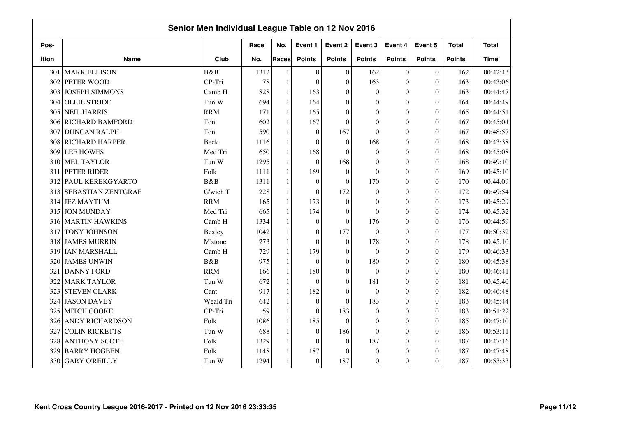|       | Senior Men Individual League Table on 12 Nov 2016 |             |      |              |                  |                  |                  |                  |                  |               |              |  |
|-------|---------------------------------------------------|-------------|------|--------------|------------------|------------------|------------------|------------------|------------------|---------------|--------------|--|
| Pos-  |                                                   |             | Race | No.          | Event 1          | Event 2          | Event 3          | Event 4          | Event 5          | <b>Total</b>  | <b>Total</b> |  |
| ition | <b>Name</b>                                       | Club        | No.  | <b>Races</b> | <b>Points</b>    | <b>Points</b>    | <b>Points</b>    | <b>Points</b>    | <b>Points</b>    | <b>Points</b> | <b>Time</b>  |  |
| 301   | <b>MARK ELLISON</b>                               | B&B         | 1312 | $\mathbf{1}$ | $\theta$         | $\theta$         | 162              | $\theta$         | $\mathbf{0}$     | 162           | 00:42:43     |  |
| 302   | PETER WOOD                                        | CP-Tri      | 78   | $\mathbf{1}$ | $\theta$         | $\overline{0}$   | 163              | $\theta$         | $\overline{0}$   | 163           | 00:43:06     |  |
| 303   | <b>JOSEPH SIMMONS</b>                             | Camb H      | 828  | $\mathbf{1}$ | 163              | $\boldsymbol{0}$ | $\theta$         | $\Omega$         | $\theta$         | 163           | 00:44:47     |  |
| 304   | <b>OLLIE STRIDE</b>                               | Tun W       | 694  | $\mathbf{1}$ | 164              | $\overline{0}$   | $\Omega$         | $\theta$         | $\overline{0}$   | 164           | 00:44:49     |  |
| 305   | <b>NEIL HARRIS</b>                                | <b>RRM</b>  | 171  | $\mathbf{1}$ | 165              | $\theta$         | $\theta$         | $\theta$         | $\overline{0}$   | 165           | 00:44:51     |  |
| 306   | <b>RICHARD BAMFORD</b>                            | Ton         | 602  | $\mathbf{1}$ | 167              | $\theta$         | $\Omega$         | $\theta$         | $\overline{0}$   | 167           | 00:45:04     |  |
| 307   | <b>DUNCAN RALPH</b>                               | Ton         | 590  | 1            | $\boldsymbol{0}$ | 167              | $\Omega$         | $\mathbf{0}$     | $\boldsymbol{0}$ | 167           | 00:48:57     |  |
| 308   | RICHARD HARPER                                    | Beck        | 1116 | $\mathbf{1}$ | $\boldsymbol{0}$ | $\mathbf{0}$     | 168              | $\overline{0}$   | $\overline{0}$   | 168           | 00:43:38     |  |
| 309   | <b>LEE HOWES</b>                                  | Med Tri     | 650  | $\mathbf{1}$ | 168              | $\theta$         | $\theta$         | $\overline{0}$   | $\theta$         | 168           | 00:45:08     |  |
| 310   | <b>MEL TAYLOR</b>                                 | Tun W       | 1295 | $\mathbf{1}$ | $\boldsymbol{0}$ | 168              | $\boldsymbol{0}$ | $\overline{0}$   | $\theta$         | 168           | 00:49:10     |  |
| 311   | PETER RIDER                                       | Folk        | 1111 | $\mathbf{1}$ | 169              | $\boldsymbol{0}$ | $\theta$         | $\overline{0}$   | $\boldsymbol{0}$ | 169           | 00:45:10     |  |
| 312   | PAUL KEREKGYARTO                                  | B&B         | 1311 | $\mathbf{1}$ | $\boldsymbol{0}$ | $\theta$         | 170              | $\boldsymbol{0}$ | $\overline{0}$   | 170           | 00:44:09     |  |
| 313   | SEBASTIAN ZENTGRAF                                | G'wich T    | 228  | $\mathbf{1}$ | $\mathbf{0}$     | 172              | $\theta$         | $\boldsymbol{0}$ | $\theta$         | 172           | 00:49:54     |  |
| 314   | <b>JEZ MAYTUM</b>                                 | <b>RRM</b>  | 165  | $\mathbf{1}$ | 173              | $\boldsymbol{0}$ | $\Omega$         | $\theta$         | $\theta$         | 173           | 00:45:29     |  |
| 315   | <b>JON MUNDAY</b>                                 | Med Tri     | 665  | $\mathbf{1}$ | 174              | $\theta$         | $\theta$         | $\theta$         | $\theta$         | 174           | 00:45:32     |  |
| 316   | <b>MARTIN HAWKINS</b>                             | Camb H      | 1334 | $\mathbf{1}$ | $\mathbf{0}$     | $\theta$         | 176              | $\boldsymbol{0}$ | $\overline{0}$   | 176           | 00:44:59     |  |
| 317   | TONY JOHNSON                                      | Bexley      | 1042 | $\mathbf{1}$ | $\boldsymbol{0}$ | 177              | $\theta$         | $\boldsymbol{0}$ | $\overline{0}$   | 177           | 00:50:32     |  |
| 318   | <b>JAMES MURRIN</b>                               | M'stone     | 273  | $\mathbf{1}$ | $\mathbf{0}$     | $\boldsymbol{0}$ | 178              | $\boldsymbol{0}$ | $\boldsymbol{0}$ | 178           | 00:45:10     |  |
| 319   | IAN MARSHALL                                      | Camb H      | 729  | $\mathbf{1}$ | 179              | $\boldsymbol{0}$ | $\theta$         | $\theta$         | $\overline{0}$   | 179           | 00:46:33     |  |
| 320   | <b>JAMES UNWIN</b>                                | <b>B</b> &B | 975  | $\mathbf{1}$ | $\mathbf{0}$     | $\theta$         | 180              | $\theta$         | $\overline{0}$   | 180           | 00:45:38     |  |
| 321   | <b>DANNY FORD</b>                                 | <b>RRM</b>  | 166  | $\mathbf{1}$ | 180              | $\theta$         | $\Omega$         | $\theta$         | $\theta$         | 180           | 00:46:41     |  |
| 322   | <b>MARK TAYLOR</b>                                | Tun W       | 672  | $\mathbf{1}$ | $\theta$         | $\theta$         | 181              | $\theta$         | $\overline{0}$   | 181           | 00:45:40     |  |
| 323   | <b>STEVEN CLARK</b>                               | Cant        | 917  | $\mathbf{1}$ | 182              | $\theta$         | $\Omega$         | $\theta$         | $\overline{0}$   | 182           | 00:46:48     |  |
| 324   | <b>JASON DAVEY</b>                                | Weald Tri   | 642  | $\mathbf{1}$ | $\boldsymbol{0}$ | $\theta$         | 183              | $\theta$         | $\overline{0}$   | 183           | 00:45:44     |  |
| 325   | MITCH COOKE                                       | CP-Tri      | 59   | $\mathbf{1}$ | $\boldsymbol{0}$ | 183              | $\theta$         | $\theta$         | $\theta$         | 183           | 00:51:22     |  |
| 326   | <b>ANDY RICHARDSON</b>                            | Folk        | 1086 | $\mathbf{1}$ | 185              | $\boldsymbol{0}$ | $\mathbf{0}$     | $\boldsymbol{0}$ | $\boldsymbol{0}$ | 185           | 00:47:10     |  |
| 327   | <b>COLIN RICKETTS</b>                             | Tun W       | 688  | $\mathbf{1}$ | $\boldsymbol{0}$ | 186              | $\Omega$         | $\boldsymbol{0}$ | $\overline{0}$   | 186           | 00:53:11     |  |
| 328   | <b>ANTHONY SCOTT</b>                              | Folk        | 1329 | $\mathbf{1}$ | $\boldsymbol{0}$ | $\overline{0}$   | 187              | $\mathbf{0}$     | $\theta$         | 187           | 00:47:16     |  |
| 329   | <b>BARRY HOGBEN</b>                               | Folk        | 1148 | $\mathbf{1}$ | 187              | $\theta$         | $\boldsymbol{0}$ | $\overline{0}$   | $\theta$         | 187           | 00:47:48     |  |
| 330   | <b>GARY O'REILLY</b>                              | Tun W       | 1294 | $\mathbf{1}$ | $\boldsymbol{0}$ | 187              | $\overline{0}$   | $\boldsymbol{0}$ | $\theta$         | 187           | 00:53:33     |  |